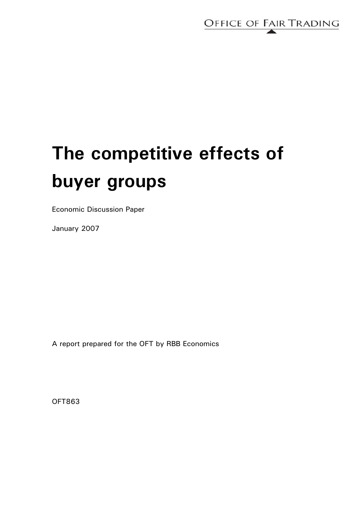

# **The competitive effects of buyer groups**

Economic Discussion Paper

January 2007

A report prepared for the OFT by RBB Economics

OFT863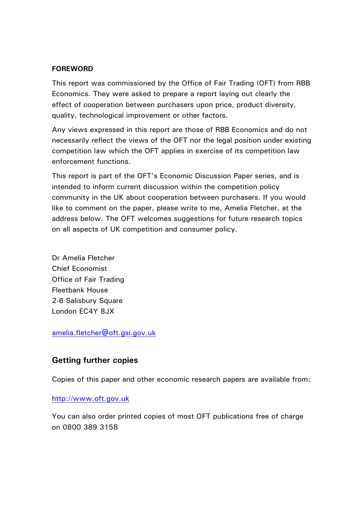#### **FOREWORD**

This report was commissioned by the Office of Fair Trading (OFT) from RBB Economics. They were asked to prepare a report laying out clearly the effect of cooperation between purchasers upon price, product diversity, quality, technological improvement or other factors.

Any views expressed in this report are those of RBB Economics and do not necessarily reflect the views of the OFT nor the legal position under existing competition law which the OFT applies in exercise of its competition law enforcement functions.

This report is part of the OFT's Economic Discussion Paper series, and is intended to inform current discussion within the competition policy community in the UK about cooperation between purchasers. If you would like to comment on the paper, please write to me, Amelia Fletcher, at the address below. The OFT welcomes suggestions for future research topics on all aspects of UK competition and consumer policy.

Dr Amelia Fletcher Chief Economist Office of Fair Trading Fleetbank House 2-6 Salisbury Square London EC4Y 8JX

[amelia.fletcher@oft.gsi.gov.uk](mailto:amelia.fletcher@oft.gsi.gov.uk)

#### **Getting further copies**

Copies of this paper and other economic research papers are available from:

#### [http://www.oft.gov.uk](http://www.oft.gov.uk/Business/Economic+research/completed.htm)

You can also order printed copies of most OFT publications free of charge on 0800 389 3158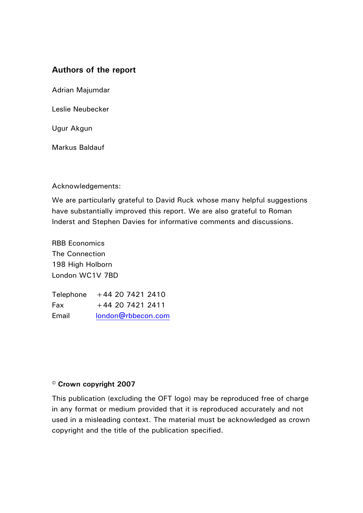#### **Authors of the report**

Adrian Majumdar

Leslie Neubecker

Ugur Akgun

Markus Baldauf

Acknowledgements:

We are particularly grateful to David Ruck whose many helpful suggestions have substantially improved this report. We are also grateful to Roman Inderst and Stephen Davies for informative comments and discussions.

RBB Economics The Connection 198 High Holborn London WC1V 7BD

Telephone +44 20 7421 2410 Fax  $+442074212411$ Email [london@rbbecon.com](mailto:london@rbbecon.com)

#### **© Crown copyright 2007**

This publication (excluding the OFT logo) may be reproduced free of charge in any format or medium provided that it is reproduced accurately and not used in a misleading context. The material must be acknowledged as crown copyright and the title of the publication specified.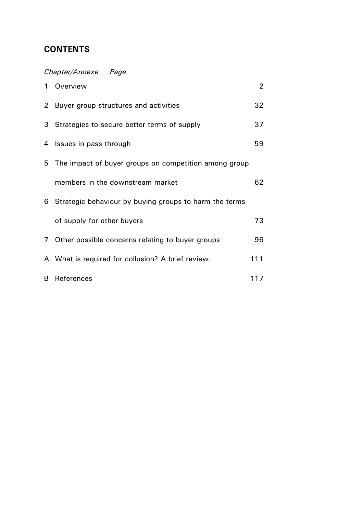# **CONTENTS**

# *Chapter/Annexe Page*

| 1              | Overview                                               | 2   |
|----------------|--------------------------------------------------------|-----|
| 2 <sup>1</sup> | Buyer group structures and activities                  | 32  |
| 3              | Strategies to secure better terms of supply            | 37  |
| 4              | Issues in pass through                                 | 59  |
| 5.             | The impact of buyer groups on competition among group  |     |
|                | members in the downstream market                       | 62  |
| 6.             | Strategic behaviour by buying groups to harm the terms |     |
|                | of supply for other buyers                             | 73  |
| 7              | Other possible concerns relating to buyer groups       | 96  |
|                | A What is required for collusion? A brief review.      | 111 |
| B.             | References                                             | 117 |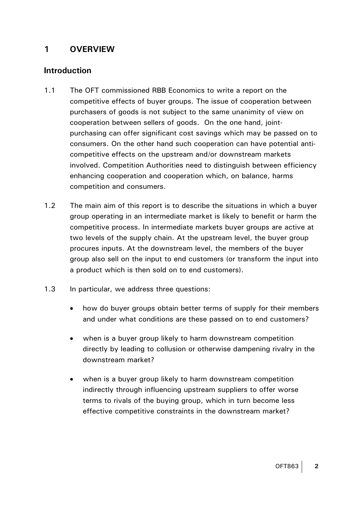# <span id="page-4-0"></span>**1 OVERVIEW**

## **Introduction**

- 1.1 The OFT commissioned RBB Economics to write a report on the competitive effects of buyer groups. The issue of cooperation between purchasers of goods is not subject to the same unanimity of view on cooperation between sellers of goods. On the one hand, jointpurchasing can offer significant cost savings which may be passed on to consumers. On the other hand such cooperation can have potential anticompetitive effects on the upstream and/or downstream markets involved. Competition Authorities need to distinguish between efficiency enhancing cooperation and cooperation which, on balance, harms competition and consumers.
- 1.2 The main aim of this report is to describe the situations in which a buyer group operating in an intermediate market is likely to benefit or harm the competitive process. In intermediate markets buyer groups are active at two levels of the supply chain. At the upstream level, the buyer group procures inputs. At the downstream level, the members of the buyer group also sell on the input to end customers (or transform the input into a product which is then sold on to end customers).
- 1.3 In particular, we address three questions:
	- how do buyer groups obtain better terms of supply for their members and under what conditions are these passed on to end customers?
	- when is a buyer group likely to harm downstream competition directly by leading to collusion or otherwise dampening rivalry in the downstream market?
	- when is a buyer group likely to harm downstream competition indirectly through influencing upstream suppliers to offer worse terms to rivals of the buying group, which in turn become less effective competitive constraints in the downstream market?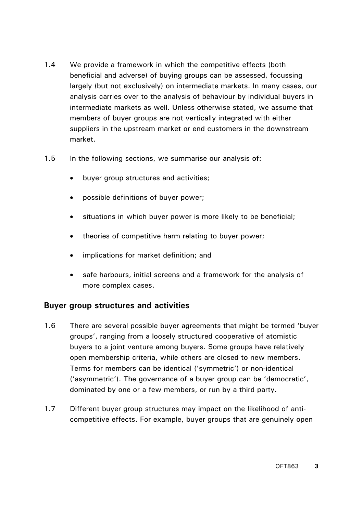- 1.4 We provide a framework in which the competitive effects (both beneficial and adverse) of buying groups can be assessed, focussing largely (but not exclusively) on intermediate markets. In many cases, our analysis carries over to the analysis of behaviour by individual buyers in intermediate markets as well. Unless otherwise stated, we assume that members of buyer groups are not vertically integrated with either suppliers in the upstream market or end customers in the downstream market.
- 1.5 In the following sections, we summarise our analysis of:
	- buyer group structures and activities;
	- possible definitions of buyer power;
	- situations in which buyer power is more likely to be beneficial;
	- theories of competitive harm relating to buyer power;
	- implications for market definition; and
	- safe harbours, initial screens and a framework for the analysis of more complex cases.

#### **Buyer group structures and activities**

- 1.6 There are several possible buyer agreements that might be termed 'buyer groups', ranging from a loosely structured cooperative of atomistic buyers to a joint venture among buyers. Some groups have relatively open membership criteria, while others are closed to new members. Terms for members can be identical ('symmetric') or non-identical ('asymmetric'). The governance of a buyer group can be 'democratic', dominated by one or a few members, or run by a third party.
- 1.7 Different buyer group structures may impact on the likelihood of anticompetitive effects. For example, buyer groups that are genuinely open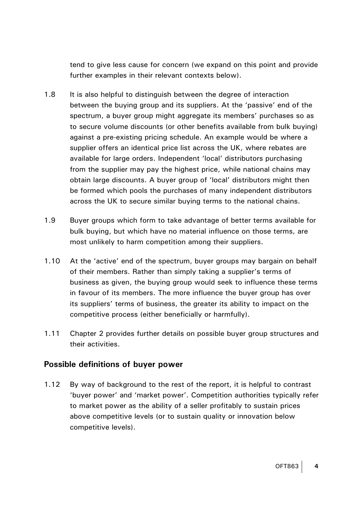tend to give less cause for concern (we expand on this point and provide further examples in their relevant contexts below).

- 1.8 It is also helpful to distinguish between the degree of interaction between the buying group and its suppliers. At the 'passive' end of the spectrum, a buyer group might aggregate its members' purchases so as to secure volume discounts (or other benefits available from bulk buying) against a pre-existing pricing schedule. An example would be where a supplier offers an identical price list across the UK, where rebates are available for large orders. Independent 'local' distributors purchasing from the supplier may pay the highest price, while national chains may obtain large discounts. A buyer group of 'local' distributors might then be formed which pools the purchases of many independent distributors across the UK to secure similar buying terms to the national chains.
- 1.9 Buyer groups which form to take advantage of better terms available for bulk buying, but which have no material influence on those terms, are most unlikely to harm competition among their suppliers.
- 1.10 At the 'active' end of the spectrum, buyer groups may bargain on behalf of their members. Rather than simply taking a supplier's terms of business as given, the buying group would seek to influence these terms in favour of its members. The more influence the buyer group has over its suppliers' terms of business, the greater its ability to impact on the competitive process (either beneficially or harmfully).
- 1.11 Chapter 2 provides further details on possible buyer group structures and their activities.

#### **Possible definitions of buyer power**

1.12 By way of background to the rest of the report, it is helpful to contrast 'buyer power' and 'market power'. Competition authorities typically refer to market power as the ability of a seller profitably to sustain prices above competitive levels (or to sustain quality or innovation below competitive levels).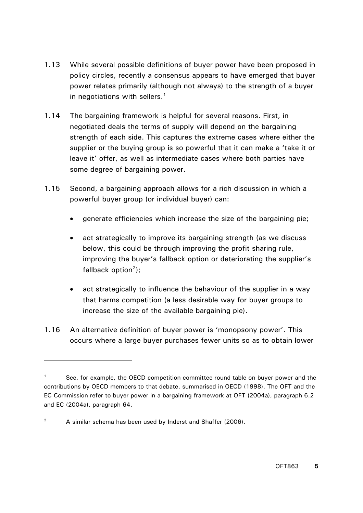- <span id="page-7-1"></span><span id="page-7-0"></span>1.13 While several possible definitions of buyer power have been proposed in policy circles, recently a consensus appears to have emerged that buyer power relates primarily (although not always) to the strength of a buyer in negotiations with sellers. $<sup>1</sup>$  $<sup>1</sup>$  $<sup>1</sup>$ </sup>
- 1.14 The bargaining framework is helpful for several reasons. First, in negotiated deals the terms of supply will depend on the bargaining strength of each side. This captures the extreme cases where either the supplier or the buying group is so powerful that it can make a 'take it or leave it' offer, as well as intermediate cases where both parties have some degree of bargaining power.
- 1.15 Second, a bargaining approach allows for a rich discussion in which a powerful buyer group (or individual buyer) can:
	- generate efficiencies which increase the size of the bargaining pie;
	- act strategically to improve its bargaining strength (as we discuss below, this could be through improving the profit sharing rule, improving the buyer's fallback option or deteriorating the supplier's fallback option<sup>[2](#page-7-1)</sup>);
	- act strategically to influence the behaviour of the supplier in a way that harms competition (a less desirable way for buyer groups to increase the size of the available bargaining pie).
- 1.16 An alternative definition of buyer power is 'monopsony power'. This occurs where a large buyer purchases fewer units so as to obtain lower

<sup>1</sup> See, for example, the OECD competition committee round table on buyer power and the contributions by OECD members to that debate, summarised in OECD (1998). The OFT and the EC Commission refer to buyer power in a bargaining framework at OFT (2004a), paragraph 6.2 and EC (2004a), paragraph 64.

<sup>2</sup> A similar schema has been used by Inderst and Shaffer (2006).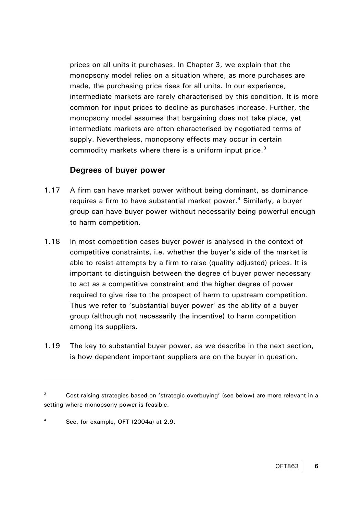<span id="page-8-0"></span>prices on all units it purchases. In Chapter 3, we explain that the monopsony model relies on a situation where, as more purchases are made, the purchasing price rises for all units. In our experience, intermediate markets are rarely characterised by this condition. It is more common for input prices to decline as purchases increase. Further, the monopsony model assumes that bargaining does not take place, yet intermediate markets are often characterised by negotiated terms of supply. Nevertheless, monopsony effects may occur in certain commodity markets where there is a uniform input price. $3$ 

#### **Degrees of buyer power**

- 1.17 A firm can have market power without being dominant, as dominance requires a firm to have substantial market power.<sup>[4](#page-8-0)</sup> Similarly, a buyer group can have buyer power without necessarily being powerful enough to harm competition.
- 1.18 In most competition cases buyer power is analysed in the context of competitive constraints, i.e. whether the buyer's side of the market is able to resist attempts by a firm to raise (quality adjusted) prices. It is important to distinguish between the degree of buyer power necessary to act as a competitive constraint and the higher degree of power required to give rise to the prospect of harm to upstream competition. Thus we refer to 'substantial buyer power' as the ability of a buyer group (although not necessarily the incentive) to harm competition among its suppliers.
- 1.19 The key to substantial buyer power, as we describe in the next section, is how dependent important suppliers are on the buyer in question.

<sup>3</sup> Cost raising strategies based on 'strategic overbuying' (see below) are more relevant in a setting where monopsony power is feasible.

<sup>4</sup> See, for example, OFT (2004a) at 2.9.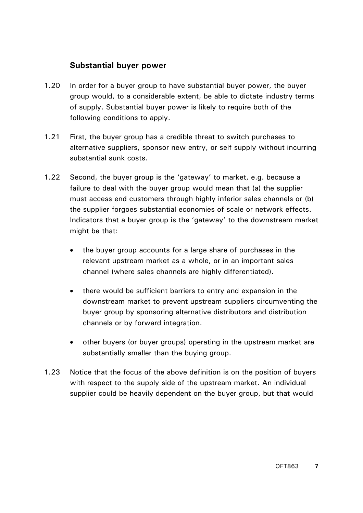#### **Substantial buyer power**

- 1.20 In order for a buyer group to have substantial buyer power, the buyer group would, to a considerable extent, be able to dictate industry terms of supply. Substantial buyer power is likely to require both of the following conditions to apply.
- 1.21 First, the buyer group has a credible threat to switch purchases to alternative suppliers, sponsor new entry, or self supply without incurring substantial sunk costs.
- 1.22 Second, the buyer group is the 'gateway' to market, e.g. because a failure to deal with the buyer group would mean that (a) the supplier must access end customers through highly inferior sales channels or (b) the supplier forgoes substantial economies of scale or network effects. Indicators that a buyer group is the 'gateway' to the downstream market might be that:
	- the buyer group accounts for a large share of purchases in the relevant upstream market as a whole, or in an important sales channel (where sales channels are highly differentiated).
	- there would be sufficient barriers to entry and expansion in the downstream market to prevent upstream suppliers circumventing the buyer group by sponsoring alternative distributors and distribution channels or by forward integration.
	- other buyers (or buyer groups) operating in the upstream market are substantially smaller than the buying group.
- 1.23 Notice that the focus of the above definition is on the position of buyers with respect to the supply side of the upstream market. An individual supplier could be heavily dependent on the buyer group, but that would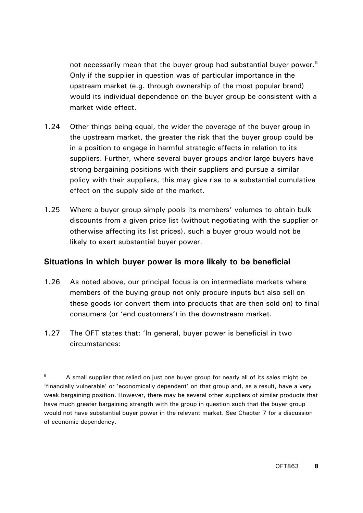<span id="page-10-0"></span>not necessarily mean that the buyer group had substantial buyer power.<sup>[5](#page-10-0)</sup> Only if the supplier in question was of particular importance in the upstream market (e.g. through ownership of the most popular brand) would its individual dependence on the buyer group be consistent with a market wide effect.

- 1.24 Other things being equal, the wider the coverage of the buyer group in the upstream market, the greater the risk that the buyer group could be in a position to engage in harmful strategic effects in relation to its suppliers. Further, where several buyer groups and/or large buyers have strong bargaining positions with their suppliers and pursue a similar policy with their suppliers, this may give rise to a substantial cumulative effect on the supply side of the market.
- 1.25 Where a buyer group simply pools its members' volumes to obtain bulk discounts from a given price list (without negotiating with the supplier or otherwise affecting its list prices), such a buyer group would not be likely to exert substantial buyer power.

#### **Situations in which buyer power is more likely to be beneficial**

- 1.26 As noted above, our principal focus is on intermediate markets where members of the buying group not only procure inputs but also sell on these goods (or convert them into products that are then sold on) to final consumers (or 'end customers') in the downstream market.
- 1.27 The OFT states that: 'In general, buyer power is beneficial in two circumstances:

<sup>5</sup> A small supplier that relied on just one buyer group for nearly all of its sales might be 'financially vulnerable' or 'economically dependent' on that group and, as a result, have a very weak bargaining position. However, there may be several other suppliers of similar products that have much greater bargaining strength with the group in question such that the buyer group would not have substantial buyer power in the relevant market. See Chapter 7 for a discussion of economic dependency.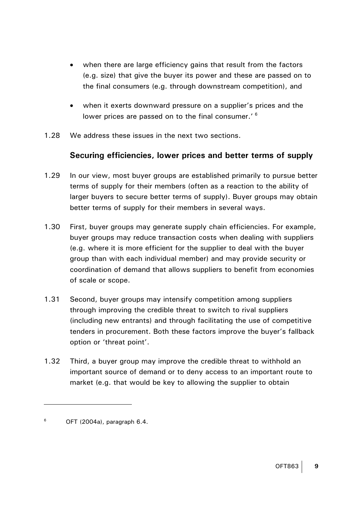- <span id="page-11-0"></span>when there are large efficiency gains that result from the factors (e.g. size) that give the buyer its power and these are passed on to the final consumers (e.g. through downstream competition), and
- when it exerts downward pressure on a supplier's prices and the lower prices are passed on to the final consumer.'<sup>[6](#page-11-0)</sup>
- 1.28 We address these issues in the next two sections.

# **Securing efficiencies, lower prices and better terms of supply**

- 1.29 In our view, most buyer groups are established primarily to pursue better terms of supply for their members (often as a reaction to the ability of larger buyers to secure better terms of supply). Buyer groups may obtain better terms of supply for their members in several ways.
- 1.30 First, buyer groups may generate supply chain efficiencies. For example, buyer groups may reduce transaction costs when dealing with suppliers (e.g. where it is more efficient for the supplier to deal with the buyer group than with each individual member) and may provide security or coordination of demand that allows suppliers to benefit from economies of scale or scope.
- 1.31 Second, buyer groups may intensify competition among suppliers through improving the credible threat to switch to rival suppliers (including new entrants) and through facilitating the use of competitive tenders in procurement. Both these factors improve the buyer's fallback option or 'threat point'.
- 1.32 Third, a buyer group may improve the credible threat to withhold an important source of demand or to deny access to an important route to market (e.g. that would be key to allowing the supplier to obtain

<sup>6</sup> OFT (2004a), paragraph 6.4.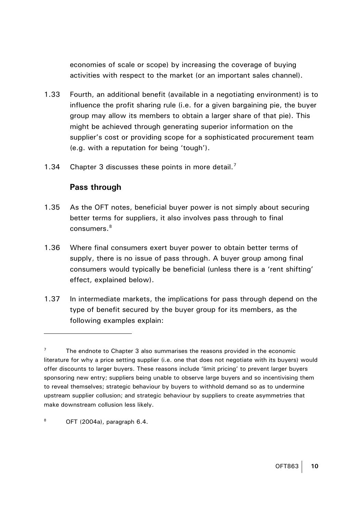economies of scale or scope) by increasing the coverage of buying activities with respect to the market (or an important sales channel).

- <span id="page-12-0"></span>1.33 Fourth, an additional benefit (available in a negotiating environment) is to influence the profit sharing rule (i.e. for a given bargaining pie, the buyer group may allow its members to obtain a larger share of that pie). This might be achieved through generating superior information on the supplier's cost or providing scope for a sophisticated procurement team (e.g. with a reputation for being 'tough').
- 1.34 Chapter 3 discusses these points in more detail.<sup>[7](#page-12-0)</sup>

# **Pass through**

- 1.35 As the OFT notes, beneficial buyer power is not simply about securing better terms for suppliers, it also involves pass through to final consumers.<sup>[8](#page-12-0)</sup>
- 1.36 Where final consumers exert buyer power to obtain better terms of supply, there is no issue of pass through. A buyer group among final consumers would typically be beneficial (unless there is a 'rent shifting' effect, explained below).
- 1.37 In intermediate markets, the implications for pass through depend on the type of benefit secured by the buyer group for its members, as the following examples explain:

<sup>7</sup> The endnote to Chapter 3 also summarises the reasons provided in the economic literature for why a price setting supplier (i.e. one that does not negotiate with its buyers) would offer discounts to larger buyers. These reasons include 'limit pricing' to prevent larger buyers sponsoring new entry; suppliers being unable to observe large buyers and so incentivising them to reveal themselves; strategic behaviour by buyers to withhold demand so as to undermine upstream supplier collusion; and strategic behaviour by suppliers to create asymmetries that make downstream collusion less likely.

<sup>8</sup> OFT (2004a), paragraph 6.4.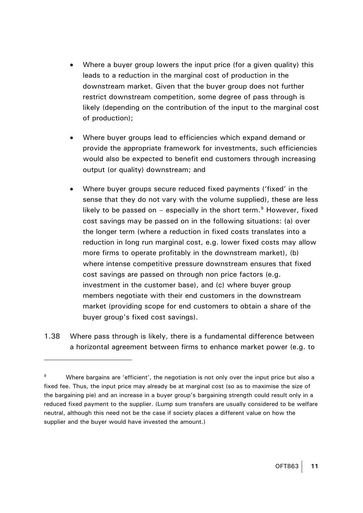- <span id="page-13-0"></span>• Where a buyer group lowers the input price (for a given quality) this leads to a reduction in the marginal cost of production in the downstream market. Given that the buyer group does not further restrict downstream competition, some degree of pass through is likely (depending on the contribution of the input to the marginal cost of production);
- Where buyer groups lead to efficiencies which expand demand or provide the appropriate framework for investments, such efficiencies would also be expected to benefit end customers through increasing output (or quality) downstream; and
- Where buyer groups secure reduced fixed payments ('fixed' in the sense that they do not vary with the volume supplied), these are less likely to be passed on  $-$  especially in the short term.<sup>[9](#page-13-0)</sup> However, fixed cost savings may be passed on in the following situations: (a) over the longer term (where a reduction in fixed costs translates into a reduction in long run marginal cost, e.g. lower fixed costs may allow more firms to operate profitably in the downstream market), (b) where intense competitive pressure downstream ensures that fixed cost savings are passed on through non price factors (e.g. investment in the customer base), and (c) where buyer group members negotiate with their end customers in the downstream market (providing scope for end customers to obtain a share of the buyer group's fixed cost savings).
- 1.38 Where pass through is likely, there is a fundamental difference between a horizontal agreement between firms to enhance market power (e.g. to

<sup>9</sup> Where bargains are 'efficient', the negotiation is not only over the input price but also a fixed fee. Thus, the input price may already be at marginal cost (so as to maximise the size of the bargaining pie) and an increase in a buyer group's bargaining strength could result only in a reduced fixed payment to the supplier. (Lump sum transfers are usually considered to be welfare neutral, although this need not be the case if society places a different value on how the supplier and the buyer would have invested the amount.)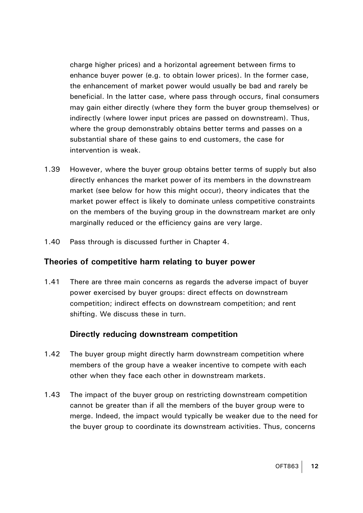charge higher prices) and a horizontal agreement between firms to enhance buyer power (e.g. to obtain lower prices). In the former case, the enhancement of market power would usually be bad and rarely be beneficial. In the latter case, where pass through occurs, final consumers may gain either directly (where they form the buyer group themselves) or indirectly (where lower input prices are passed on downstream). Thus, where the group demonstrably obtains better terms and passes on a substantial share of these gains to end customers, the case for intervention is weak.

- 1.39 However, where the buyer group obtains better terms of supply but also directly enhances the market power of its members in the downstream market (see below for how this might occur), theory indicates that the market power effect is likely to dominate unless competitive constraints on the members of the buying group in the downstream market are only marginally reduced or the efficiency gains are very large.
- 1.40 Pass through is discussed further in Chapter 4.

#### **Theories of competitive harm relating to buyer power**

1.41 There are three main concerns as regards the adverse impact of buyer power exercised by buyer groups: direct effects on downstream competition; indirect effects on downstream competition; and rent shifting. We discuss these in turn.

#### **Directly reducing downstream competition**

- 1.42 The buyer group might directly harm downstream competition where members of the group have a weaker incentive to compete with each other when they face each other in downstream markets.
- 1.43 The impact of the buyer group on restricting downstream competition cannot be greater than if all the members of the buyer group were to merge. Indeed, the impact would typically be weaker due to the need for the buyer group to coordinate its downstream activities. Thus, concerns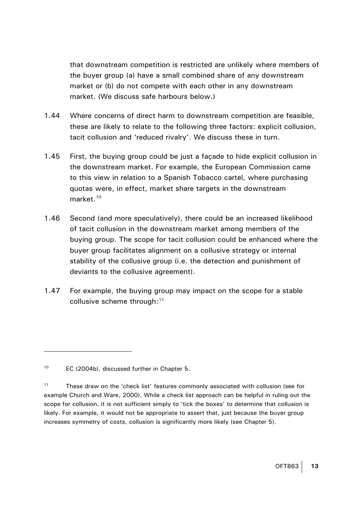<span id="page-15-0"></span>that downstream competition is restricted are unlikely where members of the buyer group (a) have a small combined share of any downstream market or (b) do not compete with each other in any downstream market. (We discuss safe harbours below.)

- 1.44 Where concerns of direct harm to downstream competition are feasible, these are likely to relate to the following three factors: explicit collusion, tacit collusion and 'reduced rivalry'. We discuss these in turn.
- 1.45 First, the buying group could be just a façade to hide explicit collusion in the downstream market. For example, the European Commission came to this view in relation to a Spanish Tobacco cartel, where purchasing quotas were, in effect, market share targets in the downstream market.<sup>[10](#page-15-0)</sup>
- 1.46 Second (and more speculatively), there could be an increased likelihood of tacit collusion in the downstream market among members of the buying group. The scope for tacit collusion could be enhanced where the buyer group facilitates alignment on a collusive strategy or internal stability of the collusive group (i.e. the detection and punishment of deviants to the collusive agreement).
- 1.47 For example, the buying group may impact on the scope for a stable collusive scheme through: $11$

<sup>10</sup> EC (2004b), discussed further in Chapter 5.

<sup>&</sup>lt;sup>11</sup> These draw on the 'check list' features commonly associated with collusion (see for example Church and Ware, 2000). While a check list approach can be helpful in ruling out the scope for collusion, it is not sufficient simply to 'tick the boxes' to determine that collusion is likely. For example, it would not be appropriate to assert that, just because the buyer group increases symmetry of costs, collusion is significantly more likely (see Chapter 5).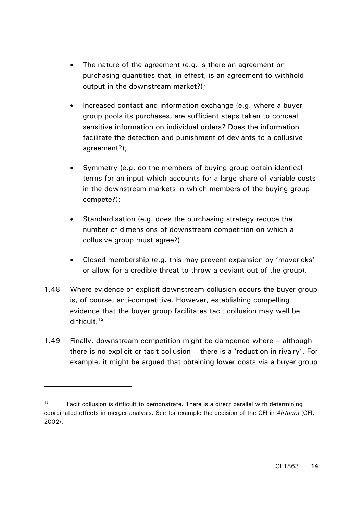- <span id="page-16-0"></span>• The nature of the agreement (e.g. is there an agreement on purchasing quantities that, in effect, is an agreement to withhold output in the downstream market?);
- Increased contact and information exchange (e.g. where a buyer group pools its purchases, are sufficient steps taken to conceal sensitive information on individual orders? Does the information facilitate the detection and punishment of deviants to a collusive agreement?);
- Symmetry (e.g. do the members of buying group obtain identical terms for an input which accounts for a large share of variable costs in the downstream markets in which members of the buying group compete?);
- Standardisation (e.g. does the purchasing strategy reduce the number of dimensions of downstream competition on which a collusive group must agree?)
- Closed membership (e.g. this may prevent expansion by 'mavericks' or allow for a credible threat to throw a deviant out of the group).
- 1.48 Where evidence of explicit downstream collusion occurs the buyer group is, of course, anti-competitive. However, establishing compelling evidence that the buyer group facilitates tacit collusion may well be difficult. $12$
- 1.49 Finally, downstream competition might be dampened where although there is no explicit or tacit collusion – there is a 'reduction in rivalry'. For example, it might be argued that obtaining lower costs via a buyer group

 $12$  Tacit collusion is difficult to demonstrate. There is a direct parallel with determining coordinated effects in merger analysis. See for example the decision of the CFI in *Airtours* (CFI, 2002).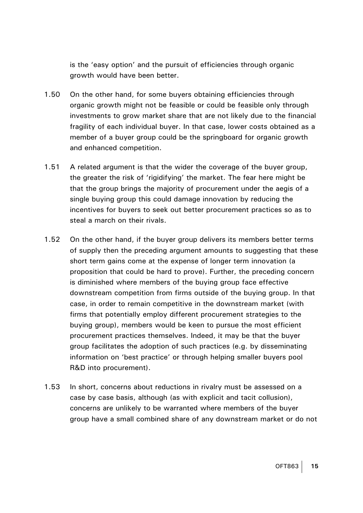is the 'easy option' and the pursuit of efficiencies through organic growth would have been better.

- 1.50 On the other hand, for some buyers obtaining efficiencies through organic growth might not be feasible or could be feasible only through investments to grow market share that are not likely due to the financial fragility of each individual buyer. In that case, lower costs obtained as a member of a buyer group could be the springboard for organic growth and enhanced competition.
- 1.51 A related argument is that the wider the coverage of the buyer group, the greater the risk of 'rigidifying' the market. The fear here might be that the group brings the majority of procurement under the aegis of a single buying group this could damage innovation by reducing the incentives for buyers to seek out better procurement practices so as to steal a march on their rivals.
- 1.52 On the other hand, if the buyer group delivers its members better terms of supply then the preceding argument amounts to suggesting that these short term gains come at the expense of longer term innovation (a proposition that could be hard to prove). Further, the preceding concern is diminished where members of the buying group face effective downstream competition from firms outside of the buying group. In that case, in order to remain competitive in the downstream market (with firms that potentially employ different procurement strategies to the buying group), members would be keen to pursue the most efficient procurement practices themselves. Indeed, it may be that the buyer group facilitates the adoption of such practices (e.g. by disseminating information on 'best practice' or through helping smaller buyers pool R&D into procurement).
- 1.53 In short, concerns about reductions in rivalry must be assessed on a case by case basis, although (as with explicit and tacit collusion), concerns are unlikely to be warranted where members of the buyer group have a small combined share of any downstream market or do not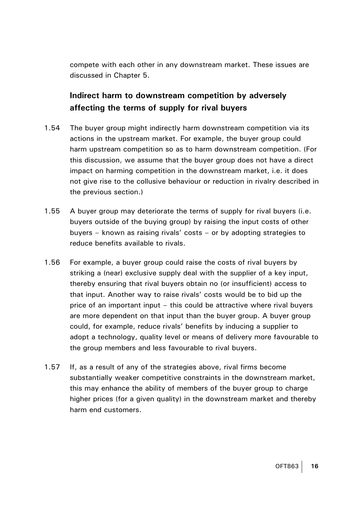compete with each other in any downstream market. These issues are discussed in Chapter 5.

# **Indirect harm to downstream competition by adversely affecting the terms of supply for rival buyers**

- 1.54 The buyer group might indirectly harm downstream competition via its actions in the upstream market. For example, the buyer group could harm upstream competition so as to harm downstream competition. (For this discussion, we assume that the buyer group does not have a direct impact on harming competition in the downstream market, i.e. it does not give rise to the collusive behaviour or reduction in rivalry described in the previous section.)
- 1.55 A buyer group may deteriorate the terms of supply for rival buyers (i.e. buyers outside of the buying group) by raising the input costs of other buyers – known as raising rivals' costs – or by adopting strategies to reduce benefits available to rivals.
- 1.56 For example, a buyer group could raise the costs of rival buyers by striking a (near) exclusive supply deal with the supplier of a key input, thereby ensuring that rival buyers obtain no (or insufficient) access to that input. Another way to raise rivals' costs would be to bid up the price of an important input – this could be attractive where rival buyers are more dependent on that input than the buyer group. A buyer group could, for example, reduce rivals' benefits by inducing a supplier to adopt a technology, quality level or means of delivery more favourable to the group members and less favourable to rival buyers.
- 1.57 If, as a result of any of the strategies above, rival firms become substantially weaker competitive constraints in the downstream market, this may enhance the ability of members of the buyer group to charge higher prices (for a given quality) in the downstream market and thereby harm end customers.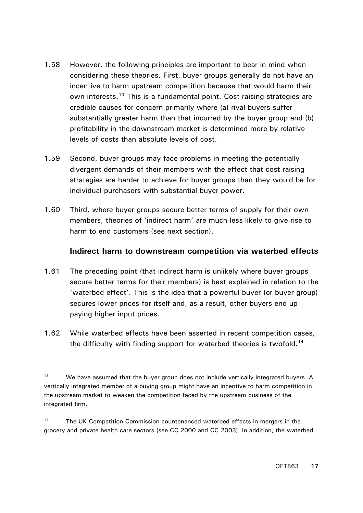- <span id="page-19-0"></span>1.58 However, the following principles are important to bear in mind when considering these theories. First, buyer groups generally do not have an incentive to harm upstream competition because that would harm their own interests.<sup>[13](#page-19-0)</sup> This is a fundamental point. Cost raising strategies are credible causes for concern primarily where (a) rival buyers suffer substantially greater harm than that incurred by the buyer group and (b) profitability in the downstream market is determined more by relative levels of costs than absolute levels of cost.
- 1.59 Second, buyer groups may face problems in meeting the potentially divergent demands of their members with the effect that cost raising strategies are harder to achieve for buyer groups than they would be for individual purchasers with substantial buyer power.
- 1.60 Third, where buyer groups secure better terms of supply for their own members, theories of 'indirect harm' are much less likely to give rise to harm to end customers (see next section).

## **Indirect harm to downstream competition via waterbed effects**

- 1.61 The preceding point (that indirect harm is unlikely where buyer groups secure better terms for their members) is best explained in relation to the 'waterbed effect'. This is the idea that a powerful buyer (or buyer group) secures lower prices for itself and, as a result, other buyers end up paying higher input prices.
- 1.62 While waterbed effects have been asserted in recent competition cases, the difficulty with finding support for waterbed theories is twofold.<sup>[14](#page-19-0)</sup>

 $13$  We have assumed that the buyer group does not include vertically integrated buyers. A vertically integrated member of a buying group might have an incentive to harm competition in the upstream market to weaken the competition faced by the upstream business of the integrated firm.

 $14$  The UK Competition Commission countenanced waterbed effects in mergers in the grocery and private health care sectors (see CC 2000 and CC 2003). In addition, the waterbed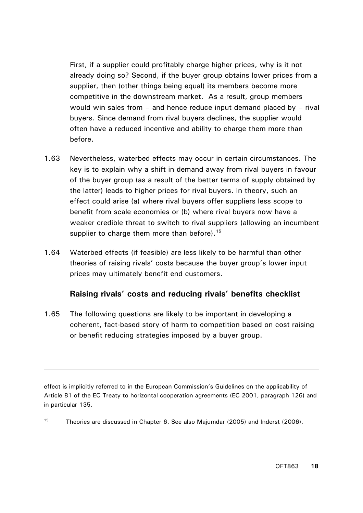<span id="page-20-0"></span>First, if a supplier could profitably charge higher prices, why is it not already doing so? Second, if the buyer group obtains lower prices from a supplier, then (other things being equal) its members become more competitive in the downstream market. As a result, group members would win sales from  $-$  and hence reduce input demand placed by  $-$  rival buyers. Since demand from rival buyers declines, the supplier would often have a reduced incentive and ability to charge them more than before.

- 1.63 Nevertheless, waterbed effects may occur in certain circumstances. The key is to explain why a shift in demand away from rival buyers in favour of the buyer group (as a result of the better terms of supply obtained by the latter) leads to higher prices for rival buyers. In theory, such an effect could arise (a) where rival buyers offer suppliers less scope to benefit from scale economies or (b) where rival buyers now have a weaker credible threat to switch to rival suppliers (allowing an incumbent supplier to charge them more than before).<sup>[15](#page-20-0)</sup>
- 1.64 Waterbed effects (if feasible) are less likely to be harmful than other theories of raising rivals' costs because the buyer group's lower input prices may ultimately benefit end customers.

#### **Raising rivals' costs and reducing rivals' benefits checklist**

1.65 The following questions are likely to be important in developing a coherent, fact-based story of harm to competition based on cost raising or benefit reducing strategies imposed by a buyer group.

effect is implicitly referred to in the European Commission's Guidelines on the applicability of Article 81 of the EC Treaty to horizontal cooperation agreements (EC 2001, paragraph 126) and in particular 135.

<sup>15</sup> Theories are discussed in Chapter 6. See also Majumdar (2005) and Inderst (2006).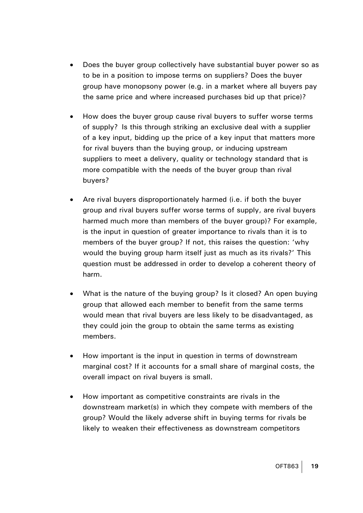- Does the buyer group collectively have substantial buyer power so as to be in a position to impose terms on suppliers? Does the buyer group have monopsony power (e.g. in a market where all buyers pay the same price and where increased purchases bid up that price)?
- How does the buyer group cause rival buyers to suffer worse terms of supply? Is this through striking an exclusive deal with a supplier of a key input, bidding up the price of a key input that matters more for rival buyers than the buying group, or inducing upstream suppliers to meet a delivery, quality or technology standard that is more compatible with the needs of the buyer group than rival buyers?
- Are rival buyers disproportionately harmed (i.e. if both the buyer group and rival buyers suffer worse terms of supply, are rival buyers harmed much more than members of the buyer group)? For example, is the input in question of greater importance to rivals than it is to members of the buyer group? If not, this raises the question: 'why would the buying group harm itself just as much as its rivals?' This question must be addressed in order to develop a coherent theory of harm.
- What is the nature of the buying group? Is it closed? An open buying group that allowed each member to benefit from the same terms would mean that rival buyers are less likely to be disadvantaged, as they could join the group to obtain the same terms as existing members.
- How important is the input in question in terms of downstream marginal cost? If it accounts for a small share of marginal costs, the overall impact on rival buyers is small.
- How important as competitive constraints are rivals in the downstream market(s) in which they compete with members of the group? Would the likely adverse shift in buying terms for rivals be likely to weaken their effectiveness as downstream competitors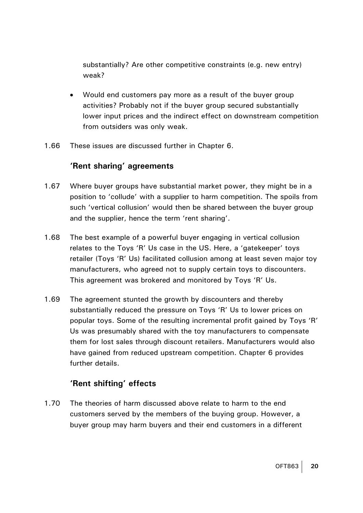substantially? Are other competitive constraints (e.g. new entry) weak?

- Would end customers pay more as a result of the buyer group activities? Probably not if the buyer group secured substantially lower input prices and the indirect effect on downstream competition from outsiders was only weak.
- 1.66 These issues are discussed further in Chapter 6.

## **'Rent sharing' agreements**

- 1.67 Where buyer groups have substantial market power, they might be in a position to 'collude' with a supplier to harm competition. The spoils from such 'vertical collusion' would then be shared between the buyer group and the supplier, hence the term 'rent sharing'.
- 1.68 The best example of a powerful buyer engaging in vertical collusion relates to the Toys 'R' Us case in the US. Here, a 'gatekeeper' toys retailer (Toys 'R' Us) facilitated collusion among at least seven major toy manufacturers, who agreed not to supply certain toys to discounters. This agreement was brokered and monitored by Toys 'R' Us.
- 1.69 The agreement stunted the growth by discounters and thereby substantially reduced the pressure on Toys 'R' Us to lower prices on popular toys. Some of the resulting incremental profit gained by Toys 'R' Us was presumably shared with the toy manufacturers to compensate them for lost sales through discount retailers. Manufacturers would also have gained from reduced upstream competition. Chapter 6 provides further details.

# **'Rent shifting' effects**

1.70 The theories of harm discussed above relate to harm to the end customers served by the members of the buying group. However, a buyer group may harm buyers and their end customers in a different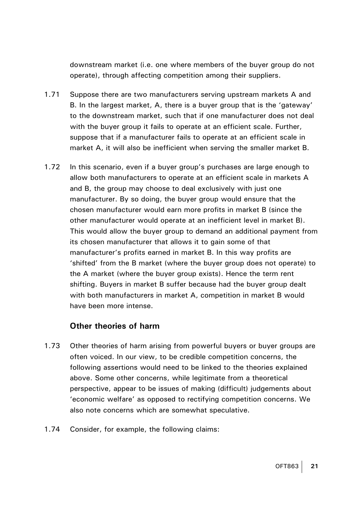downstream market (i.e. one where members of the buyer group do not operate), through affecting competition among their suppliers.

- 1.71 Suppose there are two manufacturers serving upstream markets A and B. In the largest market, A, there is a buyer group that is the 'gateway' to the downstream market, such that if one manufacturer does not deal with the buyer group it fails to operate at an efficient scale. Further, suppose that if a manufacturer fails to operate at an efficient scale in market A, it will also be inefficient when serving the smaller market B.
- 1.72 In this scenario, even if a buyer group's purchases are large enough to allow both manufacturers to operate at an efficient scale in markets A and B, the group may choose to deal exclusively with just one manufacturer. By so doing, the buyer group would ensure that the chosen manufacturer would earn more profits in market B (since the other manufacturer would operate at an inefficient level in market B). This would allow the buyer group to demand an additional payment from its chosen manufacturer that allows it to gain some of that manufacturer's profits earned in market B. In this way profits are 'shifted' from the B market (where the buyer group does not operate) to the A market (where the buyer group exists). Hence the term rent shifting. Buyers in market B suffer because had the buyer group dealt with both manufacturers in market A, competition in market B would have been more intense.

#### **Other theories of harm**

- 1.73 Other theories of harm arising from powerful buyers or buyer groups are often voiced. In our view, to be credible competition concerns, the following assertions would need to be linked to the theories explained above. Some other concerns, while legitimate from a theoretical perspective, appear to be issues of making (difficult) judgements about 'economic welfare' as opposed to rectifying competition concerns. We also note concerns which are somewhat speculative.
- 1.74 Consider, for example, the following claims: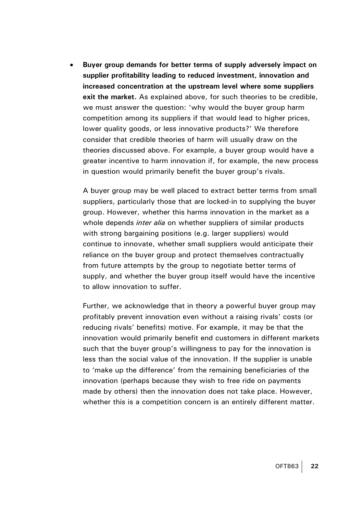• **Buyer group demands for better terms of supply adversely impact on supplier profitability leading to reduced investment, innovation and increased concentration at the upstream level where some suppliers exit the market.** As explained above, for such theories to be credible, we must answer the question: 'why would the buyer group harm competition among its suppliers if that would lead to higher prices, lower quality goods, or less innovative products?' We therefore consider that credible theories of harm will usually draw on the theories discussed above. For example, a buyer group would have a greater incentive to harm innovation if, for example, the new process in question would primarily benefit the buyer group's rivals.

A buyer group may be well placed to extract better terms from small suppliers, particularly those that are locked-in to supplying the buyer group. However, whether this harms innovation in the market as a whole depends *inter alia* on whether suppliers of similar products with strong bargaining positions (e.g. larger suppliers) would continue to innovate, whether small suppliers would anticipate their reliance on the buyer group and protect themselves contractually from future attempts by the group to negotiate better terms of supply, and whether the buyer group itself would have the incentive to allow innovation to suffer.

Further, we acknowledge that in theory a powerful buyer group may profitably prevent innovation even without a raising rivals' costs (or reducing rivals' benefits) motive. For example, it may be that the innovation would primarily benefit end customers in different markets such that the buyer group's willingness to pay for the innovation is less than the social value of the innovation. If the supplier is unable to 'make up the difference' from the remaining beneficiaries of the innovation (perhaps because they wish to free ride on payments made by others) then the innovation does not take place. However, whether this is a competition concern is an entirely different matter.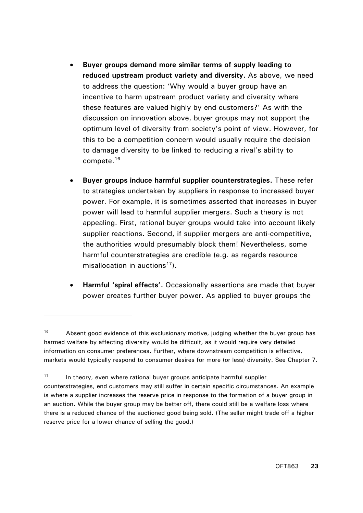- <span id="page-25-0"></span>• **Buyer groups demand more similar terms of supply leading to reduced upstream product variety and diversity.** As above, we need to address the question: 'Why would a buyer group have an incentive to harm upstream product variety and diversity where these features are valued highly by end customers?' As with the discussion on innovation above, buyer groups may not support the optimum level of diversity from society's point of view. However, for this to be a competition concern would usually require the decision to damage diversity to be linked to reducing a rival's ability to compete. $16$
- **Buyer groups induce harmful supplier counterstrategies.** These refer to strategies undertaken by suppliers in response to increased buyer power. For example, it is sometimes asserted that increases in buyer power will lead to harmful supplier mergers. Such a theory is not appealing. First, rational buyer groups would take into account likely supplier reactions. Second, if supplier mergers are anti-competitive, the authorities would presumably block them! Nevertheless, some harmful counterstrategies are credible (e.g. as regards resource misallocation in auctions<sup>[17](#page-25-0)</sup>).
- **Harmful 'spiral effects'.** Occasionally assertions are made that buyer power creates further buyer power. As applied to buyer groups the

<sup>&</sup>lt;sup>16</sup> Absent good evidence of this exclusionary motive, judging whether the buyer group has harmed welfare by affecting diversity would be difficult, as it would require very detailed information on consumer preferences. Further, where downstream competition is effective, markets would typically respond to consumer desires for more (or less) diversity. See Chapter 7.

 $17$  In theory, even where rational buyer groups anticipate harmful supplier counterstrategies, end customers may still suffer in certain specific circumstances. An example is where a supplier increases the reserve price in response to the formation of a buyer group in an auction. While the buyer group may be better off, there could still be a welfare loss where there is a reduced chance of the auctioned good being sold. (The seller might trade off a higher reserve price for a lower chance of selling the good.)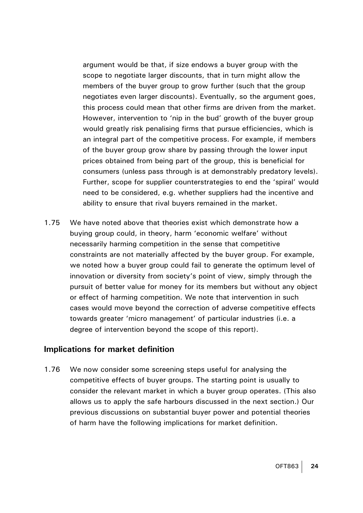argument would be that, if size endows a buyer group with the scope to negotiate larger discounts, that in turn might allow the members of the buyer group to grow further (such that the group negotiates even larger discounts). Eventually, so the argument goes, this process could mean that other firms are driven from the market. However, intervention to 'nip in the bud' growth of the buyer group would greatly risk penalising firms that pursue efficiencies, which is an integral part of the competitive process. For example, if members of the buyer group grow share by passing through the lower input prices obtained from being part of the group, this is beneficial for consumers (unless pass through is at demonstrably predatory levels). Further, scope for supplier counterstrategies to end the 'spiral' would need to be considered, e.g. whether suppliers had the incentive and ability to ensure that rival buyers remained in the market.

1.75 We have noted above that theories exist which demonstrate how a buying group could, in theory, harm 'economic welfare' without necessarily harming competition in the sense that competitive constraints are not materially affected by the buyer group. For example, we noted how a buyer group could fail to generate the optimum level of innovation or diversity from society's point of view, simply through the pursuit of better value for money for its members but without any object or effect of harming competition. We note that intervention in such cases would move beyond the correction of adverse competitive effects towards greater 'micro management' of particular industries (i.e. a degree of intervention beyond the scope of this report).

#### **Implications for market definition**

1.76 We now consider some screening steps useful for analysing the competitive effects of buyer groups. The starting point is usually to consider the relevant market in which a buyer group operates. (This also allows us to apply the safe harbours discussed in the next section.) Our previous discussions on substantial buyer power and potential theories of harm have the following implications for market definition.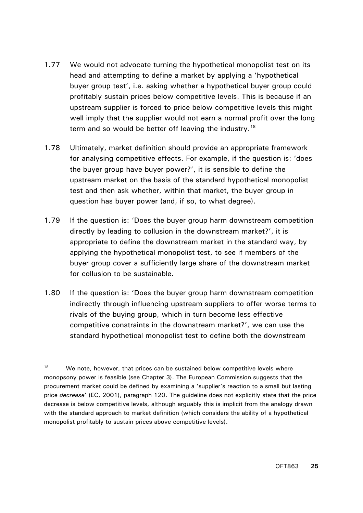- <span id="page-27-0"></span>1.77 We would not advocate turning the hypothetical monopolist test on its head and attempting to define a market by applying a 'hypothetical buyer group test', i.e. asking whether a hypothetical buyer group could profitably sustain prices below competitive levels. This is because if an upstream supplier is forced to price below competitive levels this might well imply that the supplier would not earn a normal profit over the long term and so would be better off leaving the industry.<sup>[18](#page-27-0)</sup>
- 1.78 Ultimately, market definition should provide an appropriate framework for analysing competitive effects. For example, if the question is: 'does the buyer group have buyer power?', it is sensible to define the upstream market on the basis of the standard hypothetical monopolist test and then ask whether, within that market, the buyer group in question has buyer power (and, if so, to what degree).
- 1.79 If the question is: 'Does the buyer group harm downstream competition directly by leading to collusion in the downstream market?', it is appropriate to define the downstream market in the standard way, by applying the hypothetical monopolist test, to see if members of the buyer group cover a sufficiently large share of the downstream market for collusion to be sustainable.
- 1.80 If the question is: 'Does the buyer group harm downstream competition indirectly through influencing upstream suppliers to offer worse terms to rivals of the buying group, which in turn become less effective competitive constraints in the downstream market?', we can use the standard hypothetical monopolist test to define both the downstream

 $18$  We note, however, that prices can be sustained below competitive levels where monopsony power is feasible (see Chapter 3). The European Commission suggests that the procurement market could be defined by examining a 'supplier's reaction to a small but lasting price *decrease*' (EC, 2001), paragraph 120. The guideline does not explicitly state that the price decrease is below competitive levels, although arguably this is implicit from the analogy drawn with the standard approach to market definition (which considers the ability of a hypothetical monopolist profitably to sustain prices above competitive levels).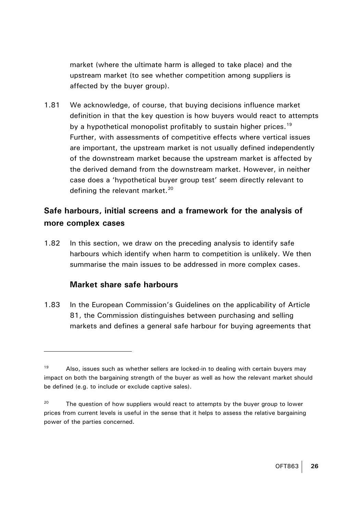<span id="page-28-0"></span>market (where the ultimate harm is alleged to take place) and the upstream market (to see whether competition among suppliers is affected by the buyer group).

1.81 We acknowledge, of course, that buying decisions influence market definition in that the key question is how buyers would react to attempts by a hypothetical monopolist profitably to sustain higher prices.<sup>[19](#page-28-0)</sup> Further, with assessments of competitive effects where vertical issues are important, the upstream market is not usually defined independently of the downstream market because the upstream market is affected by the derived demand from the downstream market. However, in neither case does a 'hypothetical buyer group test' seem directly relevant to defining the relevant market.<sup>[20](#page-28-0)</sup>

# **Safe harbours, initial screens and a framework for the analysis of more complex cases**

1.82 In this section, we draw on the preceding analysis to identify safe harbours which identify when harm to competition is unlikely. We then summarise the main issues to be addressed in more complex cases.

#### **Market share safe harbours**

 $\overline{a}$ 

1.83 In the European Commission's Guidelines on the applicability of Article 81, the Commission distinguishes between purchasing and selling markets and defines a general safe harbour for buying agreements that

 $19$  Also, issues such as whether sellers are locked-in to dealing with certain buyers may impact on both the bargaining strength of the buyer as well as how the relevant market should be defined (e.g. to include or exclude captive sales).

<sup>&</sup>lt;sup>20</sup> The question of how suppliers would react to attempts by the buyer group to lower prices from current levels is useful in the sense that it helps to assess the relative bargaining power of the parties concerned.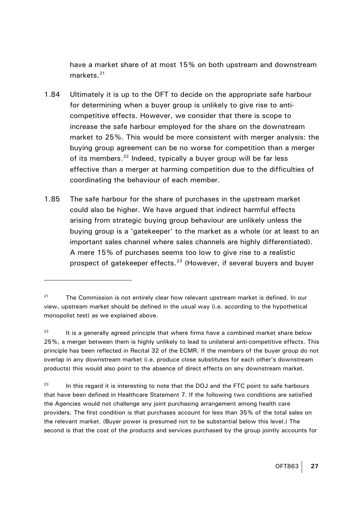have a market share of at most 15% on both upstream and downstream markets.<sup>[21](#page-29-0)</sup>

- <span id="page-29-0"></span>1.84 Ultimately it is up to the OFT to decide on the appropriate safe harbour for determining when a buyer group is unlikely to give rise to anticompetitive effects. However, we consider that there is scope to increase the safe harbour employed for the share on the downstream market to 25%. This would be more consistent with merger analysis: the buying group agreement can be no worse for competition than a merger of its members. $^{22}$  $^{22}$  $^{22}$  Indeed, typically a buyer group will be far less effective than a merger at harming competition due to the difficulties of coordinating the behaviour of each member.
- 1.85 The safe harbour for the share of purchases in the upstream market could also be higher. We have argued that indirect harmful effects arising from strategic buying group behaviour are unlikely unless the buying group is a 'gatekeeper' to the market as a whole (or at least to an important sales channel where sales channels are highly differentiated). A mere 15% of purchases seems too low to give rise to a realistic prospect of gatekeeper effects.<sup>[23](#page-29-0)</sup> (However, if several buyers and buyer

 $21$  The Commission is not entirely clear how relevant upstream market is defined. In our view, upstream market should be defined in the usual way (i.e. according to the hypothetical monopolist test) as we explained above.

<sup>&</sup>lt;sup>22</sup> It is a generally agreed principle that where firms have a combined market share below 25%, a merger between them is highly unlikely to lead to unilateral anti-competitive effects. This principle has been reflected in Recital 32 of the ECMR. If the members of the buyer group do not overlap in any downstream market (i.e. produce close substitutes for each other's downstream products) this would also point to the absence of direct effects on any downstream market.

 $23$  In this regard it is interesting to note that the DOJ and the FTC point to safe harbours that have been defined in Healthcare Statement 7. If the following two conditions are satisfied the Agencies would not challenge any joint purchasing arrangement among health care providers. The first condition is that purchases account for less than 35% of the total sales on the relevant market. (Buyer power is presumed not to be substantial below this level.) The second is that the cost of the products and services purchased by the group jointly accounts for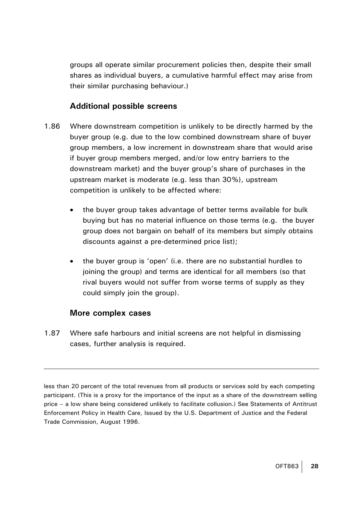groups all operate similar procurement policies then, despite their small shares as individual buyers, a cumulative harmful effect may arise from their similar purchasing behaviour.)

#### **Additional possible screens**

- 1.86 Where downstream competition is unlikely to be directly harmed by the buyer group (e.g. due to the low combined downstream share of buyer group members, a low increment in downstream share that would arise if buyer group members merged, and/or low entry barriers to the downstream market) and the buyer group's share of purchases in the upstream market is moderate (e.g. less than 30%), upstream competition is unlikely to be affected where:
	- the buyer group takes advantage of better terms available for bulk buying but has no material influence on those terms (e.g. the buyer group does not bargain on behalf of its members but simply obtains discounts against a pre-determined price list);
	- the buyer group is 'open' (i.e. there are no substantial hurdles to joining the group) and terms are identical for all members (so that rival buyers would not suffer from worse terms of supply as they could simply join the group).

#### **More complex cases**

 $\overline{a}$ 

1.87 Where safe harbours and initial screens are not helpful in dismissing cases, further analysis is required.

less than 20 percent of the total revenues from all products or services sold by each competing participant. (This is a proxy for the importance of the input as a share of the downstream selling price – a low share being considered unlikely to facilitate collusion.) See Statements of Antitrust Enforcement Policy in Health Care, Issued by the U.S. Department of Justice and the Federal Trade Commission, August 1996.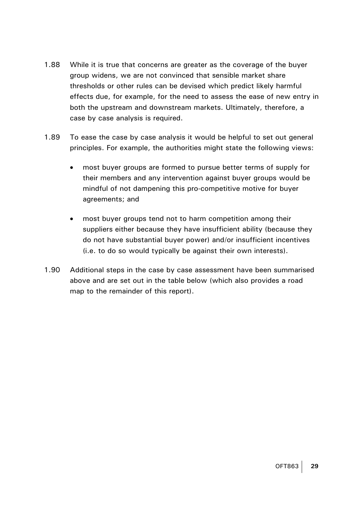- 1.88 While it is true that concerns are greater as the coverage of the buyer group widens, we are not convinced that sensible market share thresholds or other rules can be devised which predict likely harmful effects due, for example, for the need to assess the ease of new entry in both the upstream and downstream markets. Ultimately, therefore, a case by case analysis is required.
- 1.89 To ease the case by case analysis it would be helpful to set out general principles. For example, the authorities might state the following views:
	- most buyer groups are formed to pursue better terms of supply for their members and any intervention against buyer groups would be mindful of not dampening this pro-competitive motive for buyer agreements; and
	- most buyer groups tend not to harm competition among their suppliers either because they have insufficient ability (because they do not have substantial buyer power) and/or insufficient incentives (i.e. to do so would typically be against their own interests).
- 1.90 Additional steps in the case by case assessment have been summarised above and are set out in the table below (which also provides a road map to the remainder of this report).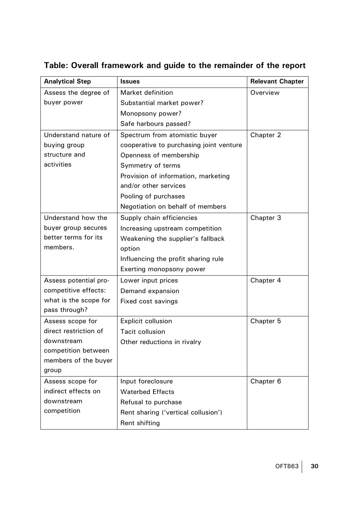| <b>Analytical Step</b> | <b>Issues</b>                           | <b>Relevant Chapter</b> |
|------------------------|-----------------------------------------|-------------------------|
| Assess the degree of   | Market definition                       | Overview                |
| buyer power            | Substantial market power?               |                         |
|                        | Monopsony power?                        |                         |
|                        | Safe harbours passed?                   |                         |
| Understand nature of   | Spectrum from atomistic buyer           | Chapter 2               |
| buying group           | cooperative to purchasing joint venture |                         |
| structure and          | Openness of membership                  |                         |
| activities             | Symmetry of terms                       |                         |
|                        | Provision of information, marketing     |                         |
|                        | and/or other services                   |                         |
|                        | Pooling of purchases                    |                         |
|                        | Negotiation on behalf of members        |                         |
| Understand how the     | Supply chain efficiencies               | Chapter 3               |
| buyer group secures    | Increasing upstream competition         |                         |
| better terms for its   | Weakening the supplier's fallback       |                         |
| members.               | option                                  |                         |
|                        | Influencing the profit sharing rule     |                         |
|                        | Exerting monopsony power                |                         |
| Assess potential pro-  | Lower input prices                      | Chapter 4               |
| competitive effects:   | Demand expansion                        |                         |
| what is the scope for  | Fixed cost savings                      |                         |
| pass through?          |                                         |                         |
| Assess scope for       | <b>Explicit collusion</b>               | Chapter 5               |
| direct restriction of  | <b>Tacit collusion</b>                  |                         |
| downstream             | Other reductions in rivalry             |                         |
| competition between    |                                         |                         |
| members of the buyer   |                                         |                         |
| group                  |                                         |                         |
| Assess scope for       | Input foreclosure                       | Chapter 6               |
| indirect effects on    | <b>Waterbed Effects</b>                 |                         |
| downstream             | Refusal to purchase                     |                         |
| competition            | Rent sharing ('vertical collusion')     |                         |
|                        | Rent shifting                           |                         |

# **Table: Overall framework and guide to the remainder of the report**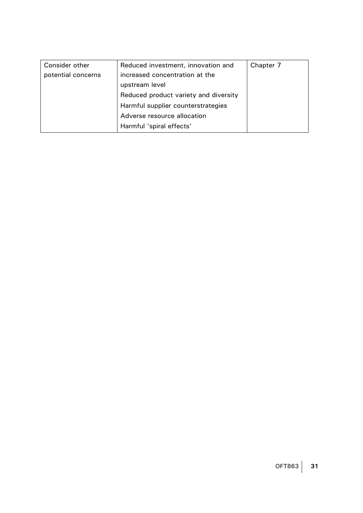| Consider other     | Reduced investment, innovation and    | Chapter 7 |
|--------------------|---------------------------------------|-----------|
| potential concerns | increased concentration at the        |           |
|                    | upstream level                        |           |
|                    | Reduced product variety and diversity |           |
|                    | Harmful supplier counterstrategies    |           |
|                    | Adverse resource allocation           |           |
|                    | Harmful 'spiral effects'              |           |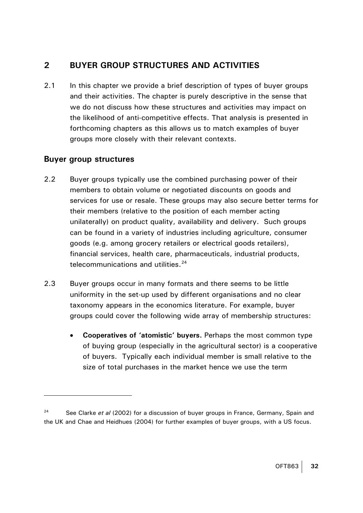# <span id="page-34-1"></span><span id="page-34-0"></span>**2 BUYER GROUP STRUCTURES AND ACTIVITIES**

2.1 In this chapter we provide a brief description of types of buyer groups and their activities. The chapter is purely descriptive in the sense that we do not discuss how these structures and activities may impact on the likelihood of anti-competitive effects. That analysis is presented in forthcoming chapters as this allows us to match examples of buyer groups more closely with their relevant contexts.

#### **Buyer group structures**

- 2.2 Buyer groups typically use the combined purchasing power of their members to obtain volume or negotiated discounts on goods and services for use or resale. These groups may also secure better terms for their members (relative to the position of each member acting unilaterally) on product quality, availability and delivery. Such groups can be found in a variety of industries including agriculture, consumer goods (e.g. among grocery retailers or electrical goods retailers), financial services, health care, pharmaceuticals, industrial products, telecommunications and utilities.  $24$
- 2.3 Buyer groups occur in many formats and there seems to be little uniformity in the set-up used by different organisations and no clear taxonomy appears in the economics literature. For example, buyer groups could cover the following wide array of membership structures:
	- **Cooperatives of 'atomistic' buyers.** Perhaps the most common type of buying group (especially in the agricultural sector) is a cooperative of buyers. Typically each individual member is small relative to the size of total purchases in the market hence we use the term

<sup>&</sup>lt;sup>24</sup> See Clarke *et al* (2002) for a discussion of buyer groups in France, Germany, Spain and the UK and Chae and Heidhues (2004) for further examples of buyer groups, with a US focus.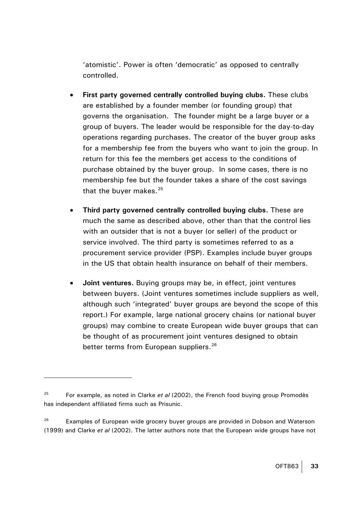'atomistic'. Power is often 'democratic' as opposed to centrally controlled.

- <span id="page-35-0"></span>• **First party governed centrally controlled buying clubs.** These clubs are established by a founder member (or founding group) that governs the organisation. The founder might be a large buyer or a group of buyers. The leader would be responsible for the day-to-day operations regarding purchases. The creator of the buyer group asks for a membership fee from the buyers who want to join the group. In return for this fee the members get access to the conditions of purchase obtained by the buyer group. In some cases, there is no membership fee but the founder takes a share of the cost savings that the buyer makes. $25$
- **Third party governed centrally controlled buying clubs.** These are much the same as described above, other than that the control lies with an outsider that is not a buyer (or seller) of the product or service involved. The third party is sometimes referred to as a procurement service provider (PSP). Examples include buyer groups in the US that obtain health insurance on behalf of their members.
- **Joint ventures.** Buying groups may be, in effect, joint ventures between buyers. (Joint ventures sometimes include suppliers as well, although such 'integrated' buyer groups are beyond the scope of this report.) For example, large national grocery chains (or national buyer groups) may combine to create European wide buyer groups that can be thought of as procurement joint ventures designed to obtain better terms from European suppliers.<sup>[26](#page-35-0)</sup>

<sup>25</sup> For example, as noted in Clarke *et al* (2002), the French food buying group Promodès has independent affiliated firms such as Prisunic.

 $26$  Examples of European wide grocery buyer groups are provided in Dobson and Waterson (1999) and Clarke *et al* (2002). The latter authors note that the European wide groups have not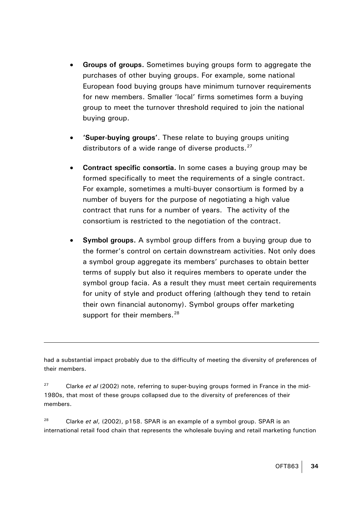- <span id="page-36-0"></span>• **Groups of groups.** Sometimes buying groups form to aggregate the purchases of other buying groups. For example, some national European food buying groups have minimum turnover requirements for new members. Smaller 'local' firms sometimes form a buying group to meet the turnover threshold required to join the national buying group.
- **'Super-buying groups'**. These relate to buying groups uniting distributors of a wide range of diverse products.<sup>[27](#page-36-0)</sup>
- **Contract specific consortia.** In some cases a buying group may be formed specifically to meet the requirements of a single contract. For example, sometimes a multi-buyer consortium is formed by a number of buyers for the purpose of negotiating a high value contract that runs for a number of years. The activity of the consortium is restricted to the negotiation of the contract.
- **Symbol groups.** A symbol group differs from a buying group due to the former's control on certain downstream activities. Not only does a symbol group aggregate its members' purchases to obtain better terms of supply but also it requires members to operate under the symbol group facia. As a result they must meet certain requirements for unity of style and product offering (although they tend to retain their own financial autonomy). Symbol groups offer marketing support for their members.<sup>[28](#page-36-0)</sup>

had a substantial impact probably due to the difficulty of meeting the diversity of preferences of their members.

 $\overline{a}$ 

<sup>27</sup> Clarke *et al* (2002) note, referring to super-buying groups formed in France in the mid-1980s, that most of these groups collapsed due to the diversity of preferences of their members.

28 Clarke *et al*, (2002), p158. SPAR is an example of a symbol group. SPAR is an international retail food chain that represents the wholesale buying and retail marketing function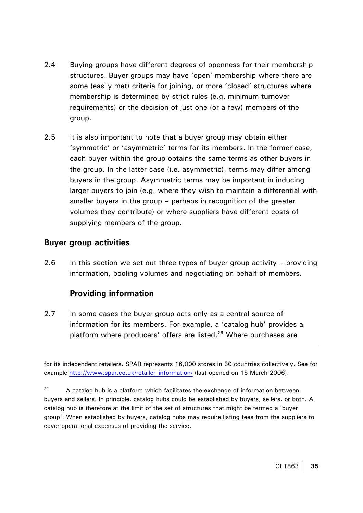- <span id="page-37-0"></span>2.4 Buying groups have different degrees of openness for their membership structures. Buyer groups may have 'open' membership where there are some (easily met) criteria for joining, or more 'closed' structures where membership is determined by strict rules (e.g. minimum turnover requirements) or the decision of just one (or a few) members of the group.
- 2.5 It is also important to note that a buyer group may obtain either 'symmetric' or 'asymmetric' terms for its members. In the former case, each buyer within the group obtains the same terms as other buyers in the group. In the latter case (i.e. asymmetric), terms may differ among buyers in the group. Asymmetric terms may be important in inducing larger buyers to join (e.g. where they wish to maintain a differential with smaller buyers in the group – perhaps in recognition of the greater volumes they contribute) or where suppliers have different costs of supplying members of the group.

#### **Buyer group activities**

 $\overline{a}$ 

2.6 In this section we set out three types of buyer group activity – providing information, pooling volumes and negotiating on behalf of members.

# **Providing information**

2.7 In some cases the buyer group acts only as a central source of information for its members. For example, a 'catalog hub' provides a platform where producers' offers are listed.<sup>[29](#page-37-0)</sup> Where purchases are

for its independent retailers. SPAR represents 16,000 stores in 30 countries collectively. See for example [http://www.spar.co.uk/retailer\\_information/](http://www.spar.co.uk/retailer_information/) (last opened on 15 March 2006).

 $29$  A catalog hub is a platform which facilitates the exchange of information between buyers and sellers. In principle, catalog hubs could be established by buyers, sellers, or both. A catalog hub is therefore at the limit of the set of structures that might be termed a 'buyer group'. When established by buyers, catalog hubs may require listing fees from the suppliers to cover operational expenses of providing the service.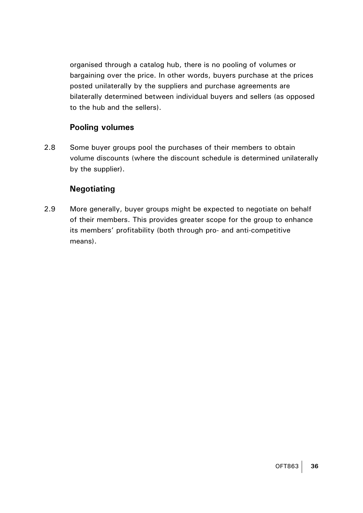organised through a catalog hub, there is no pooling of volumes or bargaining over the price. In other words, buyers purchase at the prices posted unilaterally by the suppliers and purchase agreements are bilaterally determined between individual buyers and sellers (as opposed to the hub and the sellers).

# **Pooling volumes**

2.8 Some buyer groups pool the purchases of their members to obtain volume discounts (where the discount schedule is determined unilaterally by the supplier).

# **Negotiating**

2.9 More generally, buyer groups might be expected to negotiate on behalf of their members. This provides greater scope for the group to enhance its members' profitability (both through pro- and anti-competitive means).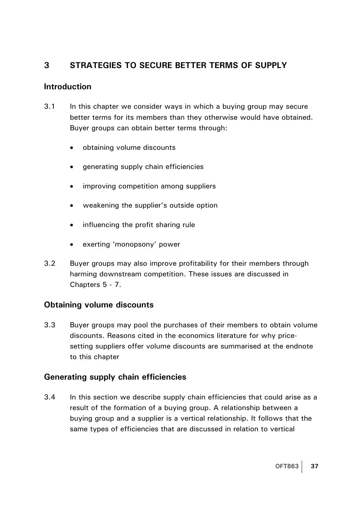# **3 STRATEGIES TO SECURE BETTER TERMS OF SUPPLY**

## **Introduction**

- 3.1 In this chapter we consider ways in which a buying group may secure better terms for its members than they otherwise would have obtained. Buyer groups can obtain better terms through:
	- obtaining volume discounts
	- generating supply chain efficiencies
	- improving competition among suppliers
	- weakening the supplier's outside option
	- influencing the profit sharing rule
	- exerting 'monopsony' power
- 3.2 Buyer groups may also improve profitability for their members through harming downstream competition. These issues are discussed in Chapters 5 - 7.

## **Obtaining volume discounts**

3.3 Buyer groups may pool the purchases of their members to obtain volume discounts. Reasons cited in the economics literature for why pricesetting suppliers offer volume discounts are summarised at the endnote to this chapter

## **Generating supply chain efficiencies**

3.4 In this section we describe supply chain efficiencies that could arise as a result of the formation of a buying group. A relationship between a buying group and a supplier is a vertical relationship. It follows that the same types of efficiencies that are discussed in relation to vertical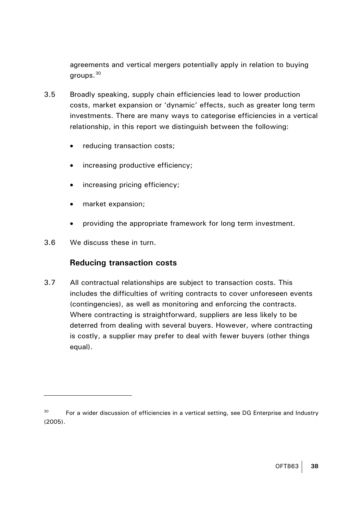agreements and vertical mergers potentially apply in relation to buying groups.[30](#page-40-0)

- <span id="page-40-0"></span>3.5 Broadly speaking, supply chain efficiencies lead to lower production costs, market expansion or 'dynamic' effects, such as greater long term investments. There are many ways to categorise efficiencies in a vertical relationship, in this report we distinguish between the following:
	- reducing transaction costs;
	- increasing productive efficiency;
	- increasing pricing efficiency;
	- market expansion;
	- providing the appropriate framework for long term investment.
- 3.6 We discuss these in turn.

 $\overline{a}$ 

## **Reducing transaction costs**

3.7 All contractual relationships are subject to transaction costs. This includes the difficulties of writing contracts to cover unforeseen events (contingencies), as well as monitoring and enforcing the contracts. Where contracting is straightforward, suppliers are less likely to be deterred from dealing with several buyers. However, where contracting is costly, a supplier may prefer to deal with fewer buyers (other things equal).

 $30$  For a wider discussion of efficiencies in a vertical setting, see DG Enterprise and Industry (2005).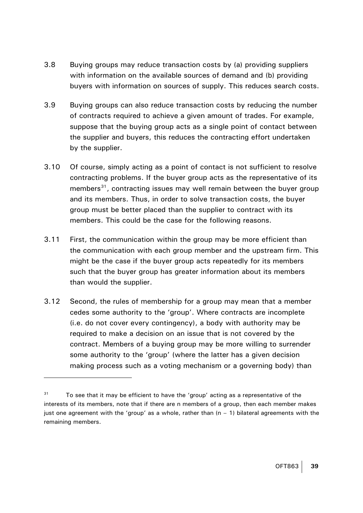- <span id="page-41-0"></span>3.8 Buying groups may reduce transaction costs by (a) providing suppliers with information on the available sources of demand and (b) providing buyers with information on sources of supply. This reduces search costs.
- 3.9 Buying groups can also reduce transaction costs by reducing the number of contracts required to achieve a given amount of trades. For example, suppose that the buying group acts as a single point of contact between the supplier and buyers, this reduces the contracting effort undertaken by the supplier.
- 3.10 Of course, simply acting as a point of contact is not sufficient to resolve contracting problems. If the buyer group acts as the representative of its members<sup>[31](#page-41-0)</sup>, contracting issues may well remain between the buyer group and its members. Thus, in order to solve transaction costs, the buyer group must be better placed than the supplier to contract with its members. This could be the case for the following reasons.
- 3.11 First, the communication within the group may be more efficient than the communication with each group member and the upstream firm. This might be the case if the buyer group acts repeatedly for its members such that the buyer group has greater information about its members than would the supplier.
- 3.12 Second, the rules of membership for a group may mean that a member cedes some authority to the 'group'. Where contracts are incomplete (i.e. do not cover every contingency), a body with authority may be required to make a decision on an issue that is not covered by the contract. Members of a buying group may be more willing to surrender some authority to the 'group' (where the latter has a given decision making process such as a voting mechanism or a governing body) than

 $31$  To see that it may be efficient to have the 'group' acting as a representative of the interests of its members, note that if there are n members of a group, then each member makes just one agreement with the 'group' as a whole, rather than  $(n - 1)$  bilateral agreements with the remaining members.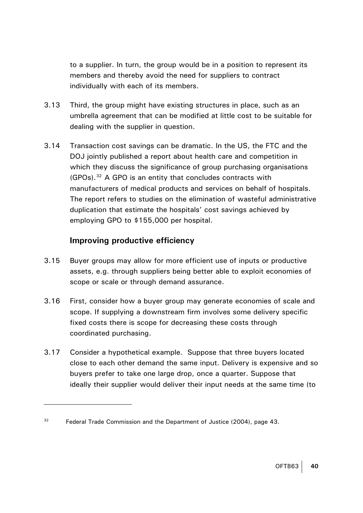<span id="page-42-0"></span>to a supplier. In turn, the group would be in a position to represent its members and thereby avoid the need for suppliers to contract individually with each of its members.

- 3.13 Third, the group might have existing structures in place, such as an umbrella agreement that can be modified at little cost to be suitable for dealing with the supplier in question.
- 3.14 Transaction cost savings can be dramatic. In the US, the FTC and the DOJ jointly published a report about health care and competition in which they discuss the significance of group purchasing organisations (GPOs).[32](#page-42-0) A GPO is an entity that concludes contracts with manufacturers of medical products and services on behalf of hospitals. The report refers to studies on the elimination of wasteful administrative duplication that estimate the hospitals' cost savings achieved by employing GPO to \$155,000 per hospital.

# **Improving productive efficiency**

- 3.15 Buyer groups may allow for more efficient use of inputs or productive assets, e.g. through suppliers being better able to exploit economies of scope or scale or through demand assurance.
- 3.16 First, consider how a buyer group may generate economies of scale and scope. If supplying a downstream firm involves some delivery specific fixed costs there is scope for decreasing these costs through coordinated purchasing.
- 3.17 Consider a hypothetical example. Suppose that three buyers located close to each other demand the same input. Delivery is expensive and so buyers prefer to take one large drop, once a quarter. Suppose that ideally their supplier would deliver their input needs at the same time (to

 $32$  Federal Trade Commission and the Department of Justice (2004), page 43.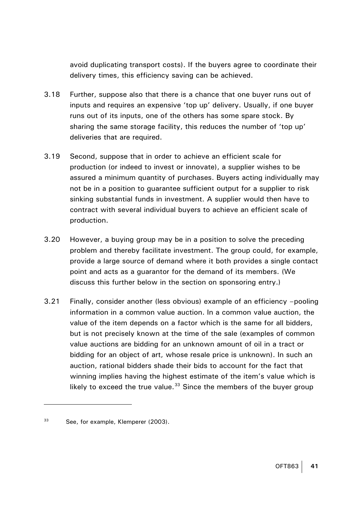avoid duplicating transport costs). If the buyers agree to coordinate their delivery times, this efficiency saving can be achieved.

- <span id="page-43-0"></span>3.18 Further, suppose also that there is a chance that one buyer runs out of inputs and requires an expensive 'top up' delivery. Usually, if one buyer runs out of its inputs, one of the others has some spare stock. By sharing the same storage facility, this reduces the number of 'top up' deliveries that are required.
- 3.19 Second, suppose that in order to achieve an efficient scale for production (or indeed to invest or innovate), a supplier wishes to be assured a minimum quantity of purchases. Buyers acting individually may not be in a position to guarantee sufficient output for a supplier to risk sinking substantial funds in investment. A supplier would then have to contract with several individual buyers to achieve an efficient scale of production.
- 3.20 However, a buying group may be in a position to solve the preceding problem and thereby facilitate investment. The group could, for example, provide a large source of demand where it both provides a single contact point and acts as a guarantor for the demand of its members. (We discuss this further below in the section on sponsoring entry.)
- 3.21 Finally, consider another (less obvious) example of an efficiency –pooling information in a common value auction. In a common value auction, the value of the item depends on a factor which is the same for all bidders, but is not precisely known at the time of the sale (examples of common value auctions are bidding for an unknown amount of oil in a tract or bidding for an object of art, whose resale price is unknown). In such an auction, rational bidders shade their bids to account for the fact that winning implies having the highest estimate of the item's value which is likely to exceed the true value. $33$  Since the members of the buyer group

<sup>33</sup> See, for example, Klemperer (2003).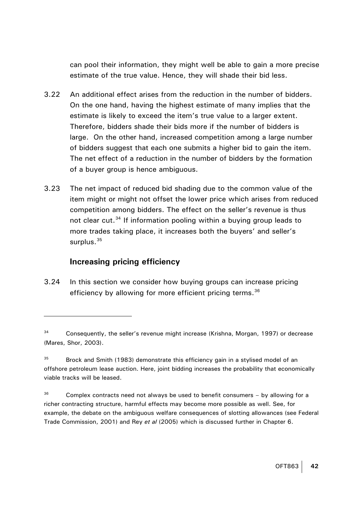can pool their information, they might well be able to gain a more precise estimate of the true value. Hence, they will shade their bid less.

- <span id="page-44-0"></span>3.22 An additional effect arises from the reduction in the number of bidders. On the one hand, having the highest estimate of many implies that the estimate is likely to exceed the item's true value to a larger extent. Therefore, bidders shade their bids more if the number of bidders is large. On the other hand, increased competition among a large number of bidders suggest that each one submits a higher bid to gain the item. The net effect of a reduction in the number of bidders by the formation of a buyer group is hence ambiguous.
- 3.23 The net impact of reduced bid shading due to the common value of the item might or might not offset the lower price which arises from reduced competition among bidders. The effect on the seller's revenue is thus not clear cut.<sup>[34](#page-44-0)</sup> If information pooling within a buying group leads to more trades taking place, it increases both the buyers' and seller's surplus. $35$

# **Increasing pricing efficiency**

 $\overline{a}$ 

3.24 In this section we consider how buying groups can increase pricing efficiency by allowing for more efficient pricing terms.<sup>[36](#page-44-0)</sup>

<sup>&</sup>lt;sup>34</sup> Consequently, the seller's revenue might increase (Krishna, Morgan, 1997) or decrease (Mares, Shor, 2003).

 $35$  Brock and Smith (1983) demonstrate this efficiency gain in a stylised model of an offshore petroleum lease auction. Here, joint bidding increases the probability that economically viable tracks will be leased.

 $36$  Complex contracts need not always be used to benefit consumers – by allowing for a richer contracting structure, harmful effects may become more possible as well. See, for example, the debate on the ambiguous welfare consequences of slotting allowances (see Federal Trade Commission, 2001) and Rey *et al* (2005) which is discussed further in Chapter 6.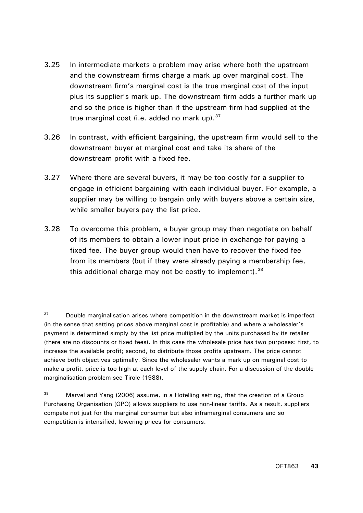- <span id="page-45-0"></span>3.25 In intermediate markets a problem may arise where both the upstream and the downstream firms charge a mark up over marginal cost. The downstream firm's marginal cost is the true marginal cost of the input plus its supplier's mark up. The downstream firm adds a further mark up and so the price is higher than if the upstream firm had supplied at the true marginal cost (i.e. added no mark up).  $37$
- 3.26 In contrast, with efficient bargaining, the upstream firm would sell to the downstream buyer at marginal cost and take its share of the downstream profit with a fixed fee.
- 3.27 Where there are several buyers, it may be too costly for a supplier to engage in efficient bargaining with each individual buyer. For example, a supplier may be willing to bargain only with buyers above a certain size, while smaller buyers pay the list price.
- 3.28 To overcome this problem, a buyer group may then negotiate on behalf of its members to obtain a lower input price in exchange for paying a fixed fee. The buyer group would then have to recover the fixed fee from its members (but if they were already paying a membership fee, this additional charge may not be costly to implement).<sup>[38](#page-45-0)</sup>

 $37$  Double marginalisation arises where competition in the downstream market is imperfect (in the sense that setting prices above marginal cost is profitable) and where a wholesaler's payment is determined simply by the list price multiplied by the units purchased by its retailer (there are no discounts or fixed fees). In this case the wholesale price has two purposes: first, to increase the available profit; second, to distribute those profits upstream. The price cannot achieve both objectives optimally. Since the wholesaler wants a mark up on marginal cost to make a profit, price is too high at each level of the supply chain. For a discussion of the double marginalisation problem see Tirole (1988).

<sup>&</sup>lt;sup>38</sup> Marvel and Yang (2006) assume, in a Hotelling setting, that the creation of a Group Purchasing Organisation (GPO) allows suppliers to use non-linear tariffs. As a result, suppliers compete not just for the marginal consumer but also inframarginal consumers and so competition is intensified, lowering prices for consumers.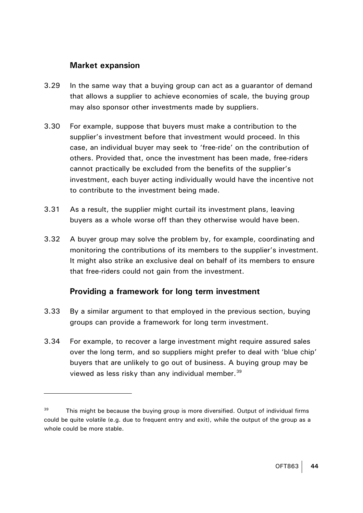#### **Market expansion**

 $\overline{a}$ 

- <span id="page-46-0"></span>3.29 In the same way that a buying group can act as a guarantor of demand that allows a supplier to achieve economies of scale, the buying group may also sponsor other investments made by suppliers.
- 3.30 For example, suppose that buyers must make a contribution to the supplier's investment before that investment would proceed. In this case, an individual buyer may seek to 'free-ride' on the contribution of others. Provided that, once the investment has been made, free-riders cannot practically be excluded from the benefits of the supplier's investment, each buyer acting individually would have the incentive not to contribute to the investment being made.
- 3.31 As a result, the supplier might curtail its investment plans, leaving buyers as a whole worse off than they otherwise would have been.
- 3.32 A buyer group may solve the problem by, for example, coordinating and monitoring the contributions of its members to the supplier's investment. It might also strike an exclusive deal on behalf of its members to ensure that free-riders could not gain from the investment.

# **Providing a framework for long term investment**

- 3.33 By a similar argument to that employed in the previous section, buying groups can provide a framework for long term investment.
- 3.34 For example, to recover a large investment might require assured sales over the long term, and so suppliers might prefer to deal with 'blue chip' buyers that are unlikely to go out of business. A buying group may be viewed as less risky than any individual member.<sup>[39](#page-46-0)</sup>

 $39$  This might be because the buying group is more diversified. Output of individual firms could be quite volatile (e.g. due to frequent entry and exit), while the output of the group as a whole could be more stable.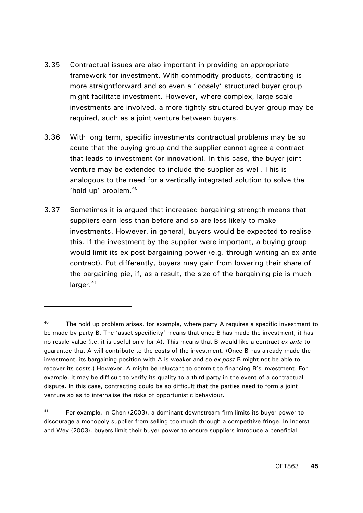- <span id="page-47-0"></span>3.35 Contractual issues are also important in providing an appropriate framework for investment. With commodity products, contracting is more straightforward and so even a 'loosely' structured buyer group might facilitate investment. However, where complex, large scale investments are involved, a more tightly structured buyer group may be required, such as a joint venture between buyers.
- 3.36 With long term, specific investments contractual problems may be so acute that the buying group and the supplier cannot agree a contract that leads to investment (or innovation). In this case, the buyer joint venture may be extended to include the supplier as well. This is analogous to the need for a vertically integrated solution to solve the 'hold up' problem.<sup>[40](#page-47-0)</sup>
- 3.37 Sometimes it is argued that increased bargaining strength means that suppliers earn less than before and so are less likely to make investments. However, in general, buyers would be expected to realise this. If the investment by the supplier were important, a buying group would limit its ex post bargaining power (e.g. through writing an ex ante contract). Put differently, buyers may gain from lowering their share of the bargaining pie, if, as a result, the size of the bargaining pie is much  $lareaer.<sup>41</sup>$  $lareaer.<sup>41</sup>$  $lareaer.<sup>41</sup>$

 $40$  The hold up problem arises, for example, where party A requires a specific investment to be made by party B. The 'asset specificity' means that once B has made the investment, it has no resale value (i.e. it is useful only for A). This means that B would like a contract *ex ante* to guarantee that A will contribute to the costs of the investment. (Once B has already made the investment, its bargaining position with A is weaker and so *ex post* B might not be able to recover its costs.) However, A might be reluctant to commit to financing B's investment. For example, it may be difficult to verify its quality to a third party in the event of a contractual dispute. In this case, contracting could be so difficult that the parties need to form a joint venture so as to internalise the risks of opportunistic behaviour.

<sup>41</sup> For example, in Chen (2003), a dominant downstream firm limits its buyer power to discourage a monopoly supplier from selling too much through a competitive fringe. In Inderst and Wey (2003), buyers limit their buyer power to ensure suppliers introduce a beneficial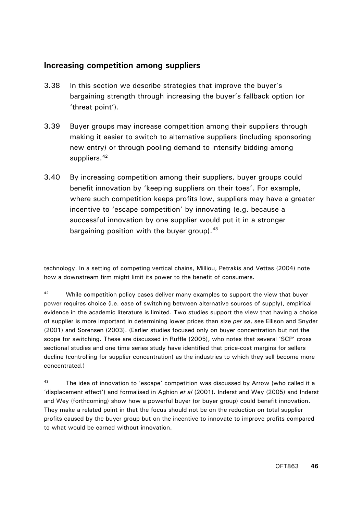#### <span id="page-48-0"></span>**Increasing competition among suppliers**

 $\overline{a}$ 

- 3.38 In this section we describe strategies that improve the buyer's bargaining strength through increasing the buyer's fallback option (or 'threat point').
- 3.39 Buyer groups may increase competition among their suppliers through making it easier to switch to alternative suppliers (including sponsoring new entry) or through pooling demand to intensify bidding among suppliers. $42$
- 3.40 By increasing competition among their suppliers, buyer groups could benefit innovation by 'keeping suppliers on their toes'. For example, where such competition keeps profits low, suppliers may have a greater incentive to 'escape competition' by innovating (e.g. because a successful innovation by one supplier would put it in a stronger bargaining position with the buyer group).  $43$

technology. In a setting of competing vertical chains, Milliou, Petrakis and Vettas (2004) note how a downstream firm might limit its power to the benefit of consumers.

<sup>42</sup> While competition policy cases deliver many examples to support the view that buyer power requires choice (i.e. ease of switching between alternative sources of supply), empirical evidence in the academic literature is limited. Two studies support the view that having a choice of supplier is more important in determining lower prices than size *per se*, see Ellison and Snyder (2001) and Sorensen (2003). (Earlier studies focused only on buyer concentration but not the scope for switching. These are discussed in Ruffle (2005), who notes that several 'SCP' cross sectional studies and one time series study have identified that price-cost margins for sellers decline (controlling for supplier concentration) as the industries to which they sell become more concentrated.)

<sup>43</sup> The idea of innovation to 'escape' competition was discussed by Arrow (who called it a 'displacement effect') and formalised in Aghion *et al* (2001). Inderst and Wey (2005) and Inderst and Wey (forthcoming) show how a powerful buyer (or buyer group) could benefit innovation. They make a related point in that the focus should not be on the reduction on total supplier profits caused by the buyer group but on the incentive to innovate to improve profits compared to what would be earned without innovation.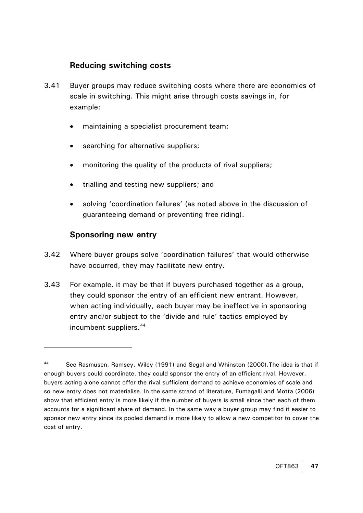# **Reducing switching costs**

- <span id="page-49-0"></span>3.41 Buyer groups may reduce switching costs where there are economies of scale in switching. This might arise through costs savings in, for example:
	- maintaining a specialist procurement team;
	- searching for alternative suppliers;
	- monitoring the quality of the products of rival suppliers;
	- trialling and testing new suppliers; and
	- solving 'coordination failures' (as noted above in the discussion of guaranteeing demand or preventing free riding).

#### **Sponsoring new entry**

- 3.42 Where buyer groups solve 'coordination failures' that would otherwise have occurred, they may facilitate new entry.
- 3.43 For example, it may be that if buyers purchased together as a group, they could sponsor the entry of an efficient new entrant. However, when acting individually, each buyer may be ineffective in sponsoring entry and/or subject to the 'divide and rule' tactics employed by incumbent suppliers.<sup>[44](#page-49-0)</sup>

<sup>44</sup> See Rasmusen, Ramsey, Wiley (1991) and Segal and Whinston (2000). The idea is that if enough buyers could coordinate, they could sponsor the entry of an efficient rival. However, buyers acting alone cannot offer the rival sufficient demand to achieve economies of scale and so new entry does not materialise. In the same strand of literature, Fumagalli and Motta (2006) show that efficient entry is more likely if the number of buyers is small since then each of them accounts for a significant share of demand. In the same way a buyer group may find it easier to sponsor new entry since its pooled demand is more likely to allow a new competitor to cover the cost of entry.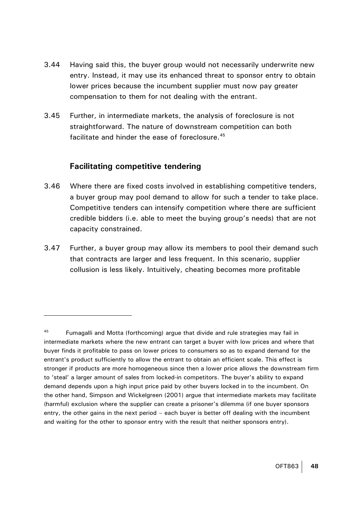- <span id="page-50-0"></span>3.44 Having said this, the buyer group would not necessarily underwrite new entry. Instead, it may use its enhanced threat to sponsor entry to obtain lower prices because the incumbent supplier must now pay greater compensation to them for not dealing with the entrant.
- 3.45 Further, in intermediate markets, the analysis of foreclosure is not straightforward. The nature of downstream competition can both facilitate and hinder the ease of foreclosure.<sup>45</sup>

#### **Facilitating competitive tendering**

- 3.46 Where there are fixed costs involved in establishing competitive tenders, a buyer group may pool demand to allow for such a tender to take place. Competitive tenders can intensify competition where there are sufficient credible bidders (i.e. able to meet the buying group's needs) that are not capacity constrained.
- 3.47 Further, a buyer group may allow its members to pool their demand such that contracts are larger and less frequent. In this scenario, supplier collusion is less likely. Intuitively, cheating becomes more profitable

 $45$  Fumagalli and Motta (forthcoming) argue that divide and rule strategies may fail in intermediate markets where the new entrant can target a buyer with low prices and where that buyer finds it profitable to pass on lower prices to consumers so as to expand demand for the entrant's product sufficiently to allow the entrant to obtain an efficient scale. This effect is stronger if products are more homogeneous since then a lower price allows the downstream firm to 'steal' a larger amount of sales from locked-in competitors. The buyer's ability to expand demand depends upon a high input price paid by other buyers locked in to the incumbent. On the other hand, Simpson and Wickelgreen (2001) argue that intermediate markets may facilitate (harmful) exclusion where the supplier can create a prisoner's dilemma (if one buyer sponsors entry, the other gains in the next period – each buyer is better off dealing with the incumbent and waiting for the other to sponsor entry with the result that neither sponsors entry).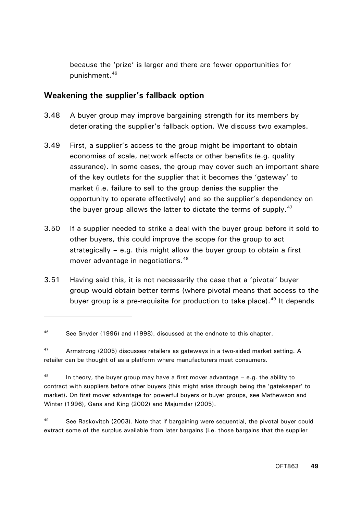because the 'prize' is larger and there are fewer opportunities for punishment.[46](#page-51-0)

#### <span id="page-51-0"></span>**Weakening the supplier's fallback option**

- 3.48 A buyer group may improve bargaining strength for its members by deteriorating the supplier's fallback option. We discuss two examples.
- 3.49 First, a supplier's access to the group might be important to obtain economies of scale, network effects or other benefits (e.g. quality assurance). In some cases, the group may cover such an important share of the key outlets for the supplier that it becomes the 'gateway' to market (i.e. failure to sell to the group denies the supplier the opportunity to operate effectively) and so the supplier's dependency on the buyer group allows the latter to dictate the terms of supply. $47$
- 3.50 If a supplier needed to strike a deal with the buyer group before it sold to other buyers, this could improve the scope for the group to act strategically – e.g. this might allow the buyer group to obtain a first mover advantage in negotiations.<sup>[48](#page-51-0)</sup>
- 3.51 Having said this, it is not necessarily the case that a 'pivotal' buyer group would obtain better terms (where pivotal means that access to the buyer group is a pre-requisite for production to take place).<sup>[49](#page-51-0)</sup> It depends

<sup>&</sup>lt;sup>46</sup> See Snyder (1996) and (1998), discussed at the endnote to this chapter.

<sup>47</sup> Armstrong (2005) discusses retailers as gateways in a two-sided market setting. A retailer can be thought of as a platform where manufacturers meet consumers.

 $48$  In theory, the buyer group may have a first mover advantage – e.g. the ability to contract with suppliers before other buyers (this might arise through being the 'gatekeeper' to market). On first mover advantage for powerful buyers or buyer groups, see Mathewson and Winter (1996), Gans and King (2002) and Majumdar (2005).

 $49$  See Raskovitch (2003). Note that if bargaining were sequential, the pivotal buyer could extract some of the surplus available from later bargains (i.e. those bargains that the supplier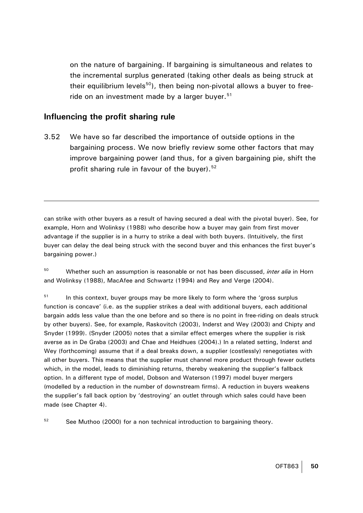<span id="page-52-0"></span>on the nature of bargaining. If bargaining is simultaneous and relates to the incremental surplus generated (taking other deals as being struck at their equilibrium levels<sup>[50](#page-52-0)</sup>), then being non-pivotal allows a buyer to freeride on an investment made by a larger buyer. $51$ 

#### **Influencing the profit sharing rule**

 $\overline{a}$ 

3.52 We have so far described the importance of outside options in the bargaining process. We now briefly review some other factors that may improve bargaining power (and thus, for a given bargaining pie, shift the profit sharing rule in favour of the buyer).  $52$ 

can strike with other buyers as a result of having secured a deal with the pivotal buyer). See, for example, Horn and Wolinksy (1988) who describe how a buyer may gain from first mover advantage if the supplier is in a hurry to strike a deal with both buyers. (Intuitively, the first buyer can delay the deal being struck with the second buyer and this enhances the first buyer's bargaining power.)

50 Whether such an assumption is reasonable or not has been discussed, *inter alia* in Horn and Wolinksy (1988), MacAfee and Schwartz (1994) and Rey and Verge (2004).

 $51$  In this context, buyer groups may be more likely to form where the 'gross surplus function is concave' (i.e. as the supplier strikes a deal with additional buyers, each additional bargain adds less value than the one before and so there is no point in free-riding on deals struck by other buyers). See, for example, Raskovitch (2003), Inderst and Wey (2003) and Chipty and Snyder (1999). (Snyder (2005) notes that a similar effect emerges where the supplier is risk averse as in De Graba (2003) and Chae and Heidhues (2004).) In a related setting, Inderst and Wey (forthcoming) assume that if a deal breaks down, a supplier (costlessly) renegotiates with all other buyers. This means that the supplier must channel more product through fewer outlets which, in the model, leads to diminishing returns, thereby weakening the supplier's fallback option. In a different type of model, Dobson and Waterson (1997) model buyer mergers (modelled by a reduction in the number of downstream firms). A reduction in buyers weakens the supplier's fall back option by 'destroying' an outlet through which sales could have been made (see Chapter 4).

 $52$  See Muthoo (2000) for a non technical introduction to bargaining theory.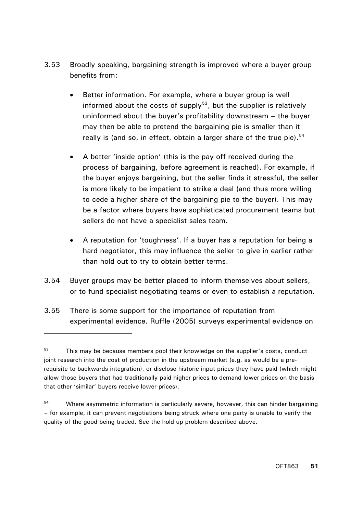- <span id="page-53-0"></span>3.53 Broadly speaking, bargaining strength is improved where a buyer group benefits from:
	- Better information. For example, where a buyer group is well informed about the costs of supply $53$ , but the supplier is relatively uninformed about the buyer's profitability downstream – the buyer may then be able to pretend the bargaining pie is smaller than it really is (and so, in effect, obtain a larger share of the true pie).  $54$
	- A better 'inside option' (this is the pay off received during the process of bargaining, before agreement is reached). For example, if the buyer enjoys bargaining, but the seller finds it stressful, the seller is more likely to be impatient to strike a deal (and thus more willing to cede a higher share of the bargaining pie to the buyer). This may be a factor where buyers have sophisticated procurement teams but sellers do not have a specialist sales team.
	- A reputation for 'toughness'. If a buyer has a reputation for being a hard negotiator, this may influence the seller to give in earlier rather than hold out to try to obtain better terms.
- 3.54 Buyer groups may be better placed to inform themselves about sellers, or to fund specialist negotiating teams or even to establish a reputation.
- 3.55 There is some support for the importance of reputation from experimental evidence. Ruffle (2005) surveys experimental evidence on

 $53$  This may be because members pool their knowledge on the supplier's costs, conduct joint research into the cost of production in the upstream market (e.g. as would be a prerequisite to backwards integration), or disclose historic input prices they have paid (which might allow those buyers that had traditionally paid higher prices to demand lower prices on the basis that other 'similar' buyers receive lower prices).

 $54$  Where asymmetric information is particularly severe, however, this can hinder bargaining – for example, it can prevent negotiations being struck where one party is unable to verify the quality of the good being traded. See the hold up problem described above.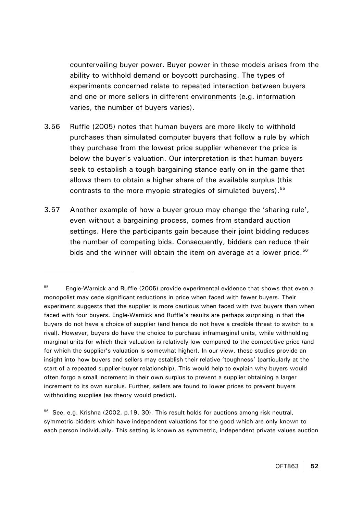<span id="page-54-0"></span>countervailing buyer power. Buyer power in these models arises from the ability to withhold demand or boycott purchasing. The types of experiments concerned relate to repeated interaction between buyers and one or more sellers in different environments (e.g. information varies, the number of buyers varies).

- 3.56 Ruffle (2005) notes that human buyers are more likely to withhold purchases than simulated computer buyers that follow a rule by which they purchase from the lowest price supplier whenever the price is below the buyer's valuation. Our interpretation is that human buyers seek to establish a tough bargaining stance early on in the game that allows them to obtain a higher share of the available surplus (this contrasts to the more myopic strategies of simulated buyers).<sup>[55](#page-54-0)</sup>
- 3.57 Another example of how a buyer group may change the 'sharing rule', even without a bargaining process, comes from standard auction settings. Here the participants gain because their joint bidding reduces the number of competing bids. Consequently, bidders can reduce their bids and the winner will obtain the item on average at a lower price.<sup>[56](#page-54-0)</sup>

 $\overline{a}$ 

 $56$  See, e.g. Krishna (2002, p.19, 30). This result holds for auctions among risk neutral, symmetric bidders which have independent valuations for the good which are only known to each person individually. This setting is known as symmetric, independent private values auction

<sup>&</sup>lt;sup>55</sup> Engle-Warnick and Ruffle (2005) provide experimental evidence that shows that even a monopolist may cede significant reductions in price when faced with fewer buyers. Their experiment suggests that the supplier is more cautious when faced with two buyers than when faced with four buyers. Engle-Warnick and Ruffle's results are perhaps surprising in that the buyers do not have a choice of supplier (and hence do not have a credible threat to switch to a rival). However, buyers do have the choice to purchase inframarginal units, while withholding marginal units for which their valuation is relatively low compared to the competitive price (and for which the supplier's valuation is somewhat higher). In our view, these studies provide an insight into how buyers and sellers may establish their relative 'toughness' (particularly at the start of a repeated supplier-buyer relationship). This would help to explain why buyers would often forgo a small increment in their own surplus to prevent a supplier obtaining a larger increment to its own surplus. Further, sellers are found to lower prices to prevent buyers withholding supplies (as theory would predict).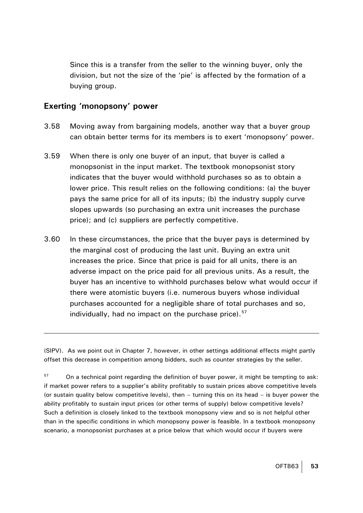<span id="page-55-0"></span>Since this is a transfer from the seller to the winning buyer, only the division, but not the size of the 'pie' is affected by the formation of a buying group.

#### **Exerting 'monopsony' power**

 $\overline{a}$ 

- 3.58 Moving away from bargaining models, another way that a buyer group can obtain better terms for its members is to exert 'monopsony' power.
- 3.59 When there is only one buyer of an input, that buyer is called a monopsonist in the input market. The textbook monopsonist story indicates that the buyer would withhold purchases so as to obtain a lower price. This result relies on the following conditions: (a) the buyer pays the same price for all of its inputs; (b) the industry supply curve slopes upwards (so purchasing an extra unit increases the purchase price); and (c) suppliers are perfectly competitive.
- 3.60 In these circumstances, the price that the buyer pays is determined by the marginal cost of producing the last unit. Buying an extra unit increases the price. Since that price is paid for all units, there is an adverse impact on the price paid for all previous units. As a result, the buyer has an incentive to withhold purchases below what would occur if there were atomistic buyers (i.e. numerous buyers whose individual purchases accounted for a negligible share of total purchases and so, individually, had no impact on the purchase price). $57$

(SIPV). As we point out in Chapter 7, however, in other settings additional effects might partly offset this decrease in competition among bidders, such as counter strategies by the seller.

 $57$  On a technical point regarding the definition of buyer power, it might be tempting to ask: if market power refers to a supplier's ability profitably to sustain prices above competitive levels (or sustain quality below competitive levels), then – turning this on its head – is buyer power the ability profitably to sustain input prices (or other terms of supply) below competitive levels? Such a definition is closely linked to the textbook monopsony view and so is not helpful other than in the specific conditions in which monopsony power is feasible. In a textbook monopsony scenario, a monopsonist purchases at a price below that which would occur if buyers were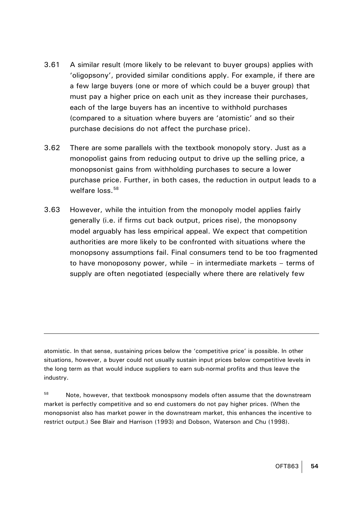- <span id="page-56-0"></span>3.61 A similar result (more likely to be relevant to buyer groups) applies with 'oligopsony', provided similar conditions apply. For example, if there are a few large buyers (one or more of which could be a buyer group) that must pay a higher price on each unit as they increase their purchases, each of the large buyers has an incentive to withhold purchases (compared to a situation where buyers are 'atomistic' and so their purchase decisions do not affect the purchase price).
- 3.62 There are some parallels with the textbook monopoly story. Just as a monopolist gains from reducing output to drive up the selling price, a monopsonist gains from withholding purchases to secure a lower purchase price. Further, in both cases, the reduction in output leads to a welfare  $loss.<sup>58</sup>$  $loss.<sup>58</sup>$  $loss.<sup>58</sup>$
- 3.63 However, while the intuition from the monopoly model applies fairly generally (i.e. if firms cut back output, prices rise), the monopsony model arguably has less empirical appeal. We expect that competition authorities are more likely to be confronted with situations where the monopsony assumptions fail. Final consumers tend to be too fragmented to have monoposony power, while – in intermediate markets – terms of supply are often negotiated (especially where there are relatively few

atomistic. In that sense, sustaining prices below the 'competitive price' is possible. In other situations, however, a buyer could not usually sustain input prices below competitive levels in the long term as that would induce suppliers to earn sub-normal profits and thus leave the industry.

 $\overline{a}$ 

<sup>58</sup> Note, however, that textbook monospsony models often assume that the downstream market is perfectly competitive and so end customers do not pay higher prices. (When the monopsonist also has market power in the downstream market, this enhances the incentive to restrict output.) See Blair and Harrison (1993) and Dobson, Waterson and Chu (1998).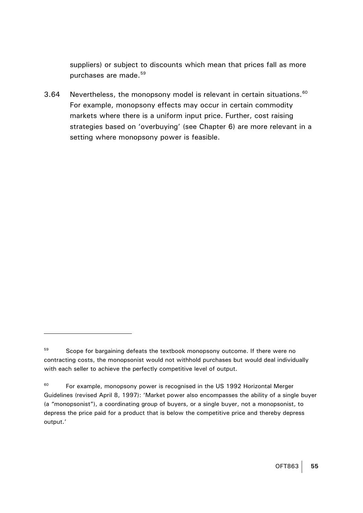suppliers) or subject to discounts which mean that prices fall as more purchases are made.<sup>[59](#page-57-0)</sup>

<span id="page-57-0"></span>3.64 Nevertheless, the monopsony model is relevant in certain situations.<sup>[60](#page-57-0)</sup> For example, monopsony effects may occur in certain commodity markets where there is a uniform input price. Further, cost raising strategies based on 'overbuying' (see Chapter 6) are more relevant in a setting where monopsony power is feasible.

<sup>&</sup>lt;sup>59</sup> Scope for bargaining defeats the textbook monopsony outcome. If there were no contracting costs, the monopsonist would not withhold purchases but would deal individually with each seller to achieve the perfectly competitive level of output.

 $60$  For example, monopsony power is recognised in the US 1992 Horizontal Merger Guidelines (revised April 8, 1997): 'Market power also encompasses the ability of a single buyer (a "monopsonist"), a coordinating group of buyers, or a single buyer, not a monopsonist, to depress the price paid for a product that is below the competitive price and thereby depress output.'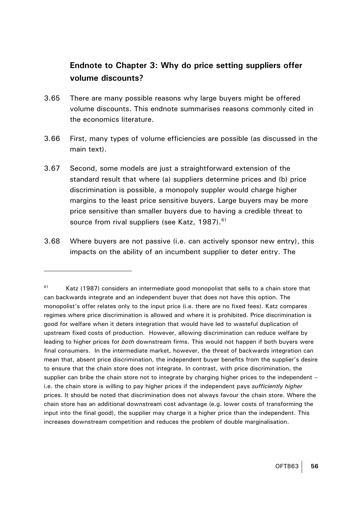# **Endnote to Chapter 3: Why do price setting suppliers offer volume discounts?**

- <span id="page-58-0"></span>3.65 There are many possible reasons why large buyers might be offered volume discounts. This endnote summarises reasons commonly cited in the economics literature.
- 3.66 First, many types of volume efficiencies are possible (as discussed in the main text).
- 3.67 Second, some models are just a straightforward extension of the standard result that where (a) suppliers determine prices and (b) price discrimination is possible, a monopoly suppler would charge higher margins to the least price sensitive buyers. Large buyers may be more price sensitive than smaller buyers due to having a credible threat to source from rival suppliers (see Katz, 1987).<sup>[61](#page-58-0)</sup>
- 3.68 Where buyers are not passive (i.e. can actively sponsor new entry), this impacts on the ability of an incumbent supplier to deter entry. The

 $61$  Katz (1987) considers an intermediate good monopolist that sells to a chain store that can backwards integrate and an independent buyer that does not have this option. The monopolist's offer relates only to the input price (i.e. there are no fixed fees). Katz compares regimes where price discrimination is allowed and where it is prohibited. Price discrimination is good for welfare when it deters integration that would have led to wasteful duplication of upstream fixed costs of production. However, allowing discrimination can reduce welfare by leading to higher prices for *both* downstream firms. This would not happen if both buyers were final consumers. In the intermediate market, however, the threat of backwards integration can mean that, absent price discrimination, the independent buyer benefits from the supplier's desire to ensure that the chain store does not integrate. In contrast, with price discrimination, the supplier can bribe the chain store not to integrate by charging higher prices to the independent – i.e. the chain store is willing to pay higher prices if the independent pays *sufficiently higher* prices. It should be noted that discrimination does not always favour the chain store. Where the chain store has an additional downstream cost advantage (e.g. lower costs of transforming the input into the final good), the supplier may charge it a higher price than the independent. This increases downstream competition and reduces the problem of double marginalisation.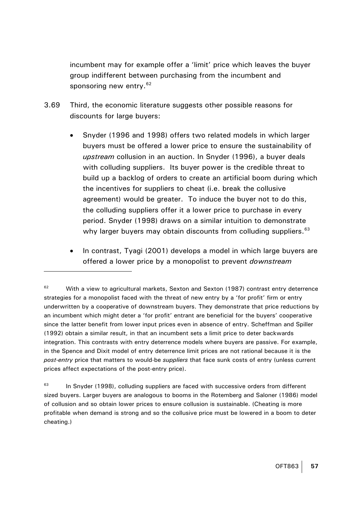<span id="page-59-0"></span>incumbent may for example offer a 'limit' price which leaves the buyer group indifferent between purchasing from the incumbent and sponsoring new entry.<sup>[62](#page-59-0)</sup>

- 3.69 Third, the economic literature suggests other possible reasons for discounts for large buyers:
	- Snyder (1996 and 1998) offers two related models in which larger buyers must be offered a lower price to ensure the sustainability of *upstream* collusion in an auction. In Snyder (1996), a buyer deals with colluding suppliers. Its buyer power is the credible threat to build up a backlog of orders to create an artificial boom during which the incentives for suppliers to cheat (i.e. break the collusive agreement) would be greater. To induce the buyer not to do this, the colluding suppliers offer it a lower price to purchase in every period. Snyder (1998) draws on a similar intuition to demonstrate why larger buyers may obtain discounts from colluding suppliers.<sup>[63](#page-59-0)</sup>
	- In contrast, Tyagi (2001) develops a model in which large buyers are offered a lower price by a monopolist to prevent *downstream*

 $62$  With a view to agricultural markets, Sexton and Sexton (1987) contrast entry deterrence strategies for a monopolist faced with the threat of new entry by a 'for profit' firm or entry underwritten by a cooperative of downstream buyers. They demonstrate that price reductions by an incumbent which might deter a 'for profit' entrant are beneficial for the buyers' cooperative since the latter benefit from lower input prices even in absence of entry. Scheffman and Spiller (1992) obtain a similar result, in that an incumbent sets a limit price to deter backwards integration. This contrasts with entry deterrence models where buyers are passive. For example, in the Spence and Dixit model of entry deterrence limit prices are not rational because it is the *post-entry* price that matters to would-be *suppliers* that face sunk costs of entry (unless current prices affect expectations of the post-entry price).

 $63$  In Snyder (1998), colluding suppliers are faced with successive orders from different sized buyers. Larger buyers are analogous to booms in the Rotemberg and Saloner (1986) model of collusion and so obtain lower prices to ensure collusion is sustainable. (Cheating is more profitable when demand is strong and so the collusive price must be lowered in a boom to deter cheating.)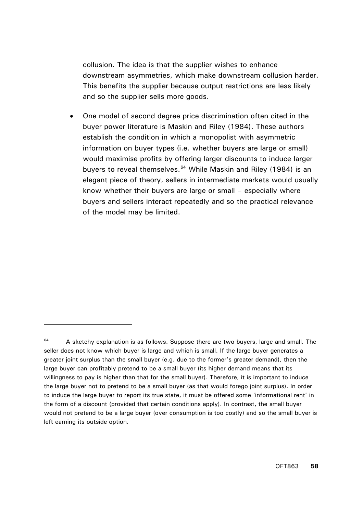<span id="page-60-0"></span>collusion. The idea is that the supplier wishes to enhance downstream asymmetries, which make downstream collusion harder. This benefits the supplier because output restrictions are less likely and so the supplier sells more goods.

• One model of second degree price discrimination often cited in the buyer power literature is Maskin and Riley (1984). These authors establish the condition in which a monopolist with asymmetric information on buyer types (i.e. whether buyers are large or small) would maximise profits by offering larger discounts to induce larger buyers to reveal themselves.<sup>[64](#page-60-0)</sup> While Maskin and Riley (1984) is an elegant piece of theory, sellers in intermediate markets would usually know whether their buyers are large or small – especially where buyers and sellers interact repeatedly and so the practical relevance of the model may be limited.

 $64$  A sketchy explanation is as follows. Suppose there are two buyers, large and small. The seller does not know which buyer is large and which is small. If the large buyer generates a greater joint surplus than the small buyer (e.g. due to the former's greater demand), then the large buyer can profitably pretend to be a small buyer (its higher demand means that its willingness to pay is higher than that for the small buyer). Therefore, it is important to induce the large buyer not to pretend to be a small buyer (as that would forego joint surplus). In order to induce the large buyer to report its true state, it must be offered some 'informational rent' in the form of a discount (provided that certain conditions apply). In contrast, the small buyer would not pretend to be a large buyer (over consumption is too costly) and so the small buyer is left earning its outside option.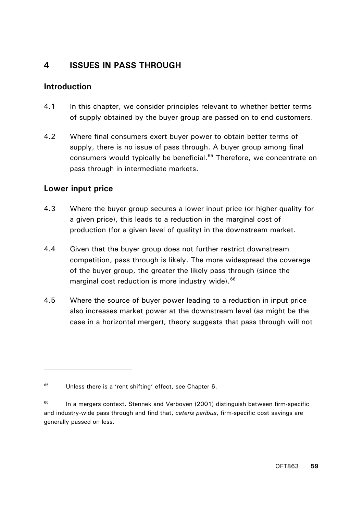# <span id="page-61-0"></span>**4 ISSUES IN PASS THROUGH**

# **Introduction**

- 4.1 In this chapter, we consider principles relevant to whether better terms of supply obtained by the buyer group are passed on to end customers.
- 4.2 Where final consumers exert buyer power to obtain better terms of supply, there is no issue of pass through. A buyer group among final consumers would typically be beneficial.<sup>[65](#page-61-0)</sup> Therefore, we concentrate on pass through in intermediate markets.

# **Lower input price**

- 4.3 Where the buyer group secures a lower input price (or higher quality for a given price), this leads to a reduction in the marginal cost of production (for a given level of quality) in the downstream market.
- 4.4 Given that the buyer group does not further restrict downstream competition, pass through is likely. The more widespread the coverage of the buyer group, the greater the likely pass through (since the marginal cost reduction is more industry wide).<sup>[66](#page-61-0)</sup>
- 4.5 Where the source of buyer power leading to a reduction in input price also increases market power at the downstream level (as might be the case in a horizontal merger), theory suggests that pass through will not

 $65$  Unless there is a 'rent shifting' effect, see Chapter 6.

 $66$  In a mergers context, Stennek and Verboven (2001) distinguish between firm-specific and industry-wide pass through and find that, *ceteris paribus*, firm-specific cost savings are generally passed on less.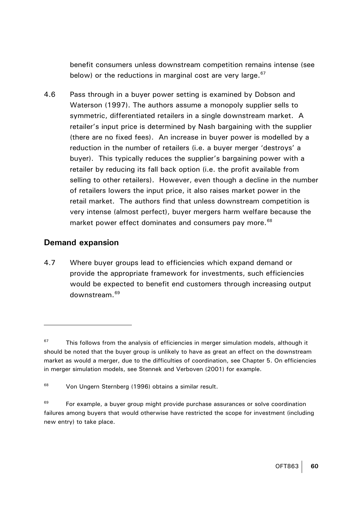benefit consumers unless downstream competition remains intense (see below) or the reductions in marginal cost are very large. $67$ 

<span id="page-62-0"></span>4.6 Pass through in a buyer power setting is examined by Dobson and Waterson (1997). The authors assume a monopoly supplier sells to symmetric, differentiated retailers in a single downstream market. A retailer's input price is determined by Nash bargaining with the supplier (there are no fixed fees). An increase in buyer power is modelled by a reduction in the number of retailers (i.e. a buyer merger 'destroys' a buyer). This typically reduces the supplier's bargaining power with a retailer by reducing its fall back option (i.e. the profit available from selling to other retailers). However, even though a decline in the number of retailers lowers the input price, it also raises market power in the retail market. The authors find that unless downstream competition is very intense (almost perfect), buyer mergers harm welfare because the market power effect dominates and consumers pay more.<sup>[68](#page-62-0)</sup>

#### **Demand expansion**

 $\overline{a}$ 

4.7 Where buyer groups lead to efficiencies which expand demand or provide the appropriate framework for investments, such efficiencies would be expected to benefit end customers through increasing output downstream.[69](#page-62-0)

 $67$  This follows from the analysis of efficiencies in merger simulation models, although it should be noted that the buyer group is unlikely to have as great an effect on the downstream market as would a merger, due to the difficulties of coordination, see Chapter 5. On efficiencies in merger simulation models, see Stennek and Verboven (2001) for example.

<sup>&</sup>lt;sup>68</sup> Von Ungern Sternberg (1996) obtains a similar result.

 $69$  For example, a buyer group might provide purchase assurances or solve coordination failures among buyers that would otherwise have restricted the scope for investment (including new entry) to take place.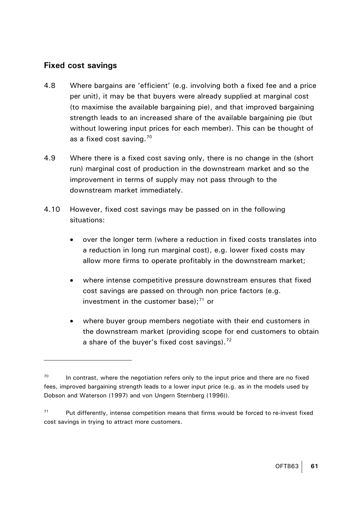# <span id="page-63-0"></span>**Fixed cost savings**

- 4.8 Where bargains are 'efficient' (e.g. involving both a fixed fee and a price per unit), it may be that buyers were already supplied at marginal cost (to maximise the available bargaining pie), and that improved bargaining strength leads to an increased share of the available bargaining pie (but without lowering input prices for each member). This can be thought of as a fixed cost saving. $70$
- 4.9 Where there is a fixed cost saving only, there is no change in the (short run) marginal cost of production in the downstream market and so the improvement in terms of supply may not pass through to the downstream market immediately.
- 4.10 However, fixed cost savings may be passed on in the following situations:
	- over the longer term (where a reduction in fixed costs translates into a reduction in long run marginal cost), e.g. lower fixed costs may allow more firms to operate profitably in the downstream market;
	- where intense competitive pressure downstream ensures that fixed cost savings are passed on through non price factors (e.g. investment in the customer base); $<sup>71</sup>$  $<sup>71</sup>$  $<sup>71</sup>$  or</sup>
	- where buyer group members negotiate with their end customers in the downstream market (providing scope for end customers to obtain a share of the buyer's fixed cost savings).<sup>[72](#page-63-0)</sup>

 $70$  In contrast, where the negotiation refers only to the input price and there are no fixed fees, improved bargaining strength leads to a lower input price (e.g. as in the models used by Dobson and Waterson (1997) and von Ungern Sternberg (1996)).

 $71$  Put differently, intense competition means that firms would be forced to re-invest fixed cost savings in trying to attract more customers.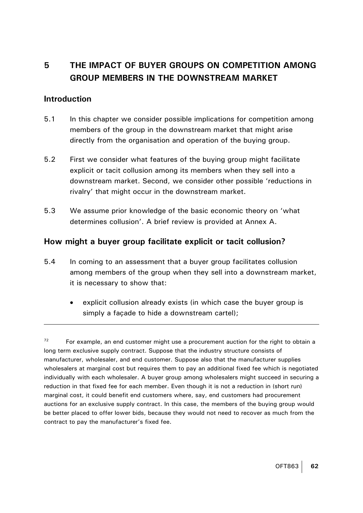# **5 THE IMPACT OF BUYER GROUPS ON COMPETITION AMONG GROUP MEMBERS IN THE DOWNSTREAM MARKET**

#### **Introduction**

 $\overline{a}$ 

- 5.1 In this chapter we consider possible implications for competition among members of the group in the downstream market that might arise directly from the organisation and operation of the buying group.
- 5.2 First we consider what features of the buying group might facilitate explicit or tacit collusion among its members when they sell into a downstream market. Second, we consider other possible 'reductions in rivalry' that might occur in the downstream market.
- 5.3 We assume prior knowledge of the basic economic theory on 'what determines collusion'. A brief review is provided at Annex A.

## **How might a buyer group facilitate explicit or tacit collusion?**

- 5.4 In coming to an assessment that a buyer group facilitates collusion among members of the group when they sell into a downstream market, it is necessary to show that:
	- explicit collusion already exists (in which case the buyer group is simply a façade to hide a downstream cartel);

 $72$  For example, an end customer might use a procurement auction for the right to obtain a long term exclusive supply contract. Suppose that the industry structure consists of manufacturer, wholesaler, and end customer. Suppose also that the manufacturer supplies wholesalers at marginal cost but requires them to pay an additional fixed fee which is negotiated individually with each wholesaler. A buyer group among wholesalers might succeed in securing a reduction in that fixed fee for each member. Even though it is not a reduction in (short run) marginal cost, it could benefit end customers where, say, end customers had procurement auctions for an exclusive supply contract. In this case, the members of the buying group would be better placed to offer lower bids, because they would not need to recover as much from the contract to pay the manufacturer's fixed fee.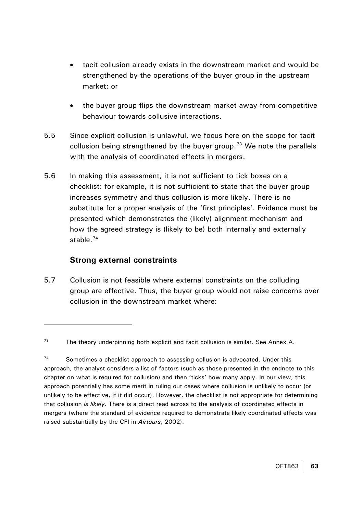- <span id="page-65-0"></span>• tacit collusion already exists in the downstream market and would be strengthened by the operations of the buyer group in the upstream market; or
- the buyer group flips the downstream market away from competitive behaviour towards collusive interactions.
- 5.5 Since explicit collusion is unlawful, we focus here on the scope for tacit collusion being strengthened by the buyer group.<sup>[73](#page-65-0)</sup> We note the parallels with the analysis of coordinated effects in mergers.
- 5.6 In making this assessment, it is not sufficient to tick boxes on a checklist: for example, it is not sufficient to state that the buyer group increases symmetry and thus collusion is more likely. There is no substitute for a proper analysis of the 'first principles'. Evidence must be presented which demonstrates the (likely) alignment mechanism and how the agreed strategy is (likely to be) both internally and externally stable.<sup>[74](#page-65-0)</sup>

# **Strong external constraints**

 $\overline{a}$ 

5.7 Collusion is not feasible where external constraints on the colluding group are effective. Thus, the buyer group would not raise concerns over collusion in the downstream market where:

 $73$  The theory underpinning both explicit and tacit collusion is similar. See Annex A.

 $74$  Sometimes a checklist approach to assessing collusion is advocated. Under this approach, the analyst considers a list of factors (such as those presented in the endnote to this chapter on what is required for collusion) and then 'ticks' how many apply. In our view, this approach potentially has some merit in ruling out cases where collusion is unlikely to occur (or unlikely to be effective, if it did occur). However, the checklist is not appropriate for determining that collusion *is likely*. There is a direct read across to the analysis of coordinated effects in mergers (where the standard of evidence required to demonstrate likely coordinated effects was raised substantially by the CFI in *Airtours*, 2002).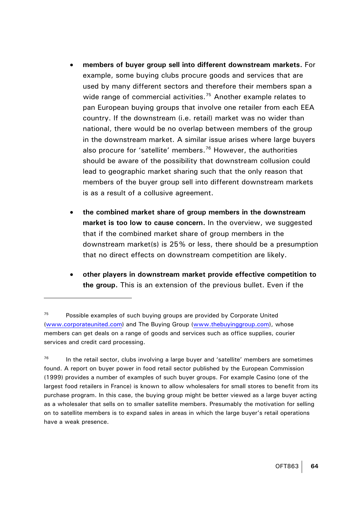- <span id="page-66-0"></span>• **members of buyer group sell into different downstream markets.** For example, some buying clubs procure goods and services that are used by many different sectors and therefore their members span a wide range of commercial activities.<sup>75</sup> Another example relates to pan European buying groups that involve one retailer from each EEA country. If the downstream (i.e. retail) market was no wider than national, there would be no overlap between members of the group in the downstream market. A similar issue arises where large buyers also procure for 'satellite' members.<sup>[76](#page-66-0)</sup> However, the authorities should be aware of the possibility that downstream collusion could lead to geographic market sharing such that the only reason that members of the buyer group sell into different downstream markets is as a result of a collusive agreement.
- **the combined market share of group members in the downstream market is too low to cause concern.** In the overview, we suggested that if the combined market share of group members in the downstream market(s) is 25% or less, there should be a presumption that no direct effects on downstream competition are likely.
- **other players in downstream market provide effective competition to the group.** This is an extension of the previous bullet. Even if the

 $75$  Possible examples of such buying groups are provided by Corporate United [\(www.corporateunited.com](http://www.corporateunited.com/)) and The Buying Group ([www.thebuyinggroup.com](http://www.thebuyinggroup.com/)), whose members can get deals on a range of goods and services such as office supplies, courier services and credit card processing.

 $76$  In the retail sector, clubs involving a large buyer and 'satellite' members are sometimes found. A report on buyer power in food retail sector published by the European Commission (1999) provides a number of examples of such buyer groups. For example Casino (one of the largest food retailers in France) is known to allow wholesalers for small stores to benefit from its purchase program. In this case, the buying group might be better viewed as a large buyer acting as a wholesaler that sells on to smaller satellite members. Presumably the motivation for selling on to satellite members is to expand sales in areas in which the large buyer's retail operations have a weak presence.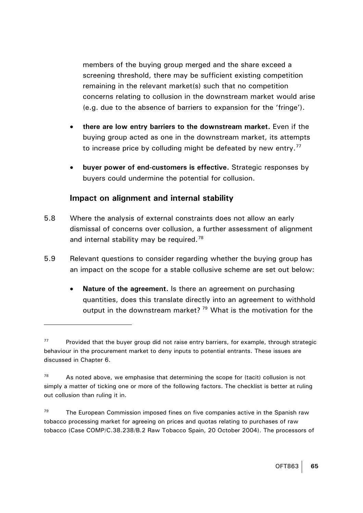<span id="page-67-0"></span>members of the buying group merged and the share exceed a screening threshold, there may be sufficient existing competition remaining in the relevant market(s) such that no competition concerns relating to collusion in the downstream market would arise (e.g. due to the absence of barriers to expansion for the 'fringe').

- **there are low entry barriers to the downstream market.** Even if the buying group acted as one in the downstream market, its attempts to increase price by colluding might be defeated by new entry. $<sup>77</sup>$  $<sup>77</sup>$  $<sup>77</sup>$ </sup>
- **buyer power of end-customers is effective.** Strategic responses by buyers could undermine the potential for collusion.

## **Impact on alignment and internal stability**

- 5.8 Where the analysis of external constraints does not allow an early dismissal of concerns over collusion, a further assessment of alignment and internal stability may be required.<sup>[78](#page-67-0)</sup>
- 5.9 Relevant questions to consider regarding whether the buying group has an impact on the scope for a stable collusive scheme are set out below:
	- **Nature of the agreement.** Is there an agreement on purchasing quantities, does this translate directly into an agreement to withhold output in the downstream market?<sup>[79](#page-67-0)</sup> What is the motivation for the

 $77$  Provided that the buyer group did not raise entry barriers, for example, through strategic behaviour in the procurement market to deny inputs to potential entrants. These issues are discussed in Chapter 6.

 $78$  As noted above, we emphasise that determining the scope for (tacit) collusion is not simply a matter of ticking one or more of the following factors. The checklist is better at ruling out collusion than ruling it in.

 $79$  The European Commission imposed fines on five companies active in the Spanish raw tobacco processing market for agreeing on prices and quotas relating to purchases of raw tobacco (Case COMP/C.38.238/B.2 Raw Tobacco Spain, 20 October 2004). The processors of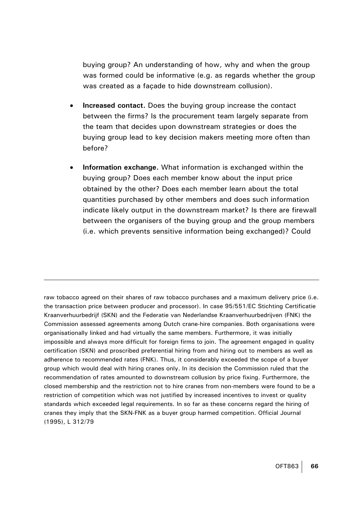buying group? An understanding of how, why and when the group was formed could be informative (e.g. as regards whether the group was created as a façade to hide downstream collusion).

- **Increased contact.** Does the buying group increase the contact between the firms? Is the procurement team largely separate from the team that decides upon downstream strategies or does the buying group lead to key decision makers meeting more often than before?
- **Information exchange.** What information is exchanged within the buying group? Does each member know about the input price obtained by the other? Does each member learn about the total quantities purchased by other members and does such information indicate likely output in the downstream market? Is there are firewall between the organisers of the buying group and the group members (i.e. which prevents sensitive information being exchanged)? Could

raw tobacco agreed on their shares of raw tobacco purchases and a maximum delivery price (i.e. the transaction price between producer and processor). In case 95/551/EC Stichting Certificatie Kraanverhuurbedrijf (SKN) and the Federatie van Nederlandse Kraanverhuurbedrijven (FNK) the Commission assessed agreements among Dutch crane-hire companies. Both organisations were organisationally linked and had virtually the same members. Furthermore, it was initially impossible and always more difficult for foreign firms to join. The agreement engaged in quality certification (SKN) and proscribed preferential hiring from and hiring out to members as well as adherence to recommended rates (FNK). Thus, it considerably exceeded the scope of a buyer group which would deal with hiring cranes only. In its decision the Commission ruled that the recommendation of rates amounted to downstream collusion by price fixing. Furthermore, the closed membership and the restriction not to hire cranes from non-members were found to be a restriction of competition which was not justified by increased incentives to invest or quality standards which exceeded legal requirements. In so far as these concerns regard the hiring of cranes they imply that the SKN-FNK as a buyer group harmed competition. Official Journal (1995), L 312/79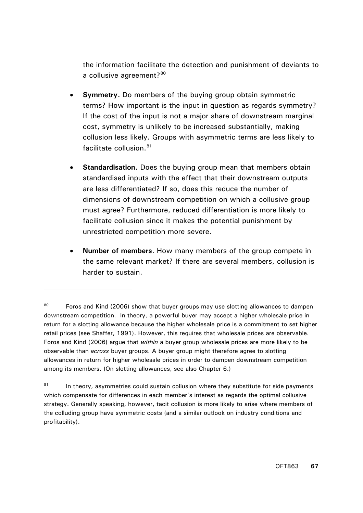<span id="page-69-0"></span>the information facilitate the detection and punishment of deviants to a collusive agreement?<sup>[80](#page-69-0)</sup>

- **Symmetry.** Do members of the buying group obtain symmetric terms? How important is the input in question as regards symmetry? If the cost of the input is not a major share of downstream marginal cost, symmetry is unlikely to be increased substantially, making collusion less likely. Groups with asymmetric terms are less likely to facilitate collusion.<sup>[81](#page-69-0)</sup>
- **Standardisation.** Does the buying group mean that members obtain standardised inputs with the effect that their downstream outputs are less differentiated? If so, does this reduce the number of dimensions of downstream competition on which a collusive group must agree? Furthermore, reduced differentiation is more likely to facilitate collusion since it makes the potential punishment by unrestricted competition more severe.
- **Number of members.** How many members of the group compete in the same relevant market? If there are several members, collusion is harder to sustain.

<sup>&</sup>lt;sup>80</sup> Foros and Kind (2006) show that buyer groups may use slotting allowances to dampen downstream competition. In theory, a powerful buyer may accept a higher wholesale price in return for a slotting allowance because the higher wholesale price is a commitment to set higher retail prices (see Shaffer, 1991). However, this requires that wholesale prices are observable. Foros and Kind (2006) argue that *within* a buyer group wholesale prices are more likely to be observable than *across* buyer groups. A buyer group might therefore agree to slotting allowances in return for higher wholesale prices in order to dampen downstream competition among its members. (On slotting allowances, see also Chapter 6.)

 $81$  In theory, asymmetries could sustain collusion where they substitute for side payments which compensate for differences in each member's interest as regards the optimal collusive strategy. Generally speaking, however, tacit collusion is more likely to arise where members of the colluding group have symmetric costs (and a similar outlook on industry conditions and profitability).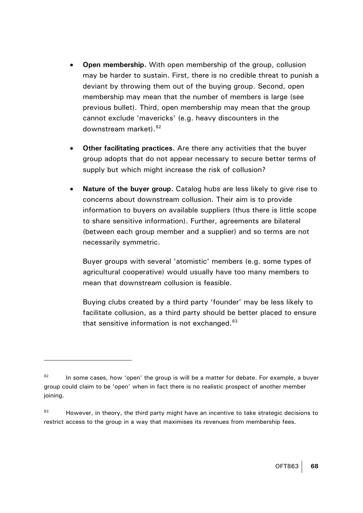- <span id="page-70-0"></span>**Open membership.** With open membership of the group, collusion may be harder to sustain. First, there is no credible threat to punish a deviant by throwing them out of the buying group. Second, open membership may mean that the number of members is large (see previous bullet). Third, open membership may mean that the group cannot exclude 'mavericks' (e.g. heavy discounters in the downstream market). <sup>[82](#page-70-0)</sup>
- **Other facilitating practices.** Are there any activities that the buyer group adopts that do not appear necessary to secure better terms of supply but which might increase the risk of collusion?
- **Nature of the buyer group.** Catalog hubs are less likely to give rise to concerns about downstream collusion. Their aim is to provide information to buyers on available suppliers (thus there is little scope to share sensitive information). Further, agreements are bilateral (between each group member and a supplier) and so terms are not necessarily symmetric.

Buyer groups with several 'atomistic' members (e.g. some types of agricultural cooperative) would usually have too many members to mean that downstream collusion is feasible.

Buying clubs created by a third party 'founder' may be less likely to facilitate collusion, as a third party should be better placed to ensure that sensitive information is not exchanged. $83$ 

 $82$  In some cases, how 'open' the group is will be a matter for debate. For example, a buyer group could claim to be 'open' when in fact there is no realistic prospect of another member joining.

 $83$  However, in theory, the third party might have an incentive to take strategic decisions to restrict access to the group in a way that maximises its revenues from membership fees.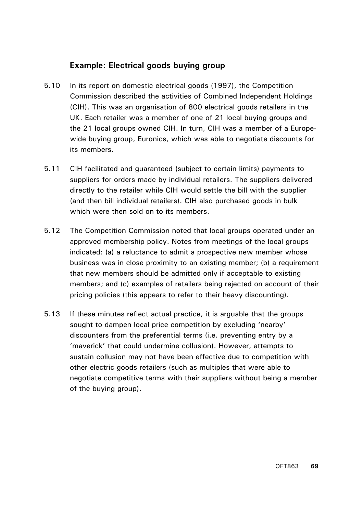# **Example: Electrical goods buying group**

- 5.10 In its report on domestic electrical goods (1997), the Competition Commission described the activities of Combined Independent Holdings (CIH). This was an organisation of 800 electrical goods retailers in the UK. Each retailer was a member of one of 21 local buying groups and the 21 local groups owned CIH. In turn, CIH was a member of a Europewide buying group, Euronics, which was able to negotiate discounts for its members.
- 5.11 CIH facilitated and guaranteed (subject to certain limits) payments to suppliers for orders made by individual retailers. The suppliers delivered directly to the retailer while CIH would settle the bill with the supplier (and then bill individual retailers). CIH also purchased goods in bulk which were then sold on to its members.
- 5.12 The Competition Commission noted that local groups operated under an approved membership policy. Notes from meetings of the local groups indicated: (a) a reluctance to admit a prospective new member whose business was in close proximity to an existing member; (b) a requirement that new members should be admitted only if acceptable to existing members; and (c) examples of retailers being rejected on account of their pricing policies (this appears to refer to their heavy discounting).
- 5.13 If these minutes reflect actual practice, it is arguable that the groups sought to dampen local price competition by excluding 'nearby' discounters from the preferential terms (i.e. preventing entry by a 'maverick' that could undermine collusion). However, attempts to sustain collusion may not have been effective due to competition with other electric goods retailers (such as multiples that were able to negotiate competitive terms with their suppliers without being a member of the buying group).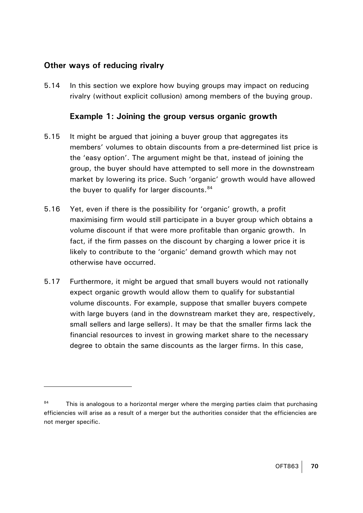## <span id="page-72-0"></span>**Other ways of reducing rivalry**

 $\overline{a}$ 

5.14 In this section we explore how buying groups may impact on reducing rivalry (without explicit collusion) among members of the buying group.

## **Example 1: Joining the group versus organic growth**

- 5.15 It might be argued that joining a buyer group that aggregates its members' volumes to obtain discounts from a pre-determined list price is the 'easy option'. The argument might be that, instead of joining the group, the buyer should have attempted to sell more in the downstream market by lowering its price. Such 'organic' growth would have allowed the buyer to qualify for larger discounts. 84
- 5.16 Yet, even if there is the possibility for 'organic' growth, a profit maximising firm would still participate in a buyer group which obtains a volume discount if that were more profitable than organic growth. In fact, if the firm passes on the discount by charging a lower price it is likely to contribute to the 'organic' demand growth which may not otherwise have occurred.
- 5.17 Furthermore, it might be argued that small buyers would not rationally expect organic growth would allow them to qualify for substantial volume discounts. For example, suppose that smaller buyers compete with large buyers (and in the downstream market they are, respectively, small sellers and large sellers). It may be that the smaller firms lack the financial resources to invest in growing market share to the necessary degree to obtain the same discounts as the larger firms. In this case,

 $84$  This is analogous to a horizontal merger where the merging parties claim that purchasing efficiencies will arise as a result of a merger but the authorities consider that the efficiencies are not merger specific.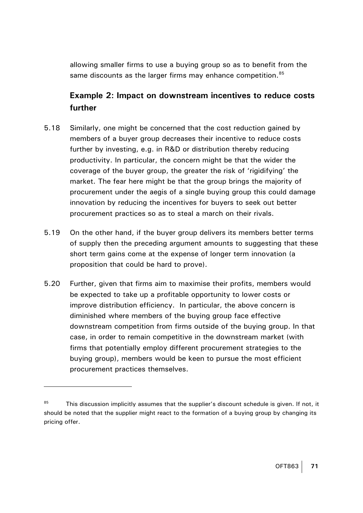<span id="page-73-0"></span>allowing smaller firms to use a buying group so as to benefit from the same discounts as the larger firms may enhance competition.<sup>[85](#page-73-0)</sup>

# **Example 2: Impact on downstream incentives to reduce costs further**

- 5.18 Similarly, one might be concerned that the cost reduction gained by members of a buyer group decreases their incentive to reduce costs further by investing, e.g. in R&D or distribution thereby reducing productivity. In particular, the concern might be that the wider the coverage of the buyer group, the greater the risk of 'rigidifying' the market. The fear here might be that the group brings the majority of procurement under the aegis of a single buying group this could damage innovation by reducing the incentives for buyers to seek out better procurement practices so as to steal a march on their rivals.
- 5.19 On the other hand, if the buyer group delivers its members better terms of supply then the preceding argument amounts to suggesting that these short term gains come at the expense of longer term innovation (a proposition that could be hard to prove).
- 5.20 Further, given that firms aim to maximise their profits, members would be expected to take up a profitable opportunity to lower costs or improve distribution efficiency. In particular, the above concern is diminished where members of the buying group face effective downstream competition from firms outside of the buying group. In that case, in order to remain competitive in the downstream market (with firms that potentially employ different procurement strategies to the buying group), members would be keen to pursue the most efficient procurement practices themselves.

 $85$  This discussion implicitly assumes that the supplier's discount schedule is given. If not, it should be noted that the supplier might react to the formation of a buying group by changing its pricing offer.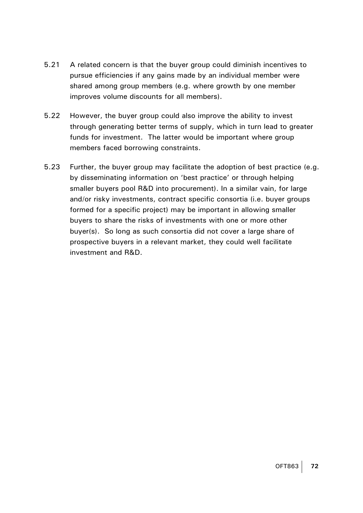- 5.21 A related concern is that the buyer group could diminish incentives to pursue efficiencies if any gains made by an individual member were shared among group members (e.g. where growth by one member improves volume discounts for all members).
- 5.22 However, the buyer group could also improve the ability to invest through generating better terms of supply, which in turn lead to greater funds for investment. The latter would be important where group members faced borrowing constraints.
- 5.23 Further, the buyer group may facilitate the adoption of best practice (e.g. by disseminating information on 'best practice' or through helping smaller buyers pool R&D into procurement). In a similar vain, for large and/or risky investments, contract specific consortia (i.e. buyer groups formed for a specific project) may be important in allowing smaller buyers to share the risks of investments with one or more other buyer(s). So long as such consortia did not cover a large share of prospective buyers in a relevant market, they could well facilitate investment and R&D.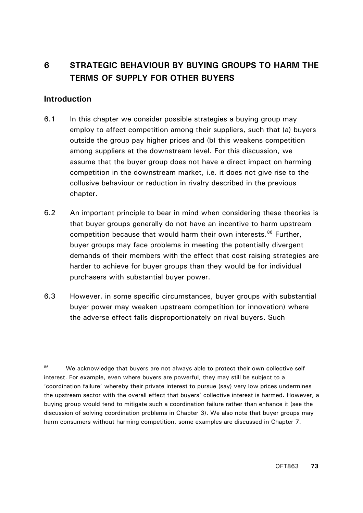# <span id="page-75-0"></span>**6 STRATEGIC BEHAVIOUR BY BUYING GROUPS TO HARM THE TERMS OF SUPPLY FOR OTHER BUYERS**

### **Introduction**

- 6.1 In this chapter we consider possible strategies a buying group may employ to affect competition among their suppliers, such that (a) buyers outside the group pay higher prices and (b) this weakens competition among suppliers at the downstream level. For this discussion, we assume that the buyer group does not have a direct impact on harming competition in the downstream market, i.e. it does not give rise to the collusive behaviour or reduction in rivalry described in the previous chapter.
- 6.2 An important principle to bear in mind when considering these theories is that buyer groups generally do not have an incentive to harm upstream competition because that would harm their own interests.<sup>[86](#page-75-0)</sup> Further, buyer groups may face problems in meeting the potentially divergent demands of their members with the effect that cost raising strategies are harder to achieve for buyer groups than they would be for individual purchasers with substantial buyer power.
- 6.3 However, in some specific circumstances, buyer groups with substantial buyer power may weaken upstream competition (or innovation) where the adverse effect falls disproportionately on rival buyers. Such

<sup>86</sup> We acknowledge that buyers are not always able to protect their own collective self interest. For example, even where buyers are powerful, they may still be subject to a 'coordination failure' whereby their private interest to pursue (say) very low prices undermines the upstream sector with the overall effect that buyers' collective interest is harmed. However, a buying group would tend to mitigate such a coordination failure rather than enhance it (see the discussion of solving coordination problems in Chapter 3). We also note that buyer groups may harm consumers without harming competition, some examples are discussed in Chapter 7.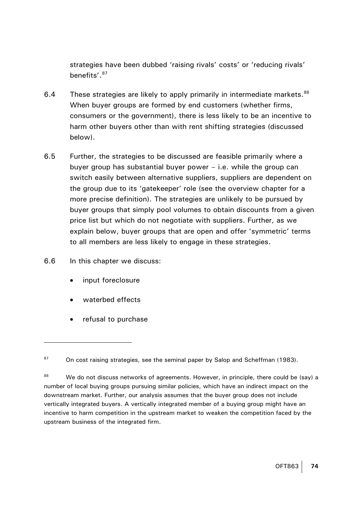strategies have been dubbed 'raising rivals' costs' or 'reducing rivals' henefits' <sup>[87](#page-76-0)</sup>

- <span id="page-76-0"></span>6.4 These strategies are likely to apply primarily in intermediate markets.<sup>[88](#page-76-0)</sup> When buyer groups are formed by end customers (whether firms, consumers or the government), there is less likely to be an incentive to harm other buyers other than with rent shifting strategies (discussed below).
- 6.5 Further, the strategies to be discussed are feasible primarily where a buyer group has substantial buyer power – i.e. while the group can switch easily between alternative suppliers, suppliers are dependent on the group due to its 'gatekeeper' role (see the overview chapter for a more precise definition). The strategies are unlikely to be pursued by buyer groups that simply pool volumes to obtain discounts from a given price list but which do not negotiate with suppliers. Further, as we explain below, buyer groups that are open and offer 'symmetric' terms to all members are less likely to engage in these strategies.

#### 6.6 In this chapter we discuss:

- input foreclosure
- waterbed effects
- refusal to purchase

 $87$  On cost raising strategies, see the seminal paper by Salop and Scheffman (1983).

<sup>&</sup>lt;sup>88</sup> We do not discuss networks of agreements. However, in principle, there could be (say) a number of local buying groups pursuing similar policies, which have an indirect impact on the downstream market. Further, our analysis assumes that the buyer group does not include vertically integrated buyers. A vertically integrated member of a buying group might have an incentive to harm competition in the upstream market to weaken the competition faced by the upstream business of the integrated firm.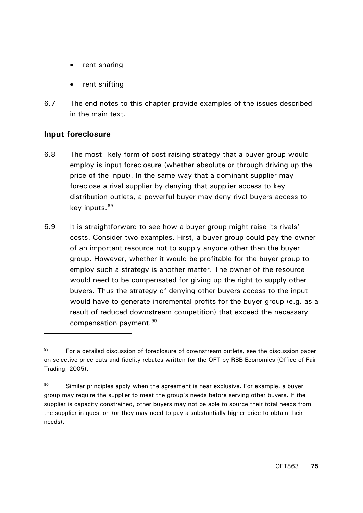- rent sharing
- rent shifting
- <span id="page-77-0"></span>6.7 The end notes to this chapter provide examples of the issues described in the main text.

## **Input foreclosure**

- 6.8 The most likely form of cost raising strategy that a buyer group would employ is input foreclosure (whether absolute or through driving up the price of the input). In the same way that a dominant supplier may foreclose a rival supplier by denying that supplier access to key distribution outlets, a powerful buyer may deny rival buyers access to key inputs.<sup>[89](#page-77-0)</sup>
- 6.9 It is straightforward to see how a buyer group might raise its rivals' costs. Consider two examples. First, a buyer group could pay the owner of an important resource not to supply anyone other than the buyer group. However, whether it would be profitable for the buyer group to employ such a strategy is another matter. The owner of the resource would need to be compensated for giving up the right to supply other buyers. Thus the strategy of denying other buyers access to the input would have to generate incremental profits for the buyer group (e.g. as a result of reduced downstream competition) that exceed the necessary compensation payment.<sup>[90](#page-77-0)</sup>

<sup>&</sup>lt;sup>89</sup> For a detailed discussion of foreclosure of downstream outlets, see the discussion paper on selective price cuts and fidelity rebates written for the OFT by RBB Economics (Office of Fair Trading, 2005).

 $90$  Similar principles apply when the agreement is near exclusive. For example, a buyer group may require the supplier to meet the group's needs before serving other buyers. If the supplier is capacity constrained, other buyers may not be able to source their total needs from the supplier in question (or they may need to pay a substantially higher price to obtain their needs).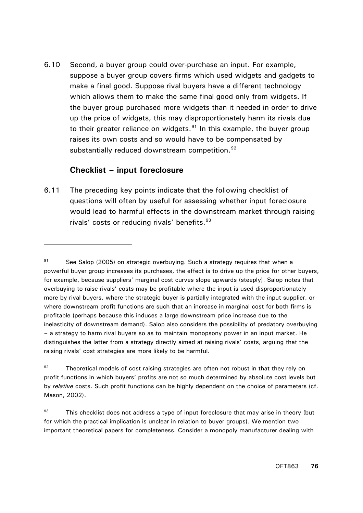<span id="page-78-0"></span>6.10 Second, a buyer group could over-purchase an input. For example, suppose a buyer group covers firms which used widgets and gadgets to make a final good. Suppose rival buyers have a different technology which allows them to make the same final good only from widgets. If the buyer group purchased more widgets than it needed in order to drive up the price of widgets, this may disproportionately harm its rivals due to their greater reliance on widgets. $91$  In this example, the buyer group raises its own costs and so would have to be compensated by substantially reduced downstream competition.<sup>[92](#page-78-0)</sup>

### **Checklist – input foreclosure**

 $\overline{a}$ 

6.11 The preceding key points indicate that the following checklist of questions will often by useful for assessing whether input foreclosure would lead to harmful effects in the downstream market through raising rivals' costs or reducing rivals' benefits.<sup>[93](#page-78-0)</sup>

<sup>91</sup> See Salop (2005) on strategic overbuying. Such a strategy requires that when a powerful buyer group increases its purchases, the effect is to drive up the price for other buyers, for example, because suppliers' marginal cost curves slope upwards (steeply). Salop notes that overbuying to raise rivals' costs may be profitable where the input is used disproportionately more by rival buyers, where the strategic buyer is partially integrated with the input supplier, or where downstream profit functions are such that an increase in marginal cost for both firms is profitable (perhaps because this induces a large downstream price increase due to the inelasticity of downstream demand). Salop also considers the possibility of predatory overbuying – a strategy to harm rival buyers so as to maintain monopsony power in an input market. He distinguishes the latter from a strategy directly aimed at raising rivals' costs, arguing that the raising rivals' cost strategies are more likely to be harmful.

<sup>92</sup> Theoretical models of cost raising strategies are often not robust in that they rely on profit functions in which buyers' profits are not so much determined by absolute cost levels but by *relative* costs. Such profit functions can be highly dependent on the choice of parameters (cf. Mason, 2002).

 $93$  This checklist does not address a type of input foreclosure that may arise in theory (but for which the practical implication is unclear in relation to buyer groups). We mention two important theoretical papers for completeness. Consider a monopoly manufacturer dealing with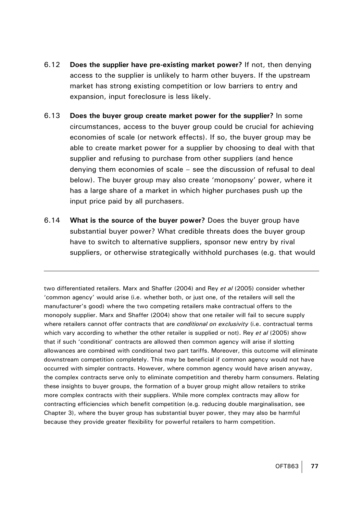- 6.12 **Does the supplier have pre-existing market power?** If not, then denying access to the supplier is unlikely to harm other buyers. If the upstream market has strong existing competition or low barriers to entry and expansion, input foreclosure is less likely.
- 6.13 **Does the buyer group create market power for the supplier?** In some circumstances, access to the buyer group could be crucial for achieving economies of scale (or network effects). If so, the buyer group may be able to create market power for a supplier by choosing to deal with that supplier and refusing to purchase from other suppliers (and hence denying them economies of scale – see the discussion of refusal to deal below). The buyer group may also create 'monopsony' power, where it has a large share of a market in which higher purchases push up the input price paid by all purchasers.
- 6.14 **What is the source of the buyer power?** Does the buyer group have substantial buyer power? What credible threats does the buyer group have to switch to alternative suppliers, sponsor new entry by rival suppliers, or otherwise strategically withhold purchases (e.g. that would

 $\overline{a}$ 

two differentiated retailers. Marx and Shaffer (2004) and Rey *et al* (2005) consider whether 'common agency' would arise (i.e. whether both, or just one, of the retailers will sell the manufacturer's good) where the two competing retailers make contractual offers to the monopoly supplier. Marx and Shaffer (2004) show that one retailer will fail to secure supply where retailers cannot offer contracts that are *conditional on exclusivity* (i.e. contractual terms which vary according to whether the other retailer is supplied or not). Rey *et al* (2005) show that if such 'conditional' contracts are allowed then common agency will arise if slotting allowances are combined with conditional two part tariffs. Moreover, this outcome will eliminate downstream competition completely. This may be beneficial if common agency would not have occurred with simpler contracts. However, where common agency would have arisen anyway, the complex contracts serve only to eliminate competition and thereby harm consumers. Relating these insights to buyer groups, the formation of a buyer group might allow retailers to strike more complex contracts with their suppliers. While more complex contracts may allow for contracting efficiencies which benefit competition (e.g. reducing double marginalisation, see Chapter 3), where the buyer group has substantial buyer power, they may also be harmful because they provide greater flexibility for powerful retailers to harm competition.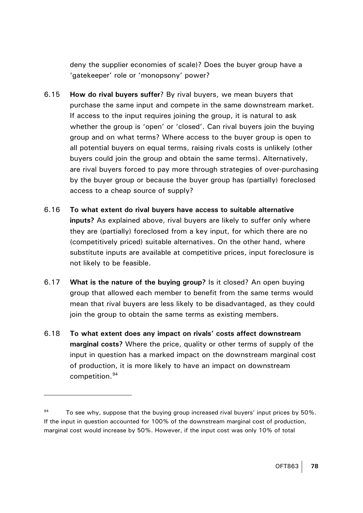deny the supplier economies of scale)? Does the buyer group have a 'gatekeeper' role or 'monopsony' power?

- <span id="page-80-0"></span>6.15 **How do rival buyers suffer**? By rival buyers, we mean buyers that purchase the same input and compete in the same downstream market. If access to the input requires joining the group, it is natural to ask whether the group is 'open' or 'closed'. Can rival buyers join the buying group and on what terms? Where access to the buyer group is open to all potential buyers on equal terms, raising rivals costs is unlikely (other buyers could join the group and obtain the same terms). Alternatively, are rival buyers forced to pay more through strategies of over-purchasing by the buyer group or because the buyer group has (partially) foreclosed access to a cheap source of supply?
- 6.16 **To what extent do rival buyers have access to suitable alternative inputs?** As explained above, rival buyers are likely to suffer only where they are (partially) foreclosed from a key input, for which there are no (competitively priced) suitable alternatives. On the other hand, where substitute inputs are available at competitive prices, input foreclosure is not likely to be feasible.
- 6.17 **What is the nature of the buying group?** Is it closed? An open buying group that allowed each member to benefit from the same terms would mean that rival buyers are less likely to be disadvantaged, as they could join the group to obtain the same terms as existing members.
- 6.18 **To what extent does any impact on rivals' costs affect downstream marginal costs?** Where the price, quality or other terms of supply of the input in question has a marked impact on the downstream marginal cost of production, it is more likely to have an impact on downstream competition.[94](#page-80-0)

 $94$  To see why, suppose that the buying group increased rival buyers' input prices by 50%. If the input in question accounted for 100% of the downstream marginal cost of production, marginal cost would increase by 50%. However, if the input cost was only 10% of total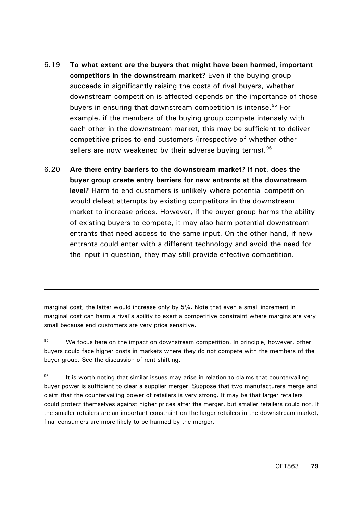- <span id="page-81-0"></span>6.19 **To what extent are the buyers that might have been harmed, important competitors in the downstream market?** Even if the buying group succeeds in significantly raising the costs of rival buyers, whether downstream competition is affected depends on the importance of those buyers in ensuring that downstream competition is intense.<sup>[95](#page-81-0)</sup> For example, if the members of the buying group compete intensely with each other in the downstream market, this may be sufficient to deliver competitive prices to end customers (irrespective of whether other sellers are now weakened by their adverse buying terms). <sup>[96](#page-81-0)</sup>
- 6.20 **Are there entry barriers to the downstream market? If not, does the buyer group create entry barriers for new entrants at the downstream level?** Harm to end customers is unlikely where potential competition would defeat attempts by existing competitors in the downstream market to increase prices. However, if the buyer group harms the ability of existing buyers to compete, it may also harm potential downstream entrants that need access to the same input. On the other hand, if new entrants could enter with a different technology and avoid the need for the input in question, they may still provide effective competition.

marginal cost, the latter would increase only by 5%. Note that even a small increment in marginal cost can harm a rival's ability to exert a competitive constraint where margins are very small because end customers are very price sensitive.

 $\overline{a}$ 

 $95$  We focus here on the impact on downstream competition. In principle, however, other buyers could face higher costs in markets where they do not compete with the members of the buyer group. See the discussion of rent shifting.

 $96$  It is worth noting that similar issues may arise in relation to claims that countervailing buyer power is sufficient to clear a supplier merger. Suppose that two manufacturers merge and claim that the countervailing power of retailers is very strong. It may be that larger retailers could protect themselves against higher prices after the merger, but smaller retailers could not. If the smaller retailers are an important constraint on the larger retailers in the downstream market, final consumers are more likely to be harmed by the merger.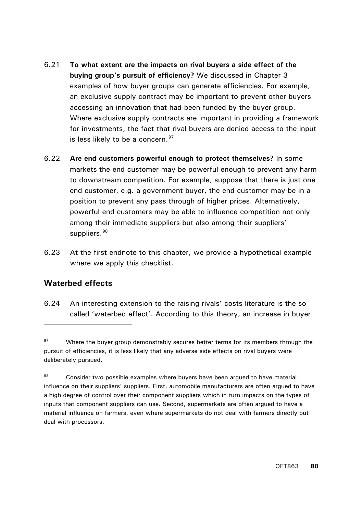- <span id="page-82-0"></span>6.21 **To what extent are the impacts on rival buyers a side effect of the buying group's pursuit of efficiency?** We discussed in Chapter 3 examples of how buyer groups can generate efficiencies. For example, an exclusive supply contract may be important to prevent other buyers accessing an innovation that had been funded by the buyer group. Where exclusive supply contracts are important in providing a framework for investments, the fact that rival buyers are denied access to the input is less likely to be a concern.<sup>[97](#page-82-0)</sup>
- 6.22 **Are end customers powerful enough to protect themselves?** In some markets the end customer may be powerful enough to prevent any harm to downstream competition. For example, suppose that there is just one end customer, e.g. a government buyer, the end customer may be in a position to prevent any pass through of higher prices. Alternatively, powerful end customers may be able to influence competition not only among their immediate suppliers but also among their suppliers' suppliers.<sup>[98](#page-82-0)</sup>
- 6.23 At the first endnote to this chapter, we provide a hypothetical example where we apply this checklist.

### **Waterbed effects**

 $\overline{a}$ 

6.24 An interesting extension to the raising rivals' costs literature is the so called 'waterbed effect'. According to this theory, an increase in buyer

<sup>&</sup>lt;sup>97</sup> Where the buyer group demonstrably secures better terms for its members through the pursuit of efficiencies, it is less likely that any adverse side effects on rival buyers were deliberately pursued.

<sup>&</sup>lt;sup>98</sup> Consider two possible examples where buyers have been argued to have material influence on their suppliers' suppliers. First, automobile manufacturers are often argued to have a high degree of control over their component suppliers which in turn impacts on the types of inputs that component suppliers can use. Second, supermarkets are often argued to have a material influence on farmers, even where supermarkets do not deal with farmers directly but deal with processors.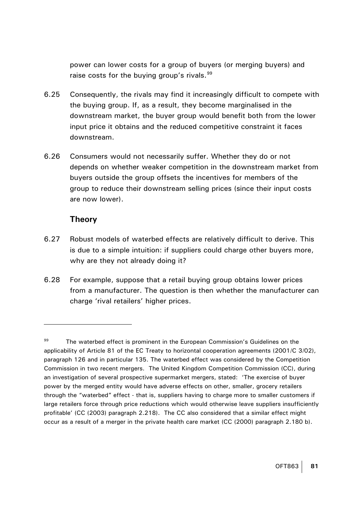power can lower costs for a group of buyers (or merging buyers) and raise costs for the buying group's rivals.<sup>[99](#page-83-0)</sup>

- <span id="page-83-0"></span>6.25 Consequently, the rivals may find it increasingly difficult to compete with the buying group. If, as a result, they become marginalised in the downstream market, the buyer group would benefit both from the lower input price it obtains and the reduced competitive constraint it faces downstream.
- 6.26 Consumers would not necessarily suffer. Whether they do or not depends on whether weaker competition in the downstream market from buyers outside the group offsets the incentives for members of the group to reduce their downstream selling prices (since their input costs are now lower).

## **Theory**

- 6.27 Robust models of waterbed effects are relatively difficult to derive. This is due to a simple intuition: if suppliers could charge other buyers more, why are they not already doing it?
- 6.28 For example, suppose that a retail buying group obtains lower prices from a manufacturer. The question is then whether the manufacturer can charge 'rival retailers' higher prices.

<sup>99</sup> The waterbed effect is prominent in the European Commission's Guidelines on the applicability of Article 81 of the EC Treaty to horizontal cooperation agreements (2001/C 3/02), paragraph 126 and in particular 135. The waterbed effect was considered by the Competition Commission in two recent mergers. The United Kingdom Competition Commission (CC), during an investigation of several prospective supermarket mergers, stated: 'The exercise of buyer power by the merged entity would have adverse effects on other, smaller, grocery retailers through the "waterbed" effect - that is, suppliers having to charge more to smaller customers if large retailers force through price reductions which would otherwise leave suppliers insufficiently profitable' (CC (2003) paragraph 2.218). The CC also considered that a similar effect might occur as a result of a merger in the private health care market (CC (2000) paragraph 2.180 b).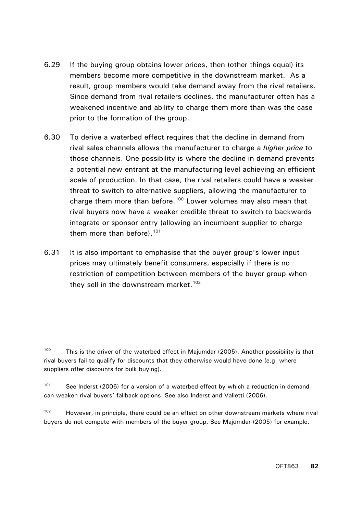- <span id="page-84-0"></span>6.29 If the buying group obtains lower prices, then (other things equal) its members become more competitive in the downstream market. As a result, group members would take demand away from the rival retailers. Since demand from rival retailers declines, the manufacturer often has a weakened incentive and ability to charge them more than was the case prior to the formation of the group.
- 6.30 To derive a waterbed effect requires that the decline in demand from rival sales channels allows the manufacturer to charge a *higher price* to those channels. One possibility is where the decline in demand prevents a potential new entrant at the manufacturing level achieving an efficient scale of production. In that case, the rival retailers could have a weaker threat to switch to alternative suppliers, allowing the manufacturer to charge them more than before.<sup>[100](#page-84-0)</sup> Lower volumes may also mean that rival buyers now have a weaker credible threat to switch to backwards integrate or sponsor entry (allowing an incumbent supplier to charge them more than before).<sup>[101](#page-84-0)</sup>
- 6.31 It is also important to emphasise that the buyer group's lower input prices may ultimately benefit consumers, especially if there is no restriction of competition between members of the buyer group when they sell in the downstream market.<sup>[102](#page-84-0)</sup>

 $100$  This is the driver of the waterbed effect in Majumdar (2005). Another possibility is that rival buyers fail to qualify for discounts that they otherwise would have done (e.g. where suppliers offer discounts for bulk buying).

<sup>&</sup>lt;sup>101</sup> See Inderst (2006) for a version of a waterbed effect by which a reduction in demand can weaken rival buyers' fallback options. See also Inderst and Valletti (2006).

 $102$  However, in principle, there could be an effect on other downstream markets where rival buyers do not compete with members of the buyer group. See Majumdar (2005) for example.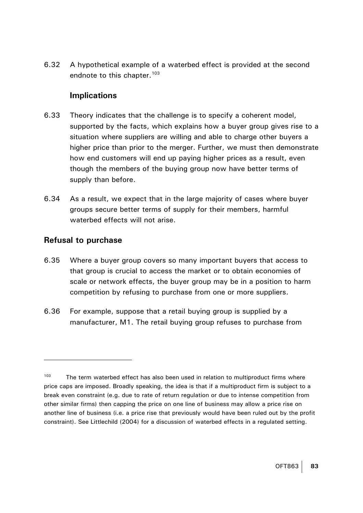<span id="page-85-0"></span>6.32 A hypothetical example of a waterbed effect is provided at the second endnote to this chapter.<sup>[103](#page-85-0)</sup>

## **Implications**

- 6.33 Theory indicates that the challenge is to specify a coherent model, supported by the facts, which explains how a buyer group gives rise to a situation where suppliers are willing and able to charge other buyers a higher price than prior to the merger. Further, we must then demonstrate how end customers will end up paying higher prices as a result, even though the members of the buying group now have better terms of supply than before.
- 6.34 As a result, we expect that in the large majority of cases where buyer groups secure better terms of supply for their members, harmful waterbed effects will not arise.

## **Refusal to purchase**

- 6.35 Where a buyer group covers so many important buyers that access to that group is crucial to access the market or to obtain economies of scale or network effects, the buyer group may be in a position to harm competition by refusing to purchase from one or more suppliers.
- 6.36 For example, suppose that a retail buying group is supplied by a manufacturer, M1. The retail buying group refuses to purchase from

 $103$  The term waterbed effect has also been used in relation to multiproduct firms where price caps are imposed. Broadly speaking, the idea is that if a multiproduct firm is subject to a break even constraint (e.g. due to rate of return regulation or due to intense competition from other similar firms) then capping the price on one line of business may allow a price rise on another line of business (i.e. a price rise that previously would have been ruled out by the profit constraint). See Littlechild (2004) for a discussion of waterbed effects in a regulated setting.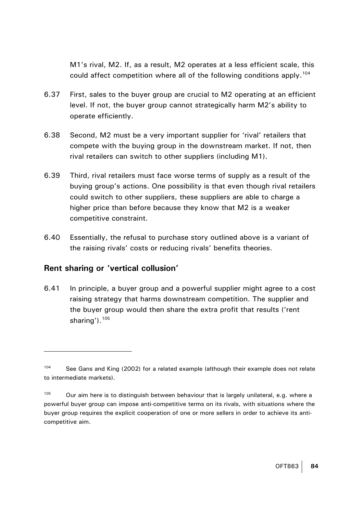M1's rival, M2. If, as a result, M2 operates at a less efficient scale, this could affect competition where all of the following conditions apply.<sup>104</sup>

- <span id="page-86-0"></span>6.37 First, sales to the buyer group are crucial to M2 operating at an efficient level. If not, the buyer group cannot strategically harm M2's ability to operate efficiently.
- 6.38 Second, M2 must be a very important supplier for 'rival' retailers that compete with the buying group in the downstream market. If not, then rival retailers can switch to other suppliers (including M1).
- 6.39 Third, rival retailers must face worse terms of supply as a result of the buying group's actions. One possibility is that even though rival retailers could switch to other suppliers, these suppliers are able to charge a higher price than before because they know that M2 is a weaker competitive constraint.
- 6.40 Essentially, the refusal to purchase story outlined above is a variant of the raising rivals' costs or reducing rivals' benefits theories.

#### **Rent sharing or 'vertical collusion'**

 $\overline{a}$ 

6.41 In principle, a buyer group and a powerful supplier might agree to a cost raising strategy that harms downstream competition. The supplier and the buyer group would then share the extra profit that results ('rent sharing').<sup>[105](#page-86-0)</sup>

<sup>&</sup>lt;sup>104</sup> See Gans and King (2002) for a related example (although their example does not relate to intermediate markets).

 $105$  Our aim here is to distinguish between behaviour that is largely unilateral, e.g. where a powerful buyer group can impose anti-competitive terms on its rivals, with situations where the buyer group requires the explicit cooperation of one or more sellers in order to achieve its anticompetitive aim.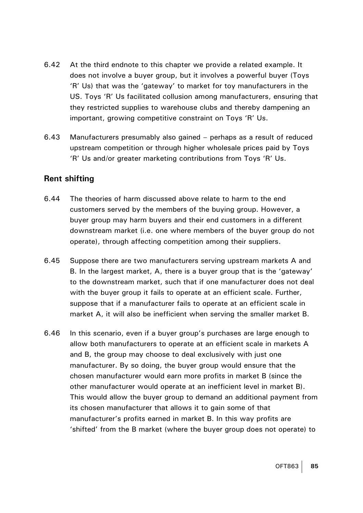- 6.42 At the third endnote to this chapter we provide a related example. It does not involve a buyer group, but it involves a powerful buyer (Toys 'R' Us) that was the 'gateway' to market for toy manufacturers in the US. Toys 'R' Us facilitated collusion among manufacturers, ensuring that they restricted supplies to warehouse clubs and thereby dampening an important, growing competitive constraint on Toys 'R' Us.
- 6.43 Manufacturers presumably also gained perhaps as a result of reduced upstream competition or through higher wholesale prices paid by Toys 'R' Us and/or greater marketing contributions from Toys 'R' Us.

#### **Rent shifting**

- 6.44 The theories of harm discussed above relate to harm to the end customers served by the members of the buying group. However, a buyer group may harm buyers and their end customers in a different downstream market (i.e. one where members of the buyer group do not operate), through affecting competition among their suppliers.
- 6.45 Suppose there are two manufacturers serving upstream markets A and B. In the largest market, A, there is a buyer group that is the 'gateway' to the downstream market, such that if one manufacturer does not deal with the buyer group it fails to operate at an efficient scale. Further, suppose that if a manufacturer fails to operate at an efficient scale in market A, it will also be inefficient when serving the smaller market B.
- 6.46 In this scenario, even if a buyer group's purchases are large enough to allow both manufacturers to operate at an efficient scale in markets A and B, the group may choose to deal exclusively with just one manufacturer. By so doing, the buyer group would ensure that the chosen manufacturer would earn more profits in market B (since the other manufacturer would operate at an inefficient level in market B). This would allow the buyer group to demand an additional payment from its chosen manufacturer that allows it to gain some of that manufacturer's profits earned in market B. In this way profits are 'shifted' from the B market (where the buyer group does not operate) to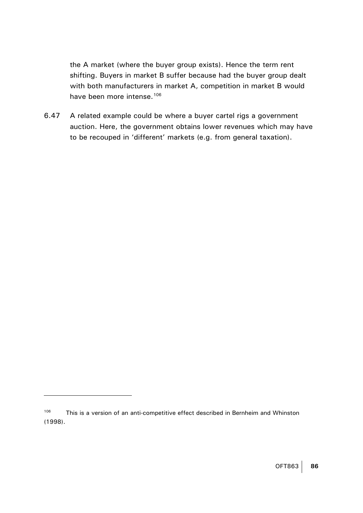<span id="page-88-0"></span>the A market (where the buyer group exists). Hence the term rent shifting. Buyers in market B suffer because had the buyer group dealt with both manufacturers in market A, competition in market B would have been more intense.<sup>[106](#page-88-0)</sup>

6.47 A related example could be where a buyer cartel rigs a government auction. Here, the government obtains lower revenues which may have to be recouped in 'different' markets (e.g. from general taxation).

<sup>&</sup>lt;sup>106</sup> This is a version of an anti-competitive effect described in Bernheim and Whinston (1998).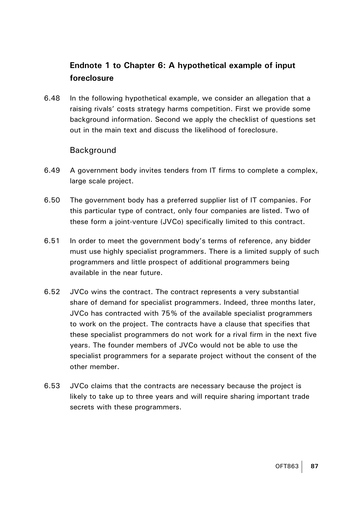# **Endnote 1 to Chapter 6: A hypothetical example of input foreclosure**

6.48 In the following hypothetical example, we consider an allegation that a raising rivals' costs strategy harms competition. First we provide some background information. Second we apply the checklist of questions set out in the main text and discuss the likelihood of foreclosure.

### Background

- 6.49 A government body invites tenders from IT firms to complete a complex, large scale project.
- 6.50 The government body has a preferred supplier list of IT companies. For this particular type of contract, only four companies are listed. Two of these form a joint-venture (JVCo) specifically limited to this contract.
- 6.51 In order to meet the government body's terms of reference, any bidder must use highly specialist programmers. There is a limited supply of such programmers and little prospect of additional programmers being available in the near future.
- 6.52 JVCo wins the contract. The contract represents a very substantial share of demand for specialist programmers. Indeed, three months later, JVCo has contracted with 75% of the available specialist programmers to work on the project. The contracts have a clause that specifies that these specialist programmers do not work for a rival firm in the next five years. The founder members of JVCo would not be able to use the specialist programmers for a separate project without the consent of the other member.
- 6.53 JVCo claims that the contracts are necessary because the project is likely to take up to three years and will require sharing important trade secrets with these programmers.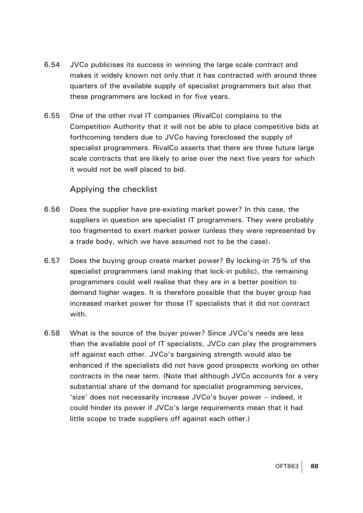- 6.54 JVCo publicises its success in winning the large scale contract and makes it widely known not only that it has contracted with around three quarters of the available supply of specialist programmers but also that these programmers are locked in for five years.
- 6.55 One of the other rival IT companies (RivalCo) complains to the Competition Authority that it will not be able to place competitive bids at forthcoming tenders due to JVCo having foreclosed the supply of specialist programmers. RivalCo asserts that there are three future large scale contracts that are likely to arise over the next five years for which it would not be well placed to bid.

### Applying the checklist

- 6.56 Does the supplier have pre-existing market power? In this case, the suppliers in question are specialist IT programmers. They were probably too fragmented to exert market power (unless they were represented by a trade body, which we have assumed not to be the case).
- 6.57 Does the buying group create market power? By locking-in 75% of the specialist programmers (and making that lock-in public), the remaining programmers could well realise that they are in a better position to demand higher wages. It is therefore possible that the buyer group has increased market power for those IT specialists that it did not contract with.
- 6.58 What is the source of the buyer power? Since JVCo's needs are less than the available pool of IT specialists, JVCo can play the programmers off against each other. JVCo's bargaining strength would also be enhanced if the specialists did not have good prospects working on other contracts in the near term. (Note that although JVCo accounts for a very substantial share of the demand for specialist programming services, 'size' does not necessarily increase JVCo's buyer power – indeed, it could hinder its power if JVCo's large requirements mean that it had little scope to trade suppliers off against each other.)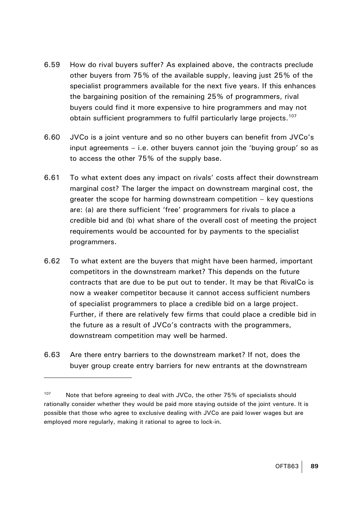- <span id="page-91-0"></span>6.59 How do rival buyers suffer? As explained above, the contracts preclude other buyers from 75% of the available supply, leaving just 25% of the specialist programmers available for the next five years. If this enhances the bargaining position of the remaining 25% of programmers, rival buyers could find it more expensive to hire programmers and may not obtain sufficient programmers to fulfil particularly large projects.<sup>[107](#page-91-0)</sup>
- 6.60 JVCo is a joint venture and so no other buyers can benefit from JVCo's input agreements – i.e. other buyers cannot join the 'buying group' so as to access the other 75% of the supply base.
- 6.61 To what extent does any impact on rivals' costs affect their downstream marginal cost? The larger the impact on downstream marginal cost, the greater the scope for harming downstream competition – key questions are: (a) are there sufficient 'free' programmers for rivals to place a credible bid and (b) what share of the overall cost of meeting the project requirements would be accounted for by payments to the specialist programmers.
- 6.62 To what extent are the buyers that might have been harmed, important competitors in the downstream market? This depends on the future contracts that are due to be put out to tender. It may be that RivalCo is now a weaker competitor because it cannot access sufficient numbers of specialist programmers to place a credible bid on a large project. Further, if there are relatively few firms that could place a credible bid in the future as a result of JVCo's contracts with the programmers, downstream competition may well be harmed.
- 6.63 Are there entry barriers to the downstream market? If not, does the buyer group create entry barriers for new entrants at the downstream

<sup>&</sup>lt;sup>107</sup> Note that before agreeing to deal with JVCo, the other 75% of specialists should rationally consider whether they would be paid more staying outside of the joint venture. It is possible that those who agree to exclusive dealing with JVCo are paid lower wages but are employed more regularly, making it rational to agree to lock-in.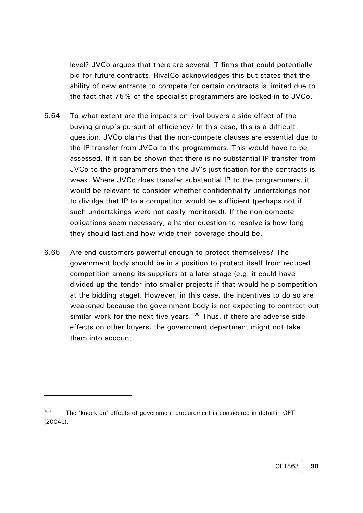<span id="page-92-0"></span>level? JVCo argues that there are several IT firms that could potentially bid for future contracts. RivalCo acknowledges this but states that the ability of new entrants to compete for certain contracts is limited due to the fact that 75% of the specialist programmers are locked-in to JVCo.

- 6.64 To what extent are the impacts on rival buyers a side effect of the buying group's pursuit of efficiency? In this case, this is a difficult question. JVCo claims that the non-compete clauses are essential due to the IP transfer from JVCo to the programmers. This would have to be assessed. If it can be shown that there is no substantial IP transfer from JVCo to the programmers then the JV's justification for the contracts is weak. Where JVCo does transfer substantial IP to the programmers, it would be relevant to consider whether confidentiality undertakings not to divulge that IP to a competitor would be sufficient (perhaps not if such undertakings were not easily monitored). If the non compete obligations seem necessary, a harder question to resolve is how long they should last and how wide their coverage should be.
- 6.65 Are end customers powerful enough to protect themselves? The government body should be in a position to protect itself from reduced competition among its suppliers at a later stage (e.g. it could have divided up the tender into smaller projects if that would help competition at the bidding stage). However, in this case, the incentives to do so are weakened because the government body is not expecting to contract out similar work for the next five years.<sup>[108](#page-92-0)</sup> Thus, if there are adverse side effects on other buyers, the government department might not take them into account.

<sup>&</sup>lt;sup>108</sup> The 'knock on' effects of government procurement is considered in detail in OFT (2004b).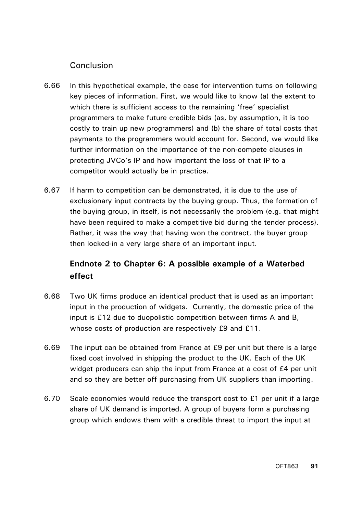### Conclusion

- 6.66 In this hypothetical example, the case for intervention turns on following key pieces of information. First, we would like to know (a) the extent to which there is sufficient access to the remaining 'free' specialist programmers to make future credible bids (as, by assumption, it is too costly to train up new programmers) and (b) the share of total costs that payments to the programmers would account for. Second, we would like further information on the importance of the non-compete clauses in protecting JVCo's IP and how important the loss of that IP to a competitor would actually be in practice.
- 6.67 If harm to competition can be demonstrated, it is due to the use of exclusionary input contracts by the buying group. Thus, the formation of the buying group, in itself, is not necessarily the problem (e.g. that might have been required to make a competitive bid during the tender process). Rather, it was the way that having won the contract, the buyer group then locked-in a very large share of an important input.

# **Endnote 2 to Chapter 6: A possible example of a Waterbed effect**

- 6.68 Two UK firms produce an identical product that is used as an important input in the production of widgets. Currently, the domestic price of the input is £12 due to duopolistic competition between firms A and B, whose costs of production are respectively £9 and £11.
- 6.69 The input can be obtained from France at £9 per unit but there is a large fixed cost involved in shipping the product to the UK. Each of the UK widget producers can ship the input from France at a cost of £4 per unit and so they are better off purchasing from UK suppliers than importing.
- 6.70 Scale economies would reduce the transport cost to £1 per unit if a large share of UK demand is imported. A group of buyers form a purchasing group which endows them with a credible threat to import the input at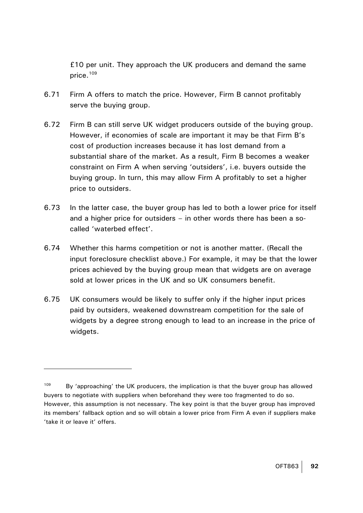£10 per unit. They approach the UK producers and demand the same price.[109](#page-94-0)

- <span id="page-94-0"></span>6.71 Firm A offers to match the price. However, Firm B cannot profitably serve the buying group.
- 6.72 Firm B can still serve UK widget producers outside of the buying group. However, if economies of scale are important it may be that Firm B's cost of production increases because it has lost demand from a substantial share of the market. As a result, Firm B becomes a weaker constraint on Firm A when serving 'outsiders', i.e. buyers outside the buying group. In turn, this may allow Firm A profitably to set a higher price to outsiders.
- 6.73 In the latter case, the buyer group has led to both a lower price for itself and a higher price for outsiders – in other words there has been a socalled 'waterbed effect'.
- 6.74 Whether this harms competition or not is another matter. (Recall the input foreclosure checklist above.) For example, it may be that the lower prices achieved by the buying group mean that widgets are on average sold at lower prices in the UK and so UK consumers benefit.
- 6.75 UK consumers would be likely to suffer only if the higher input prices paid by outsiders, weakened downstream competition for the sale of widgets by a degree strong enough to lead to an increase in the price of widgets.

 $109$  By 'approaching' the UK producers, the implication is that the buyer group has allowed buyers to negotiate with suppliers when beforehand they were too fragmented to do so. However, this assumption is not necessary. The key point is that the buyer group has improved its members' fallback option and so will obtain a lower price from Firm A even if suppliers make 'take it or leave it' offers.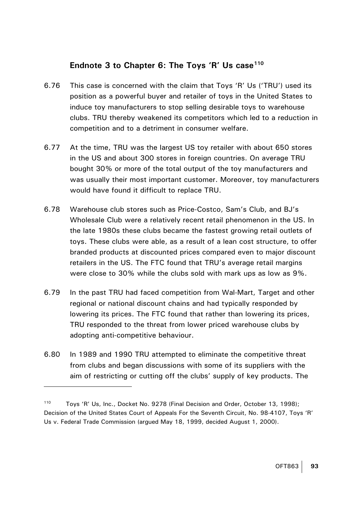### **Endnote 3 to Chapter 6: The Toys 'R' Us case[110](#page-95-0)**

- <span id="page-95-0"></span>6.76 This case is concerned with the claim that Toys 'R' Us ('TRU') used its position as a powerful buyer and retailer of toys in the United States to induce toy manufacturers to stop selling desirable toys to warehouse clubs. TRU thereby weakened its competitors which led to a reduction in competition and to a detriment in consumer welfare.
- 6.77 At the time, TRU was the largest US toy retailer with about 650 stores in the US and about 300 stores in foreign countries. On average TRU bought 30% or more of the total output of the toy manufacturers and was usually their most important customer. Moreover, toy manufacturers would have found it difficult to replace TRU.
- 6.78 Warehouse club stores such as Price-Costco, Sam's Club, and BJ's Wholesale Club were a relatively recent retail phenomenon in the US. In the late 1980s these clubs became the fastest growing retail outlets of toys. These clubs were able, as a result of a lean cost structure, to offer branded products at discounted prices compared even to major discount retailers in the US. The FTC found that TRU's average retail margins were close to 30% while the clubs sold with mark ups as low as 9%.
- 6.79 In the past TRU had faced competition from Wal-Mart, Target and other regional or national discount chains and had typically responded by lowering its prices. The FTC found that rather than lowering its prices, TRU responded to the threat from lower priced warehouse clubs by adopting anti-competitive behaviour.
- 6.80 In 1989 and 1990 TRU attempted to eliminate the competitive threat from clubs and began discussions with some of its suppliers with the aim of restricting or cutting off the clubs' supply of key products. The

<sup>110</sup> Toys 'R' Us, Inc., Docket No. 9278 (Final Decision and Order, October 13, 1998); Decision of the United States Court of Appeals For the Seventh Circuit, No. 98-4107, Toys 'R' Us v. Federal Trade Commission (argued May 18, 1999, decided August 1, 2000).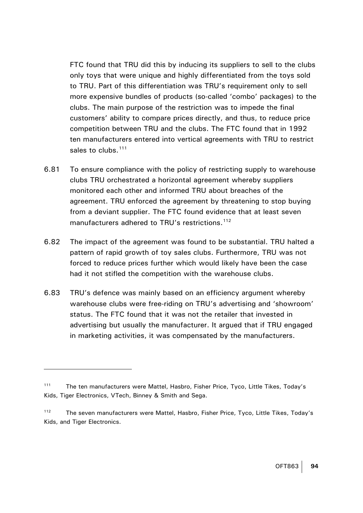<span id="page-96-0"></span>FTC found that TRU did this by inducing its suppliers to sell to the clubs only toys that were unique and highly differentiated from the toys sold to TRU. Part of this differentiation was TRU's requirement only to sell more expensive bundles of products (so-called 'combo' packages) to the clubs. The main purpose of the restriction was to impede the final customers' ability to compare prices directly, and thus, to reduce price competition between TRU and the clubs. The FTC found that in 1992 ten manufacturers entered into vertical agreements with TRU to restrict sales to clubs.<sup>[111](#page-96-0)</sup>

- 6.81 To ensure compliance with the policy of restricting supply to warehouse clubs TRU orchestrated a horizontal agreement whereby suppliers monitored each other and informed TRU about breaches of the agreement. TRU enforced the agreement by threatening to stop buying from a deviant supplier. The FTC found evidence that at least seven manufacturers adhered to TRU's restrictions.<sup>[112](#page-96-0)</sup>
- 6.82 The impact of the agreement was found to be substantial. TRU halted a pattern of rapid growth of toy sales clubs. Furthermore, TRU was not forced to reduce prices further which would likely have been the case had it not stifled the competition with the warehouse clubs.
- 6.83 TRU's defence was mainly based on an efficiency argument whereby warehouse clubs were free-riding on TRU's advertising and 'showroom' status. The FTC found that it was not the retailer that invested in advertising but usually the manufacturer. It argued that if TRU engaged in marketing activities, it was compensated by the manufacturers.

<sup>&</sup>lt;sup>111</sup> The ten manufacturers were Mattel, Hasbro, Fisher Price, Tyco, Little Tikes, Today's Kids, Tiger Electronics, VTech, Binney & Smith and Sega.

<sup>&</sup>lt;sup>112</sup> The seven manufacturers were Mattel, Hasbro, Fisher Price, Tyco, Little Tikes, Today's Kids, and Tiger Electronics.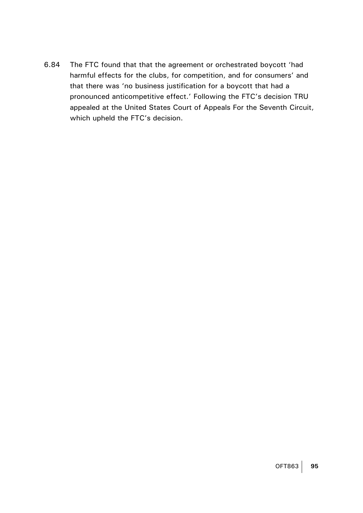6.84 The FTC found that that the agreement or orchestrated boycott 'had harmful effects for the clubs, for competition, and for consumers' and that there was 'no business justification for a boycott that had a pronounced anticompetitive effect.' Following the FTC's decision TRU appealed at the United States Court of Appeals For the Seventh Circuit, which upheld the FTC's decision.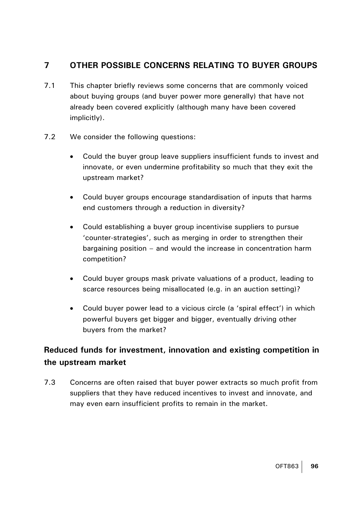## **7 OTHER POSSIBLE CONCERNS RELATING TO BUYER GROUPS**

- 7.1 This chapter briefly reviews some concerns that are commonly voiced about buying groups (and buyer power more generally) that have not already been covered explicitly (although many have been covered implicitly).
- 7.2 We consider the following questions:
	- Could the buyer group leave suppliers insufficient funds to invest and innovate, or even undermine profitability so much that they exit the upstream market?
	- Could buyer groups encourage standardisation of inputs that harms end customers through a reduction in diversity?
	- Could establishing a buyer group incentivise suppliers to pursue 'counter-strategies', such as merging in order to strengthen their bargaining position – and would the increase in concentration harm competition?
	- Could buyer groups mask private valuations of a product, leading to scarce resources being misallocated (e.g. in an auction setting)?
	- Could buyer power lead to a vicious circle (a 'spiral effect') in which powerful buyers get bigger and bigger, eventually driving other buyers from the market?

# **Reduced funds for investment, innovation and existing competition in the upstream market**

7.3 Concerns are often raised that buyer power extracts so much profit from suppliers that they have reduced incentives to invest and innovate, and may even earn insufficient profits to remain in the market.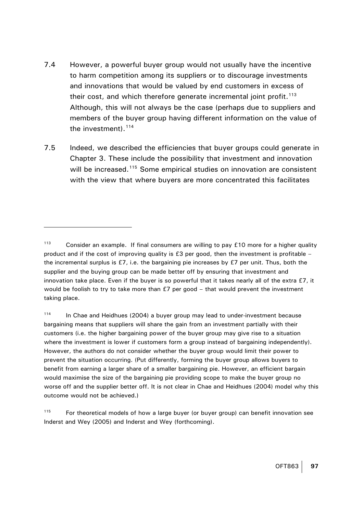- <span id="page-99-0"></span>7.4 However, a powerful buyer group would not usually have the incentive to harm competition among its suppliers or to discourage investments and innovations that would be valued by end customers in excess of their cost, and which therefore generate incremental joint profit.<sup>[113](#page-99-0)</sup> Although, this will not always be the case (perhaps due to suppliers and members of the buyer group having different information on the value of the investment).  $114$
- 7.5 Indeed, we described the efficiencies that buyer groups could generate in Chapter 3. These include the possibility that investment and innovation will be increased.<sup>[115](#page-99-0)</sup> Some empirical studies on innovation are consistent with the view that where buyers are more concentrated this facilitates

<sup>&</sup>lt;sup>113</sup> Consider an example. If final consumers are willing to pay £10 more for a higher quality product and if the cost of improving quality is £3 per good, then the investment is profitable – the incremental surplus is £7, i.e. the bargaining pie increases by £7 per unit. Thus, both the supplier and the buying group can be made better off by ensuring that investment and innovation take place. Even if the buyer is so powerful that it takes nearly all of the extra £7, it would be foolish to try to take more than £7 per good – that would prevent the investment taking place.

 $114$  In Chae and Heidhues (2004) a buyer group may lead to under-investment because bargaining means that suppliers will share the gain from an investment partially with their customers (i.e. the higher bargaining power of the buyer group may give rise to a situation where the investment is lower if customers form a group instead of bargaining independently). However, the authors do not consider whether the buyer group would limit their power to prevent the situation occurring. (Put differently, forming the buyer group allows buyers to benefit from earning a larger share of a smaller bargaining pie. However, an efficient bargain would maximise the size of the bargaining pie providing scope to make the buyer group no worse off and the supplier better off. It is not clear in Chae and Heidhues (2004) model why this outcome would not be achieved.)

 $115$  For theoretical models of how a large buyer (or buyer group) can benefit innovation see Inderst and Wey (2005) and Inderst and Wey (forthcoming).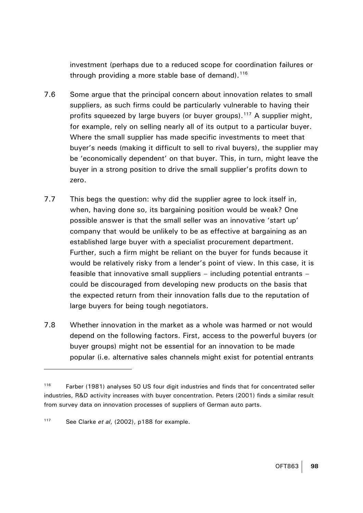investment (perhaps due to a reduced scope for coordination failures or through providing a more stable base of demand).  $116$ 

- <span id="page-100-0"></span>7.6 Some argue that the principal concern about innovation relates to small suppliers, as such firms could be particularly vulnerable to having their profits squeezed by large buyers (or buyer groups).<sup>[117](#page-100-0)</sup> A supplier might, for example, rely on selling nearly all of its output to a particular buyer. Where the small supplier has made specific investments to meet that buyer's needs (making it difficult to sell to rival buyers), the supplier may be 'economically dependent' on that buyer. This, in turn, might leave the buyer in a strong position to drive the small supplier's profits down to zero.
- 7.7 This begs the question: why did the supplier agree to lock itself in, when, having done so, its bargaining position would be weak? One possible answer is that the small seller was an innovative 'start up' company that would be unlikely to be as effective at bargaining as an established large buyer with a specialist procurement department. Further, such a firm might be reliant on the buyer for funds because it would be relatively risky from a lender's point of view. In this case, it is feasible that innovative small suppliers – including potential entrants – could be discouraged from developing new products on the basis that the expected return from their innovation falls due to the reputation of large buyers for being tough negotiators.
- 7.8 Whether innovation in the market as a whole was harmed or not would depend on the following factors. First, access to the powerful buyers (or buyer groups) might not be essential for an innovation to be made popular (i.e. alternative sales channels might exist for potential entrants

<sup>&</sup>lt;sup>116</sup> Farber (1981) analyses 50 US four digit industries and finds that for concentrated seller industries, R&D activity increases with buyer concentration. Peters (2001) finds a similar result from survey data on innovation processes of suppliers of German auto parts.

<sup>117</sup> See Clarke *et al*, (2002), p188 for example.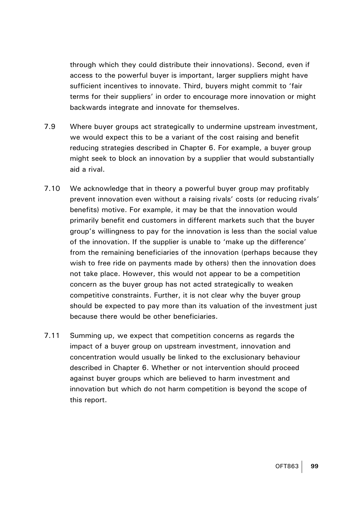through which they could distribute their innovations). Second, even if access to the powerful buyer is important, larger suppliers might have sufficient incentives to innovate. Third, buyers might commit to 'fair terms for their suppliers' in order to encourage more innovation or might backwards integrate and innovate for themselves.

- 7.9 Where buyer groups act strategically to undermine upstream investment, we would expect this to be a variant of the cost raising and benefit reducing strategies described in Chapter 6. For example, a buyer group might seek to block an innovation by a supplier that would substantially aid a rival.
- 7.10 We acknowledge that in theory a powerful buyer group may profitably prevent innovation even without a raising rivals' costs (or reducing rivals' benefits) motive. For example, it may be that the innovation would primarily benefit end customers in different markets such that the buyer group's willingness to pay for the innovation is less than the social value of the innovation. If the supplier is unable to 'make up the difference' from the remaining beneficiaries of the innovation (perhaps because they wish to free ride on payments made by others) then the innovation does not take place. However, this would not appear to be a competition concern as the buyer group has not acted strategically to weaken competitive constraints. Further, it is not clear why the buyer group should be expected to pay more than its valuation of the investment just because there would be other beneficiaries.
- 7.11 Summing up, we expect that competition concerns as regards the impact of a buyer group on upstream investment, innovation and concentration would usually be linked to the exclusionary behaviour described in Chapter 6. Whether or not intervention should proceed against buyer groups which are believed to harm investment and innovation but which do not harm competition is beyond the scope of this report.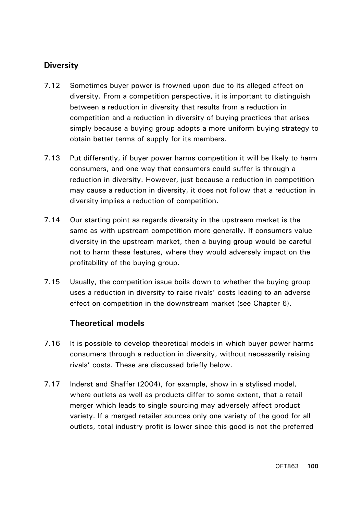## **Diversity**

- 7.12 Sometimes buyer power is frowned upon due to its alleged affect on diversity. From a competition perspective, it is important to distinguish between a reduction in diversity that results from a reduction in competition and a reduction in diversity of buying practices that arises simply because a buying group adopts a more uniform buying strategy to obtain better terms of supply for its members.
- 7.13 Put differently, if buyer power harms competition it will be likely to harm consumers, and one way that consumers could suffer is through a reduction in diversity. However, just because a reduction in competition may cause a reduction in diversity, it does not follow that a reduction in diversity implies a reduction of competition.
- 7.14 Our starting point as regards diversity in the upstream market is the same as with upstream competition more generally. If consumers value diversity in the upstream market, then a buying group would be careful not to harm these features, where they would adversely impact on the profitability of the buying group.
- 7.15 Usually, the competition issue boils down to whether the buying group uses a reduction in diversity to raise rivals' costs leading to an adverse effect on competition in the downstream market (see Chapter 6).

### **Theoretical models**

- 7.16 It is possible to develop theoretical models in which buyer power harms consumers through a reduction in diversity, without necessarily raising rivals' costs. These are discussed briefly below.
- 7.17 Inderst and Shaffer (2004), for example, show in a stylised model, where outlets as well as products differ to some extent, that a retail merger which leads to single sourcing may adversely affect product variety. If a merged retailer sources only one variety of the good for all outlets, total industry profit is lower since this good is not the preferred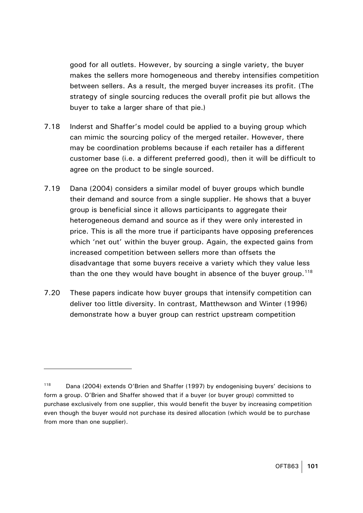<span id="page-103-0"></span>good for all outlets. However, by sourcing a single variety, the buyer makes the sellers more homogeneous and thereby intensifies competition between sellers. As a result, the merged buyer increases its profit. (The strategy of single sourcing reduces the overall profit pie but allows the buyer to take a larger share of that pie.)

- 7.18 Inderst and Shaffer's model could be applied to a buying group which can mimic the sourcing policy of the merged retailer. However, there may be coordination problems because if each retailer has a different customer base (i.e. a different preferred good), then it will be difficult to agree on the product to be single sourced.
- 7.19 Dana (2004) considers a similar model of buyer groups which bundle their demand and source from a single supplier. He shows that a buyer group is beneficial since it allows participants to aggregate their heterogeneous demand and source as if they were only interested in price. This is all the more true if participants have opposing preferences which 'net out' within the buyer group. Again, the expected gains from increased competition between sellers more than offsets the disadvantage that some buyers receive a variety which they value less than the one they would have bought in absence of the buyer group.<sup>[118](#page-103-0)</sup>
- 7.20 These papers indicate how buyer groups that intensify competition can deliver too little diversity. In contrast, Matthewson and Winter (1996) demonstrate how a buyer group can restrict upstream competition

<sup>&</sup>lt;sup>118</sup> Dana (2004) extends O'Brien and Shaffer (1997) by endogenising buyers' decisions to form a group. O'Brien and Shaffer showed that if a buyer (or buyer group) committed to purchase exclusively from one supplier, this would benefit the buyer by increasing competition even though the buyer would not purchase its desired allocation (which would be to purchase from more than one supplier).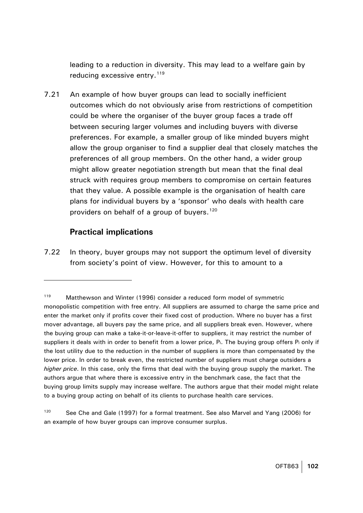leading to a reduction in diversity. This may lead to a welfare gain by reducing excessive entry.<sup>[119](#page-104-0)</sup>

<span id="page-104-0"></span>7.21 An example of how buyer groups can lead to socially inefficient outcomes which do not obviously arise from restrictions of competition could be where the organiser of the buyer group faces a trade off between securing larger volumes and including buyers with diverse preferences. For example, a smaller group of like minded buyers might allow the group organiser to find a supplier deal that closely matches the preferences of all group members. On the other hand, a wider group might allow greater negotiation strength but mean that the final deal struck with requires group members to compromise on certain features that they value. A possible example is the organisation of health care plans for individual buyers by a 'sponsor' who deals with health care providers on behalf of a group of buyers.<sup>[120](#page-104-0)</sup>

## **Practical implications**

 $\overline{a}$ 

7.22 In theory, buyer groups may not support the optimum level of diversity from society's point of view. However, for this to amount to a

<sup>&</sup>lt;sup>119</sup> Matthewson and Winter (1996) consider a reduced form model of symmetric monopolistic competition with free entry. All suppliers are assumed to charge the same price and enter the market only if profits cover their fixed cost of production. Where no buyer has a first mover advantage, all buyers pay the same price, and all suppliers break even. However, where the buying group can make a take-it-or-leave-it-offer to suppliers, it may restrict the number of suppliers it deals with in order to benefit from a lower price, P<sub>1</sub>. The buying group offers P<sub>1</sub> only if the lost utility due to the reduction in the number of suppliers is more than compensated by the lower price. In order to break even, the restricted number of suppliers must charge outsiders a *higher price*. In this case, only the firms that deal with the buying group supply the market. The authors argue that where there is excessive entry in the benchmark case, the fact that the buying group limits supply may increase welfare. The authors argue that their model might relate to a buying group acting on behalf of its clients to purchase health care services.

<sup>&</sup>lt;sup>120</sup> See Che and Gale (1997) for a formal treatment. See also Marvel and Yang (2006) for an example of how buyer groups can improve consumer surplus.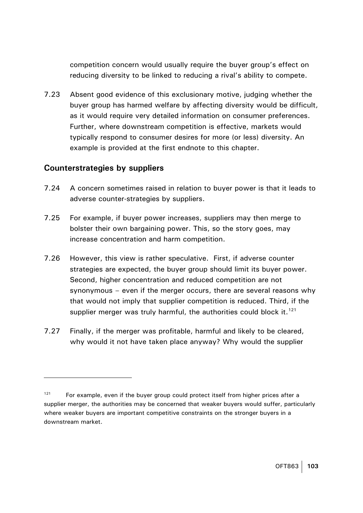competition concern would usually require the buyer group's effect on reducing diversity to be linked to reducing a rival's ability to compete.

<span id="page-105-0"></span>7.23 Absent good evidence of this exclusionary motive, judging whether the buyer group has harmed welfare by affecting diversity would be difficult, as it would require very detailed information on consumer preferences. Further, where downstream competition is effective, markets would typically respond to consumer desires for more (or less) diversity. An example is provided at the first endnote to this chapter.

### **Counterstrategies by suppliers**

- 7.24 A concern sometimes raised in relation to buyer power is that it leads to adverse counter-strategies by suppliers.
- 7.25 For example, if buyer power increases, suppliers may then merge to bolster their own bargaining power. This, so the story goes, may increase concentration and harm competition.
- 7.26 However, this view is rather speculative. First, if adverse counter strategies are expected, the buyer group should limit its buyer power. Second, higher concentration and reduced competition are not synonymous – even if the merger occurs, there are several reasons why that would not imply that supplier competition is reduced. Third, if the supplier merger was truly harmful, the authorities could block it.  $121$
- 7.27 Finally, if the merger was profitable, harmful and likely to be cleared, why would it not have taken place anyway? Why would the supplier

 $121$  For example, even if the buyer group could protect itself from higher prices after a supplier merger, the authorities may be concerned that weaker buyers would suffer, particularly where weaker buyers are important competitive constraints on the stronger buyers in a downstream market.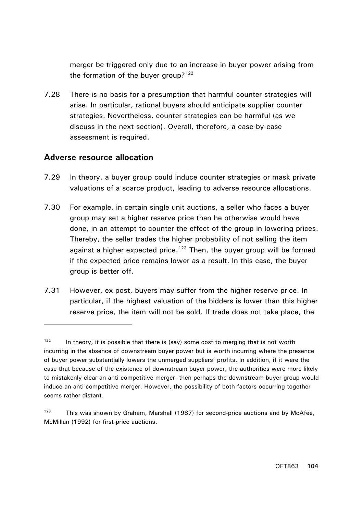merger be triggered only due to an increase in buyer power arising from the formation of the buver group? $122$ 

<span id="page-106-0"></span>7.28 There is no basis for a presumption that harmful counter strategies will arise. In particular, rational buyers should anticipate supplier counter strategies. Nevertheless, counter strategies can be harmful (as we discuss in the next section). Overall, therefore, a case-by-case assessment is required.

#### **Adverse resource allocation**

- 7.29 In theory, a buyer group could induce counter strategies or mask private valuations of a scarce product, leading to adverse resource allocations.
- 7.30 For example, in certain single unit auctions, a seller who faces a buyer group may set a higher reserve price than he otherwise would have done, in an attempt to counter the effect of the group in lowering prices. Thereby, the seller trades the higher probability of not selling the item against a higher expected price.<sup>[123](#page-106-0)</sup> Then, the buyer group will be formed if the expected price remains lower as a result. In this case, the buyer group is better off.
- 7.31 However, ex post, buyers may suffer from the higher reserve price. In particular, if the highest valuation of the bidders is lower than this higher reserve price, the item will not be sold. If trade does not take place, the

 $122$  In theory, it is possible that there is (say) some cost to merging that is not worth incurring in the absence of downstream buyer power but is worth incurring where the presence of buyer power substantially lowers the unmerged suppliers' profits. In addition, if it were the case that because of the existence of downstream buyer power, the authorities were more likely to mistakenly clear an anti-competitive merger, then perhaps the downstream buyer group would induce an anti-competitive merger. However, the possibility of both factors occurring together seems rather distant.

 $123$  This was shown by Graham, Marshall (1987) for second-price auctions and by McAfee, McMillan (1992) for first-price auctions.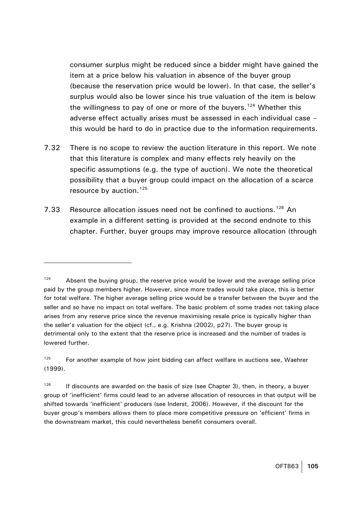<span id="page-107-0"></span>consumer surplus might be reduced since a bidder might have gained the item at a price below his valuation in absence of the buyer group (because the reservation price would be lower). In that case, the seller's surplus would also be lower since his true valuation of the item is below the willingness to pay of one or more of the buyers.<sup>[124](#page-107-0)</sup> Whether this adverse effect actually arises must be assessed in each individual case – this would be hard to do in practice due to the information requirements.

- 7.32 There is no scope to review the auction literature in this report. We note that this literature is complex and many effects rely heavily on the specific assumptions (e.g. the type of auction). We note the theoretical possibility that a buyer group could impact on the allocation of a scarce resource by auction.<sup>[125](#page-107-0)</sup>
- 7.33 Resource allocation issues need not be confined to auctions.<sup>[126](#page-107-0)</sup> An example in a different setting is provided at the second endnote to this chapter. Further, buyer groups may improve resource allocation (through

 $124$  Absent the buying group, the reserve price would be lower and the average selling price paid by the group members higher. However, since more trades would take place, this is better for total welfare. The higher average selling price would be a transfer between the buyer and the seller and so have no impact on total welfare. The basic problem of some trades not taking place arises from any reserve price since the revenue maximising resale price is typically higher than the seller's valuation for the object (cf., e.g. Krishna (2002), p27). The buyer group is detrimental only to the extent that the reserve price is increased and the number of trades is lowered further.

 $125$  For another example of how joint bidding can affect welfare in auctions see, Waehrer (1999).

<sup>&</sup>lt;sup>126</sup> If discounts are awarded on the basis of size (see Chapter 3), then, in theory, a buyer group of 'inefficient' firms could lead to an adverse allocation of resources in that output will be shifted towards 'inefficient' producers (see Inderst, 2006). However, if the discount for the buyer group's members allows them to place more competitive pressure on 'efficient' firms in the downstream market, this could nevertheless benefit consumers overall.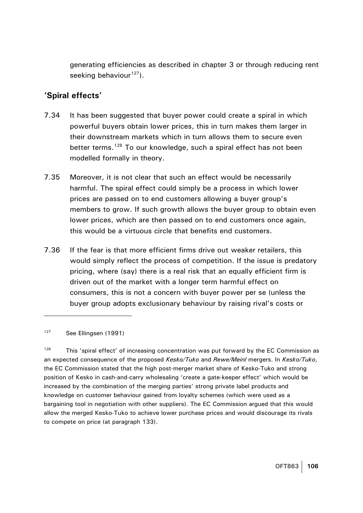generating efficiencies as described in chapter 3 or through reducing rent seeking behaviour $127$ ).

## <span id="page-108-0"></span>**'Spiral effects'**

- 7.34 It has been suggested that buyer power could create a spiral in which powerful buyers obtain lower prices, this in turn makes them larger in their downstream markets which in turn allows them to secure even better terms.<sup>[128](#page-108-0)</sup> To our knowledge, such a spiral effect has not been modelled formally in theory.
- 7.35 Moreover, it is not clear that such an effect would be necessarily harmful. The spiral effect could simply be a process in which lower prices are passed on to end customers allowing a buyer group's members to grow. If such growth allows the buyer group to obtain even lower prices, which are then passed on to end customers once again, this would be a virtuous circle that benefits end customers.
- 7.36 If the fear is that more efficient firms drive out weaker retailers, this would simply reflect the process of competition. If the issue is predatory pricing, where (say) there is a real risk that an equally efficient firm is driven out of the market with a longer term harmful effect on consumers, this is not a concern with buyer power per se (unless the buyer group adopts exclusionary behaviour by raising rival's costs or

127 See Ellingsen (1991)

 $\overline{a}$ 

 $128$  This 'spiral effect' of increasing concentration was put forward by the EC Commission as an expected consequence of the proposed *Kesko/Tuko* and *Rewe/Meinl* mergers. In *Kesko/Tuko*, the EC Commission stated that the high post-merger market share of Kesko-Tuko and strong position of Kesko in cash-and-carry wholesaling 'create a gate-keeper effect' which would be increased by the combination of the merging parties' strong private label products and knowledge on customer behaviour gained from loyalty schemes (which were used as a bargaining tool in negotiation with other suppliers). The EC Commission argued that this would allow the merged Kesko-Tuko to achieve lower purchase prices and would discourage its rivals to compete on price (at paragraph 133).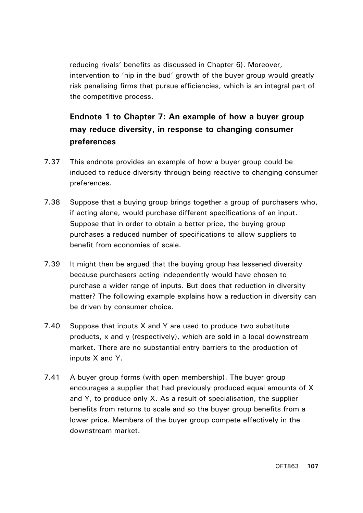reducing rivals' benefits as discussed in Chapter 6). Moreover, intervention to 'nip in the bud' growth of the buyer group would greatly risk penalising firms that pursue efficiencies, which is an integral part of the competitive process.

## **Endnote 1 to Chapter 7: An example of how a buyer group may reduce diversity, in response to changing consumer preferences**

- 7.37 This endnote provides an example of how a buyer group could be induced to reduce diversity through being reactive to changing consumer preferences.
- 7.38 Suppose that a buying group brings together a group of purchasers who, if acting alone, would purchase different specifications of an input. Suppose that in order to obtain a better price, the buying group purchases a reduced number of specifications to allow suppliers to benefit from economies of scale.
- 7.39 It might then be argued that the buying group has lessened diversity because purchasers acting independently would have chosen to purchase a wider range of inputs. But does that reduction in diversity matter? The following example explains how a reduction in diversity can be driven by consumer choice.
- 7.40 Suppose that inputs X and Y are used to produce two substitute products, x and y (respectively), which are sold in a local downstream market. There are no substantial entry barriers to the production of inputs X and Y.
- 7.41 A buyer group forms (with open membership). The buyer group encourages a supplier that had previously produced equal amounts of X and Y, to produce only X. As a result of specialisation, the supplier benefits from returns to scale and so the buyer group benefits from a lower price. Members of the buyer group compete effectively in the downstream market.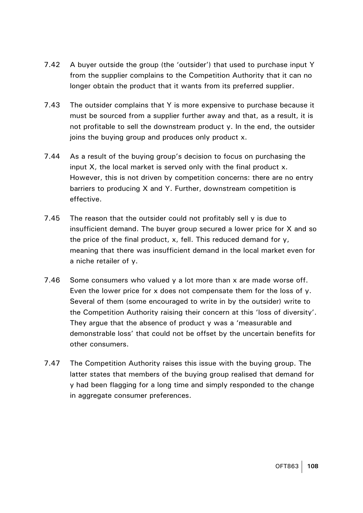- 7.42 A buyer outside the group (the 'outsider') that used to purchase input Y from the supplier complains to the Competition Authority that it can no longer obtain the product that it wants from its preferred supplier.
- 7.43 The outsider complains that Y is more expensive to purchase because it must be sourced from a supplier further away and that, as a result, it is not profitable to sell the downstream product y. In the end, the outsider joins the buying group and produces only product x.
- 7.44 As a result of the buying group's decision to focus on purchasing the input X, the local market is served only with the final product x. However, this is not driven by competition concerns: there are no entry barriers to producing X and Y. Further, downstream competition is effective.
- 7.45 The reason that the outsider could not profitably sell y is due to insufficient demand. The buyer group secured a lower price for X and so the price of the final product, x, fell. This reduced demand for y, meaning that there was insufficient demand in the local market even for a niche retailer of y.
- 7.46 Some consumers who valued y a lot more than x are made worse off. Even the lower price for x does not compensate them for the loss of y. Several of them (some encouraged to write in by the outsider) write to the Competition Authority raising their concern at this 'loss of diversity'. They argue that the absence of product y was a 'measurable and demonstrable loss' that could not be offset by the uncertain benefits for other consumers.
- 7.47 The Competition Authority raises this issue with the buying group. The latter states that members of the buying group realised that demand for y had been flagging for a long time and simply responded to the change in aggregate consumer preferences.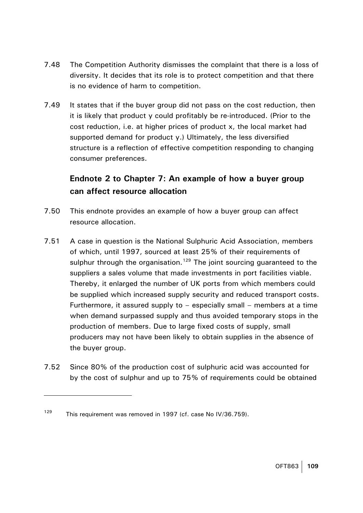- <span id="page-111-0"></span>7.48 The Competition Authority dismisses the complaint that there is a loss of diversity. It decides that its role is to protect competition and that there is no evidence of harm to competition.
- 7.49 It states that if the buyer group did not pass on the cost reduction, then it is likely that product y could profitably be re-introduced. (Prior to the cost reduction, i.e. at higher prices of product x, the local market had supported demand for product y.) Ultimately, the less diversified structure is a reflection of effective competition responding to changing consumer preferences.

# **Endnote 2 to Chapter 7: An example of how a buyer group can affect resource allocation**

- 7.50 This endnote provides an example of how a buyer group can affect resource allocation.
- 7.51 A case in question is the National Sulphuric Acid Association, members of which, until 1997, sourced at least 25% of their requirements of sulphur through the organisation.<sup>[129](#page-111-0)</sup> The joint sourcing guaranteed to the suppliers a sales volume that made investments in port facilities viable. Thereby, it enlarged the number of UK ports from which members could be supplied which increased supply security and reduced transport costs. Furthermore, it assured supply to  $-$  especially small  $-$  members at a time when demand surpassed supply and thus avoided temporary stops in the production of members. Due to large fixed costs of supply, small producers may not have been likely to obtain supplies in the absence of the buyer group.
- 7.52 Since 80% of the production cost of sulphuric acid was accounted for by the cost of sulphur and up to 75% of requirements could be obtained

<sup>&</sup>lt;sup>129</sup> This requirement was removed in 1997 (cf. case No IV/36.759).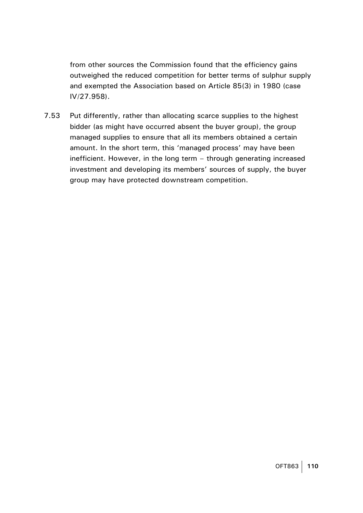from other sources the Commission found that the efficiency gains outweighed the reduced competition for better terms of sulphur supply and exempted the Association based on Article 85(3) in 1980 (case IV/27.958).

7.53 Put differently, rather than allocating scarce supplies to the highest bidder (as might have occurred absent the buyer group), the group managed supplies to ensure that all its members obtained a certain amount. In the short term, this 'managed process' may have been inefficient. However, in the long term – through generating increased investment and developing its members' sources of supply, the buyer group may have protected downstream competition.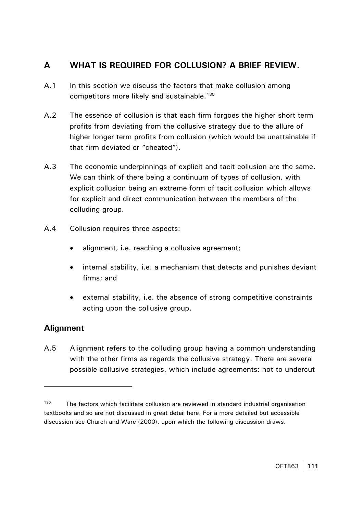## <span id="page-113-0"></span>**A WHAT IS REQUIRED FOR COLLUSION? A BRIEF REVIEW.**

- A.1 In this section we discuss the factors that make collusion among competitors more likely and sustainable.<sup>[130](#page-113-0)</sup>
- A.2 The essence of collusion is that each firm forgoes the higher short term profits from deviating from the collusive strategy due to the allure of higher longer term profits from collusion (which would be unattainable if that firm deviated or "cheated").
- A.3 The economic underpinnings of explicit and tacit collusion are the same. We can think of there being a continuum of types of collusion, with explicit collusion being an extreme form of tacit collusion which allows for explicit and direct communication between the members of the colluding group.
- A.4 Collusion requires three aspects:
	- alignment, i.e. reaching a collusive agreement;
	- internal stability, i.e. a mechanism that detects and punishes deviant firms; and
	- external stability, i.e. the absence of strong competitive constraints acting upon the collusive group.

## **Alignment**

 $\overline{a}$ 

A.5 Alignment refers to the colluding group having a common understanding with the other firms as regards the collusive strategy. There are several possible collusive strategies, which include agreements: not to undercut

 $130$  The factors which facilitate collusion are reviewed in standard industrial organisation textbooks and so are not discussed in great detail here. For a more detailed but accessible discussion see Church and Ware (2000), upon which the following discussion draws.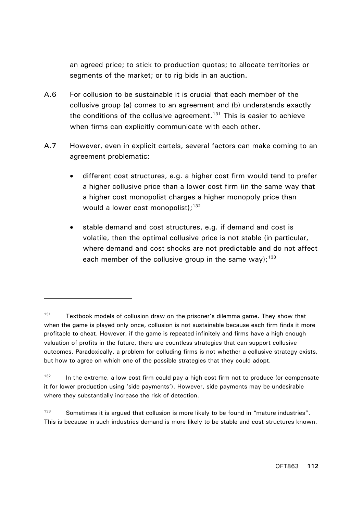an agreed price; to stick to production quotas; to allocate territories or segments of the market; or to rig bids in an auction.

- <span id="page-114-0"></span>A.6 For collusion to be sustainable it is crucial that each member of the collusive group (a) comes to an agreement and (b) understands exactly the conditions of the collusive agreement.<sup>[131](#page-114-0)</sup> This is easier to achieve when firms can explicitly communicate with each other.
- A.7 However, even in explicit cartels, several factors can make coming to an agreement problematic:
	- different cost structures, e.g. a higher cost firm would tend to prefer a higher collusive price than a lower cost firm (in the same way that a higher cost monopolist charges a higher monopoly price than would a lower cost monopolist);  $132$
	- stable demand and cost structures, e.g. if demand and cost is volatile, then the optimal collusive price is not stable (in particular, where demand and cost shocks are not predictable and do not affect each member of the collusive group in the same way);  $133$

 $131$  Textbook models of collusion draw on the prisoner's dilemma game. They show that when the game is played only once, collusion is not sustainable because each firm finds it more profitable to cheat. However, if the game is repeated infinitely and firms have a high enough valuation of profits in the future, there are countless strategies that can support collusive outcomes. Paradoxically, a problem for colluding firms is not whether a collusive strategy exists, but how to agree on which one of the possible strategies that they could adopt.

 $132$  In the extreme, a low cost firm could pay a high cost firm not to produce (or compensate it for lower production using 'side payments'). However, side payments may be undesirable where they substantially increase the risk of detection.

<sup>&</sup>lt;sup>133</sup> Sometimes it is argued that collusion is more likely to be found in "mature industries". This is because in such industries demand is more likely to be stable and cost structures known.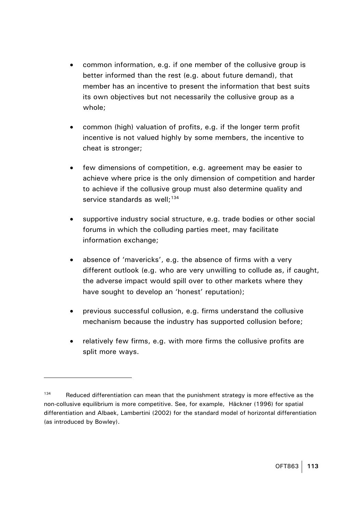- <span id="page-115-0"></span>• common information, e.g. if one member of the collusive group is better informed than the rest (e.g. about future demand), that member has an incentive to present the information that best suits its own objectives but not necessarily the collusive group as a whole;
- common (high) valuation of profits, e.g. if the longer term profit incentive is not valued highly by some members, the incentive to cheat is stronger;
- few dimensions of competition, e.g. agreement may be easier to achieve where price is the only dimension of competition and harder to achieve if the collusive group must also determine quality and service standards as well;  $134$
- supportive industry social structure, e.g. trade bodies or other social forums in which the colluding parties meet, may facilitate information exchange;
- absence of 'mavericks', e.g. the absence of firms with a very different outlook (e.g. who are very unwilling to collude as, if caught, the adverse impact would spill over to other markets where they have sought to develop an 'honest' reputation);
- previous successful collusion, e.g. firms understand the collusive mechanism because the industry has supported collusion before;
- relatively few firms, e.g. with more firms the collusive profits are split more ways.

 $134$  Reduced differentiation can mean that the punishment strategy is more effective as the non-collusive equilibrium is more competitive. See, for example, Häckner (1996) for spatial differentiation and Albaek, Lambertini (2002) for the standard model of horizontal differentiation (as introduced by Bowley).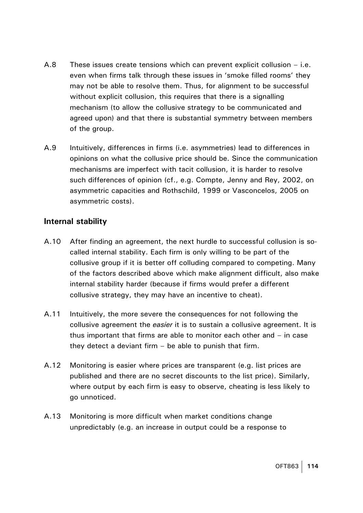- A.8 These issues create tensions which can prevent explicit collusion i.e. even when firms talk through these issues in 'smoke filled rooms' they may not be able to resolve them. Thus, for alignment to be successful without explicit collusion, this requires that there is a signalling mechanism (to allow the collusive strategy to be communicated and agreed upon) and that there is substantial symmetry between members of the group.
- A.9 Intuitively, differences in firms (i.e. asymmetries) lead to differences in opinions on what the collusive price should be. Since the communication mechanisms are imperfect with tacit collusion, it is harder to resolve such differences of opinion (cf., e.g. Compte, Jenny and Rey, 2002, on asymmetric capacities and Rothschild, 1999 or Vasconcelos, 2005 on asymmetric costs).

#### **Internal stability**

- A.10 After finding an agreement, the next hurdle to successful collusion is socalled internal stability. Each firm is only willing to be part of the collusive group if it is better off colluding compared to competing. Many of the factors described above which make alignment difficult, also make internal stability harder (because if firms would prefer a different collusive strategy, they may have an incentive to cheat).
- A.11 Intuitively, the more severe the consequences for not following the collusive agreement the *easier* it is to sustain a collusive agreement. It is thus important that firms are able to monitor each other and – in case they detect a deviant firm – be able to punish that firm.
- A.12 Monitoring is easier where prices are transparent (e.g. list prices are published and there are no secret discounts to the list price). Similarly, where output by each firm is easy to observe, cheating is less likely to go unnoticed.
- A.13 Monitoring is more difficult when market conditions change unpredictably (e.g. an increase in output could be a response to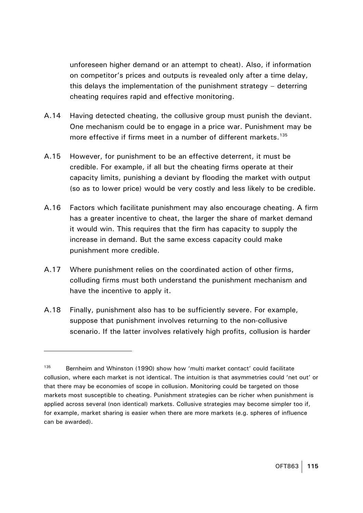<span id="page-117-0"></span>unforeseen higher demand or an attempt to cheat). Also, if information on competitor's prices and outputs is revealed only after a time delay, this delays the implementation of the punishment strategy – deterring cheating requires rapid and effective monitoring.

- A.14 Having detected cheating, the collusive group must punish the deviant. One mechanism could be to engage in a price war. Punishment may be more effective if firms meet in a number of different markets.<sup>[135](#page-117-0)</sup>
- A.15 However, for punishment to be an effective deterrent, it must be credible. For example, if all but the cheating firms operate at their capacity limits, punishing a deviant by flooding the market with output (so as to lower price) would be very costly and less likely to be credible.
- A.16 Factors which facilitate punishment may also encourage cheating. A firm has a greater incentive to cheat, the larger the share of market demand it would win. This requires that the firm has capacity to supply the increase in demand. But the same excess capacity could make punishment more credible.
- A.17 Where punishment relies on the coordinated action of other firms, colluding firms must both understand the punishment mechanism and have the incentive to apply it.
- A.18 Finally, punishment also has to be sufficiently severe. For example, suppose that punishment involves returning to the non-collusive scenario. If the latter involves relatively high profits, collusion is harder

<sup>&</sup>lt;sup>135</sup> Bernheim and Whinston (1990) show how 'multi market contact' could facilitate collusion, where each market is not identical. The intuition is that asymmetries could 'net out' or that there may be economies of scope in collusion. Monitoring could be targeted on those markets most susceptible to cheating. Punishment strategies can be richer when punishment is applied across several (non identical) markets. Collusive strategies may become simpler too if, for example, market sharing is easier when there are more markets (e.g. spheres of influence can be awarded).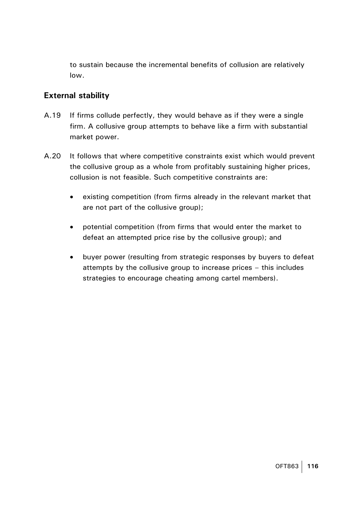to sustain because the incremental benefits of collusion are relatively low.

#### **External stability**

- A.19 If firms collude perfectly, they would behave as if they were a single firm. A collusive group attempts to behave like a firm with substantial market power.
- A.20 It follows that where competitive constraints exist which would prevent the collusive group as a whole from profitably sustaining higher prices, collusion is not feasible. Such competitive constraints are:
	- existing competition (from firms already in the relevant market that are not part of the collusive group);
	- potential competition (from firms that would enter the market to defeat an attempted price rise by the collusive group); and
	- buyer power (resulting from strategic responses by buyers to defeat attempts by the collusive group to increase prices – this includes strategies to encourage cheating among cartel members).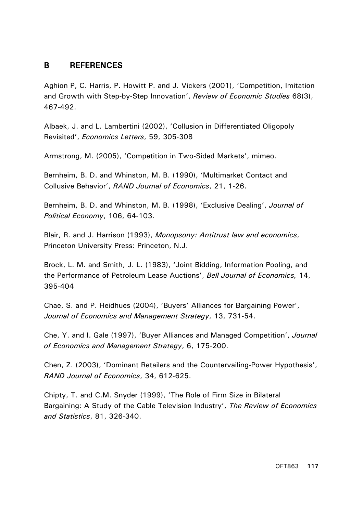#### **B REFERENCES**

Aghion P, C. Harris, P. Howitt P. and J. Vickers (2001), 'Competition, Imitation and Growth with Step-by-Step Innovation', *Review of Economic Studies* 68(3), 467-492.

Albaek, J. and L. Lambertini (2002), 'Collusion in Differentiated Oligopoly Revisited', *Economics Letters*, 59, 305-308

Armstrong, M. (2005), 'Competition in Two-Sided Markets', mimeo.

Bernheim, B. D. and Whinston, M. B. (1990), 'Multimarket Contact and Collusive Behavior', *RAND Journal of Economics*, 21, 1-26.

Bernheim, B. D. and Whinston, M. B. (1998), 'Exclusive Dealing', *Journal of Political Economy*, 106, 64-103.

Blair, R. and J. Harrison (1993), *Monopsony: Antitrust law and economics*, Princeton University Press: Princeton, N.J.

Brock, L. M. and Smith, J. L. (1983), 'Joint Bidding, Information Pooling, and the Performance of Petroleum Lease Auctions', *Bell Journal of Economics,* 14, 395-404

Chae, S. and P. Heidhues (2004), 'Buyers' Alliances for Bargaining Power', *Journal of Economics and Management Strategy*, 13, 731-54.

Che, Y. and I. Gale (1997), 'Buyer Alliances and Managed Competition', *Journal of Economics and Management Strategy*, 6, 175-200.

Chen, Z. (2003), 'Dominant Retailers and the Countervailing-Power Hypothesis', *RAND Journal of Economics*, 34, 612-625.

Chipty, T. and C.M. Snyder (1999), 'The Role of Firm Size in Bilateral Bargaining: A Study of the Cable Television Industry', *The Review of Economics and Statistics*, 81, 326-340.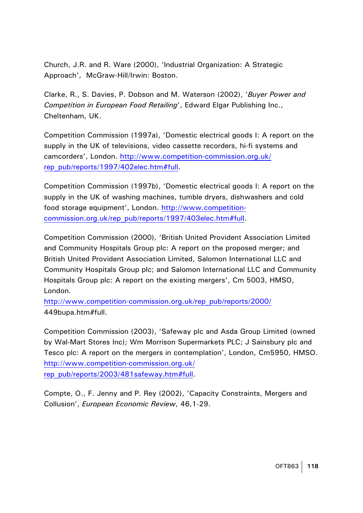Church, J.R. and R. Ware (2000), 'Industrial Organization: A Strategic Approach', McGraw-Hill/Irwin: Boston.

Clarke, R., S. Davies, P. Dobson and M. Waterson (2002), '*Buyer Power and Competition in European Food Retailing*', Edward Elgar Publishing Inc., Cheltenham, UK.

Competition Commission (1997a), 'Domestic electrical goods I: A report on the supply in the UK of televisions, video cassette recorders, hi-fi systems and camcorders', London. [http://www.competition-commission.org.uk/](http://www.competition-commission.org.uk/ rep_pub/reports/1997/402elec.htm#full)  [rep\\_pub/reports/1997/402elec.htm#full.](http://www.competition-commission.org.uk/ rep_pub/reports/1997/402elec.htm#full)

Competition Commission (1997b), 'Domestic electrical goods I: A report on the supply in the UK of washing machines, tumble dryers, dishwashers and cold food storage equipment', London. [http://www.competition](http://www.competition-commission.org.uk/rep_pub/reports/1997/403elec.htm#full)[commission.org.uk/rep\\_pub/reports/1997/403elec.htm#full.](http://www.competition-commission.org.uk/rep_pub/reports/1997/403elec.htm#full)

Competition Commission (2000), 'British United Provident Association Limited and Community Hospitals Group plc: A report on the proposed merger; and British United Provident Association Limited, Salomon International LLC and Community Hospitals Group plc; and Salomon International LLC and Community Hospitals Group plc: A report on the existing mergers', Cm 5003, HMSO, London.

[http://www.competition-commission.org.uk/rep\\_pub/reports/2000/](http://www.competition-commission.org.uk/rep_pub/reports/2000/) 449bupa.htm#full.

Competition Commission (2003), 'Safeway plc and Asda Group Limited (owned by Wal-Mart Stores Inc); Wm Morrison Supermarkets PLC; J Sainsbury plc and Tesco plc: A report on the mergers in contemplation', London, Cm5950, HMSO. [http://www.competition-commission.org.uk/](http://www.competition-commission.org.uk/rep_pub/reports/2003/481safeway.htm#full) [rep\\_pub/reports/2003/481safeway.htm#full.](http://www.competition-commission.org.uk/rep_pub/reports/2003/481safeway.htm#full)

Compte, O., F. Jenny and P. Rey (2002), 'Capacity Constraints, Mergers and Collusion', *European Economic Review*, 46,1-29.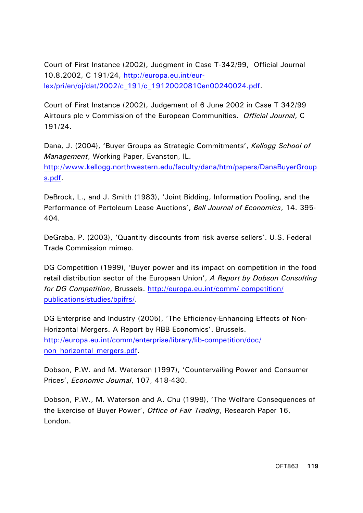Court of First Instance (2002), Judgment in Case T-342/99, Official Journal 10.8.2002, C 191/24, [http://europa.eu.int/eur](http://europa.eu.int/eur-lex/pri/en/oj/dat/2002/c_191/c_19120020810en00240024.pdf)[lex/pri/en/oj/dat/2002/c\\_191/c\\_19120020810en00240024.pdf](http://europa.eu.int/eur-lex/pri/en/oj/dat/2002/c_191/c_19120020810en00240024.pdf).

Court of First Instance (2002), Judgement of 6 June 2002 in Case T 342/99 Airtours plc v Commission of the European Communities. *Official Journal*, C 191/24.

Dana, J. (2004), 'Buyer Groups as Strategic Commitments', *Kellogg School of Management*, Working Paper, Evanston, IL.

[http://www.kellogg.northwestern.edu/faculty/dana/htm/papers/DanaBuyerGroup](http://www.kellogg.northwestern.edu/faculty/dana/htm/papers/DanaBuyerGroups.pdf) [s.pdf](http://www.kellogg.northwestern.edu/faculty/dana/htm/papers/DanaBuyerGroups.pdf).

DeBrock, L., and J. Smith (1983), 'Joint Bidding, Information Pooling, and the Performance of Pertoleum Lease Auctions', *Bell Journal of Economics*, 14. 395- 404.

DeGraba, P. (2003), 'Quantity discounts from risk averse sellers'. U.S. Federal Trade Commission mimeo.

DG Competition (1999), 'Buyer power and its impact on competition in the food retail distribution sector of the European Union', *A Report by Dobson Consulting for DG Competition*, Brussels. [http://europa.eu.int/comm/ competition/](http://europa.eu.int/comm/%20competition/%20publications/studies/bpifrs/)  [publications/studies/bpifrs/.](http://europa.eu.int/comm/%20competition/%20publications/studies/bpifrs/)

DG Enterprise and Industry (2005), 'The Efficiency-Enhancing Effects of Non-Horizontal Mergers. A Report by RBB Economics'. Brussels. [http://europa.eu.int/comm/enterprise/library/lib-competition/doc/](http://europa.eu.int/comm/enterprise/library/lib-competition/doc/%20non_horizontal_mergers.pdf)  [non\\_horizontal\\_mergers.pdf](http://europa.eu.int/comm/enterprise/library/lib-competition/doc/%20non_horizontal_mergers.pdf).

Dobson, P.W. and M. Waterson (1997), 'Countervailing Power and Consumer Prices', *Economic Journal*, 107, 418-430.

Dobson, P.W., M. Waterson and A. Chu (1998), 'The Welfare Consequences of the Exercise of Buyer Power', *Office of Fair Trading*, Research Paper 16, London.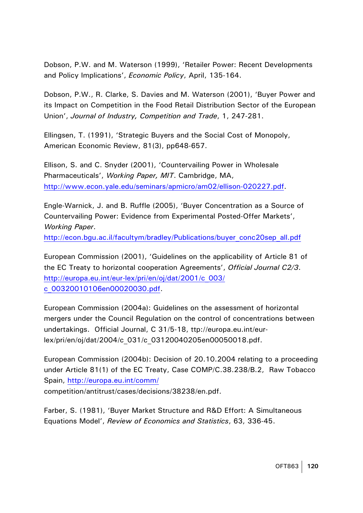Dobson, P.W. and M. Waterson (1999), 'Retailer Power: Recent Developments and Policy Implications', *Economic Policy*, April, 135-164.

Dobson, P.W., R. Clarke, S. Davies and M. Waterson (2001), 'Buyer Power and its Impact on Competition in the Food Retail Distribution Sector of the European Union', *Journal of Industry, Competition and Trade*, 1, 247-281.

Ellingsen, T. (1991), 'Strategic Buyers and the Social Cost of Monopoly, American Economic Review, 81(3), pp648-657.

Ellison, S. and C. Snyder (2001), 'Countervailing Power in Wholesale Pharmaceuticals', *Working Paper, MIT*. Cambridge, MA, [http://www.econ.yale.edu/seminars/apmicro/am02/ellison-020227.pdf.](http://www.econ.yale.edu/seminars/apmicro/am02/ellison-020227.pdf)

Engle-Warnick, J. and B. Ruffle (2005), 'Buyer Concentration as a Source of Countervailing Power: Evidence from Experimental Posted-Offer Markets', *Working Paper*.

[http://econ.bgu.ac.il/facultym/bradley/Publications/buyer\\_conc20sep\\_all.pdf](http://econ.bgu.ac.il/facultym/bradley/Publications/buyer_conc20sep_all.pdf)

European Commission (2001), 'Guidelines on the applicability of Article 81 of the EC Treaty to horizontal cooperation Agreements', *Official Journal C2/3*. [http://europa.eu.int/eur-lex/pri/en/oj/dat/2001/c\\_003/](http://europa.eu.int/eur-lex/pri/en/oj/dat/2001/c_003/%20c_00320010106en00020030.pdf)  [c\\_00320010106en00020030.pdf.](http://europa.eu.int/eur-lex/pri/en/oj/dat/2001/c_003/%20c_00320010106en00020030.pdf)

European Commission (2004a): Guidelines on the assessment of horizontal mergers under the Council Regulation on the control of concentrations between undertakings. Official Journal, C 31/5-18, ttp://europa.eu.int/eurlex/pri/en/oj/dat/2004/c\_031/c\_03120040205en00050018.pdf.

European Commission (2004b): Decision of 20.10.2004 relating to a proceeding under Article 81(1) of the EC Treaty, Case COMP/C.38.238/B.2, Raw Tobacco Spain, <http://europa.eu.int/comm/> competition/antitrust/cases/decisions/38238/en.pdf.

Farber, S. (1981), 'Buyer Market Structure and R&D Effort: A Simultaneous Equations Model', *Review of Economics and Statistics*, 63, 336-45.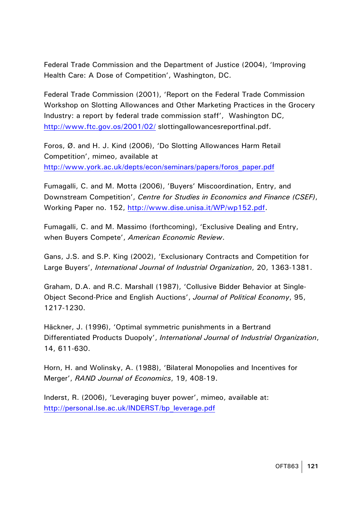Federal Trade Commission and the Department of Justice (2004), 'Improving Health Care: A Dose of Competition', Washington, DC.

Federal Trade Commission (2001), 'Report on the Federal Trade Commission Workshop on Slotting Allowances and Other Marketing Practices in the Grocery Industry: a report by federal trade commission staff', Washington DC, <http://www.ftc.gov.os/2001/02/> slottingallowancesreportfinal.pdf.

Foros, Ø. and H. J. Kind (2006), 'Do Slotting Allowances Harm Retail Competition', mimeo, available at [http://www.york.ac.uk/depts/econ/seminars/papers/foros\\_paper.pdf](http://www.york.ac.uk/depts/econ/seminars/papers/foros_paper.pdf)

Fumagalli, C. and M. Motta (2006), 'Buyers' Miscoordination, Entry, and Downstream Competition', *Centre for Studies in Economics and Finance (CSEF)*, Working Paper no. 152,<http://www.dise.unisa.it/WP/wp152.pdf>.

Fumagalli, C. and M. Massimo (forthcoming), 'Exclusive Dealing and Entry, when Buyers Compete', *American Economic Review*.

Gans, J.S. and S.P. King (2002), 'Exclusionary Contracts and Competition for Large Buyers', *International Journal of Industrial Organization*, 20, 1363-1381.

Graham, D.A. and R.C. Marshall (1987), 'Collusive Bidder Behavior at Single-Object Second-Price and English Auctions', *Journal of Political Economy*, 95, 1217-1230.

Häckner, J. (1996), 'Optimal symmetric punishments in a Bertrand Differentiated Products Duopoly', *International Journal of Industrial Organization*, 14, 611-630.

Horn, H. and Wolinsky, A. (1988), 'Bilateral Monopolies and Incentives for Merger', *RAND Journal of Economics*, 19, 408-19.

Inderst, R. (2006), 'Leveraging buyer power', mimeo, available at: [http://personal.lse.ac.uk/INDERST/bp\\_leverage.pdf](http://personal.lse.ac.uk/INDERST/bp_leverage.pdf)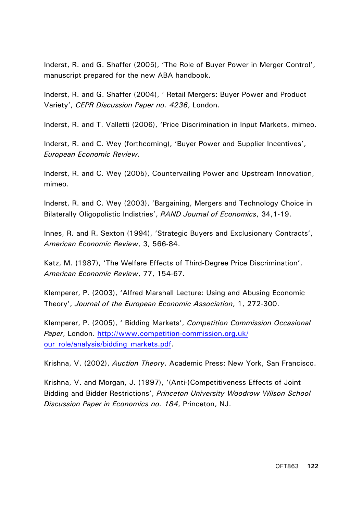Inderst, R. and G. Shaffer (2005), 'The Role of Buyer Power in Merger Control', manuscript prepared for the new ABA handbook.

Inderst, R. and G. Shaffer (2004), ' Retail Mergers: Buyer Power and Product Variety', *CEPR Discussion Paper no. 4236*, London.

Inderst, R. and T. Valletti (2006), 'Price Discrimination in Input Markets, mimeo.

Inderst, R. and C. Wey (forthcoming), 'Buyer Power and Supplier Incentives', *European Economic Review*.

Inderst, R. and C. Wey (2005), Countervailing Power and Upstream Innovation, mimeo.

Inderst, R. and C. Wey (2003), 'Bargaining, Mergers and Technology Choice in Bilaterally Oligopolistic Indistries', *RAND Journal of Economics*, 34,1-19.

Innes, R. and R. Sexton (1994), 'Strategic Buyers and Exclusionary Contracts', *American Economic Review*, 3, 566-84.

Katz, M. (1987), 'The Welfare Effects of Third-Degree Price Discrimination', *American Economic Review*, 77, 154-67.

Klemperer, P. (2003), 'Alfred Marshall Lecture: Using and Abusing Economic Theory', *Journal of the European Economic Association*, 1, 272-300.

Klemperer, P. (2005), ' Bidding Markets', *Competition Commission Occasional Paper*, London. [http://www.competition-commission.org.uk/](http://www.competition-commission.org.uk/our_role/analysis/bidding_markets.pdf) [our\\_role/analysis/bidding\\_markets.pdf.](http://www.competition-commission.org.uk/our_role/analysis/bidding_markets.pdf)

Krishna, V. (2002), *Auction Theory*. Academic Press: New York, San Francisco.

Krishna, V. and Morgan, J. (1997), '(Anti-)Competitiveness Effects of Joint Bidding and Bidder Restrictions', *Princeton University Woodrow Wilson School Discussion Paper in Economics no. 184*, Princeton, NJ.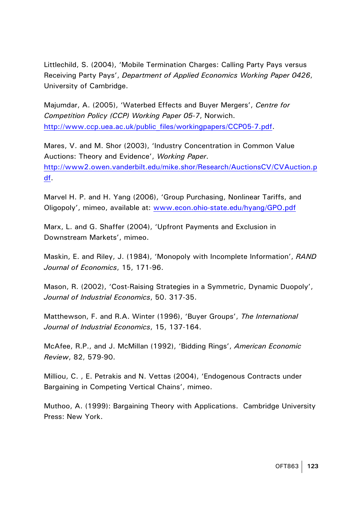Littlechild, S. (2004), 'Mobile Termination Charges: Calling Party Pays versus Receiving Party Pays', *Department of Applied Economics Working Paper 0426*, University of Cambridge.

Majumdar, A. (2005), 'Waterbed Effects and Buyer Mergers', *Centre for Competition Policy (CCP) Working Paper 05-7*, Norwich. [http://www.ccp.uea.ac.uk/public\\_files/workingpapers/CCP05-7.pdf](http://www.ccp.uea.ac.uk/public_files/workingpapers/CCP05-7.pdf).

Mares, V. and M. Shor (2003), 'Industry Concentration in Common Value Auctions: Theory and Evidence', *Working Paper*. [http://www2.owen.vanderbilt.edu/mike.shor/Research/AuctionsCV/CVAuction.p](http://www2.owen.vanderbilt.edu/mike.shor/Research/AuctionsCV/CVAuction.pdf) [df](http://www2.owen.vanderbilt.edu/mike.shor/Research/AuctionsCV/CVAuction.pdf).

Marvel H. P. and H. Yang (2006), 'Group Purchasing, Nonlinear Tariffs, and Oligopoly', mimeo, available at: [www.econ.ohio-state.edu/hyang/GPO.pdf](http://www.econ.ohio-state.edu/hyang/GPO.pdf)

Marx, L. and G. Shaffer (2004), 'Upfront Payments and Exclusion in Downstream Markets', mimeo.

Maskin, E. and Riley, J. (1984), 'Monopoly with Incomplete Information', *RAND Journal of Economics*, 15, 171-96.

Mason, R. (2002), 'Cost-Raising Strategies in a Symmetric, Dynamic Duopoly', *Journal of Industrial Economics*, 50. 317-35.

Matthewson, F. and R.A. Winter (1996), 'Buyer Groups', *The International Journal of Industrial Economics*, 15, 137-164.

McAfee, R.P., and J. McMillan (1992), 'Bidding Rings', *American Economic Review*, 82, 579-90.

Milliou, C. , E. Petrakis and N. Vettas (2004), 'Endogenous Contracts under Bargaining in Competing Vertical Chains', mimeo.

Muthoo, A. (1999): Bargaining Theory with Applications. Cambridge University Press: New York.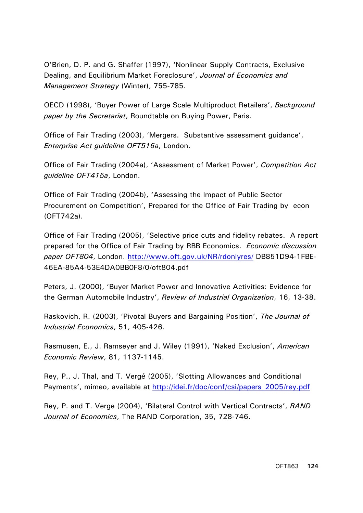O'Brien, D. P. and G. Shaffer (1997), 'Nonlinear Supply Contracts, Exclusive Dealing, and Equilibrium Market Foreclosure', *Journal of Economics and Management Strategy* (Winter), 755-785.

OECD (1998), 'Buyer Power of Large Scale Multiproduct Retailers', *Background paper by the Secretariat*, Roundtable on Buying Power, Paris.

Office of Fair Trading (2003), 'Mergers. Substantive assessment guidance', *Enterprise Act guideline OFT516a*, London.

Office of Fair Trading (2004a), 'Assessment of Market Power', *Competition Act guideline OFT415a*, London.

Office of Fair Trading (2004b), 'Assessing the Impact of Public Sector Procurement on Competition', Prepared for the Office of Fair Trading by econ (OFT742a).

Office of Fair Trading (2005), 'Selective price cuts and fidelity rebates. A report prepared for the Office of Fair Trading by RBB Economics. *Economic discussion paper OFT804*, London.<http://www.oft.gov.uk/NR/rdonlyres/>DB851D94-1FBE-46EA-85A4-53E4DA0BB0F8/0/oft804.pdf

Peters, J. (2000), 'Buyer Market Power and Innovative Activities: Evidence for the German Automobile Industry', *Review of Industrial Organization*, 16, 13-38.

Raskovich, R. (2003), 'Pivotal Buyers and Bargaining Position', *The Journal of Industrial Economics*, 51, 405-426.

Rasmusen, E., J. Ramseyer and J. Wiley (1991), 'Naked Exclusion', *American Economic Review*, 81, 1137-1145.

Rey, P., J. Thal, and T. Vergé (2005), 'Slotting Allowances and Conditional Payments', mimeo, available at [http://idei.fr/doc/conf/csi/papers\\_2005/rey.pdf](http://idei.fr/doc/conf/csi/papers_2005/rey.pdf)

Rey, P. and T. Verge (2004), 'Bilateral Control with Vertical Contracts', *RAND Journal of Economics*, The RAND Corporation, 35, 728-746.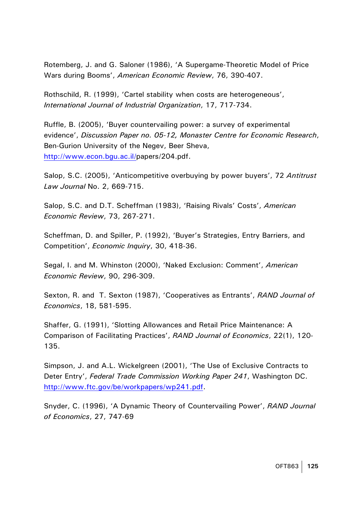Rotemberg, J. and G. Saloner (1986), 'A Supergame-Theoretic Model of Price Wars during Booms', *American Economic Review*, 76, 390-407.

Rothschild, R. (1999), 'Cartel stability when costs are heterogeneous', *International Journal of Industrial Organization*, 17, 717-734.

Ruffle, B. (2005), 'Buyer countervailing power: a survey of experimental evidence', *Discussion Paper no. 05-12, Monaster Centre for Economic Research*, Ben-Gurion University of the Negev, Beer Sheva, <http://www.econ.bgu.ac.il/>papers/204.pdf.

Salop, S.C. (2005), 'Anticompetitive overbuying by power buyers', 72 *Antitrust Law Journal* No. 2, 669-715.

Salop, S.C. and D.T. Scheffman (1983), 'Raising Rivals' Costs', *American Economic Review*, 73, 267-271.

Scheffman, D. and Spiller, P. (1992), 'Buyer's Strategies, Entry Barriers, and Competition', *Economic Inquiry*, 30, 418-36.

Segal, I. and M. Whinston (2000), 'Naked Exclusion: Comment', *American Economic Review*, 90, 296-309.

Sexton, R. and T. Sexton (1987), 'Cooperatives as Entrants', *RAND Journal of Economics*, 18, 581-595.

Shaffer, G. (1991), 'Slotting Allowances and Retail Price Maintenance: A Comparison of Facilitating Practices', *RAND Journal of Economics*, 22(1), 120- 135.

Simpson, J. and A.L. Wickelgreen (2001), 'The Use of Exclusive Contracts to Deter Entry', *Federal Trade Commission Working Paper 241*, Washington DC. <http://www.ftc.gov/be/workpapers/wp241.pdf>.

Snyder, C. (1996), 'A Dynamic Theory of Countervailing Power', *RAND Journal of Economics*, 27, 747-69